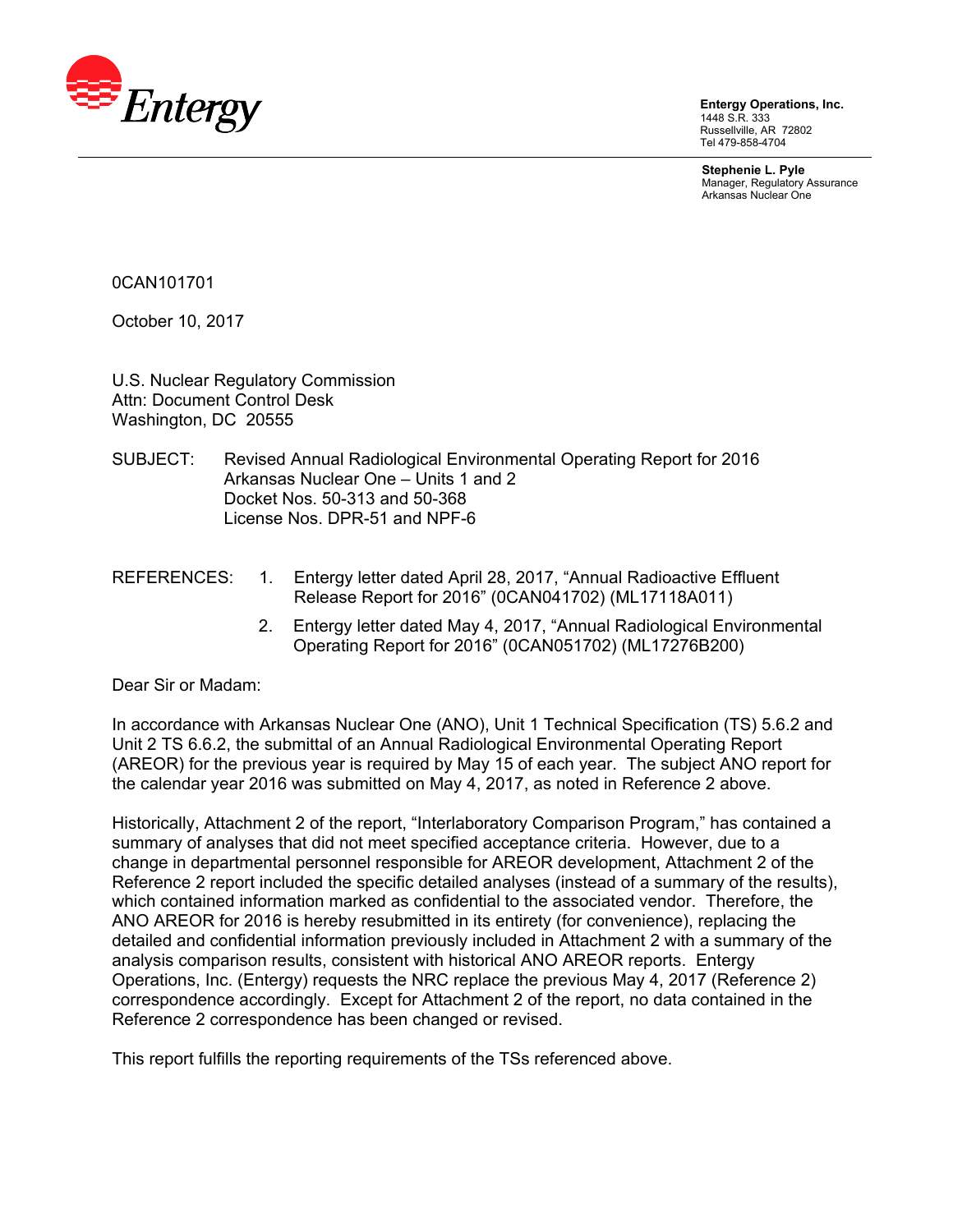

**Entergy Operations, Inc.**  1448 S.R. 333 Russellville, AR 72802 Tel 479-858-4704

**Stephenie L. Pyle**  Manager, Regulatory Assurance Arkansas Nuclear One

0CAN101701

October 10, 2017

U.S. Nuclear Regulatory Commission Attn: Document Control Desk Washington, DC 20555

- SUBJECT: Revised Annual Radiological Environmental Operating Report for 2016 Arkansas Nuclear One – Units 1 and 2 Docket Nos. 50-313 and 50-368 License Nos. DPR-51 and NPF-6
- REFERENCES: 1. Entergy letter dated April 28, 2017, "Annual Radioactive Effluent Release Report for 2016" (0CAN041702) (ML17118A011)
	- 2. Entergy letter dated May 4, 2017, "Annual Radiological Environmental Operating Report for 2016" (0CAN051702) (ML17276B200)

Dear Sir or Madam:

In accordance with Arkansas Nuclear One (ANO), Unit 1 Technical Specification (TS) 5.6.2 and Unit 2 TS 6.6.2, the submittal of an Annual Radiological Environmental Operating Report (AREOR) for the previous year is required by May 15 of each year. The subject ANO report for the calendar year 2016 was submitted on May 4, 2017, as noted in Reference 2 above.

Historically, Attachment 2 of the report, "Interlaboratory Comparison Program," has contained a summary of analyses that did not meet specified acceptance criteria. However, due to a change in departmental personnel responsible for AREOR development, Attachment 2 of the Reference 2 report included the specific detailed analyses (instead of a summary of the results), which contained information marked as confidential to the associated vendor. Therefore, the ANO AREOR for 2016 is hereby resubmitted in its entirety (for convenience), replacing the detailed and confidential information previously included in Attachment 2 with a summary of the analysis comparison results, consistent with historical ANO AREOR reports. Entergy Operations, Inc. (Entergy) requests the NRC replace the previous May 4, 2017 (Reference 2) correspondence accordingly. Except for Attachment 2 of the report, no data contained in the Reference 2 correspondence has been changed or revised.

This report fulfills the reporting requirements of the TSs referenced above.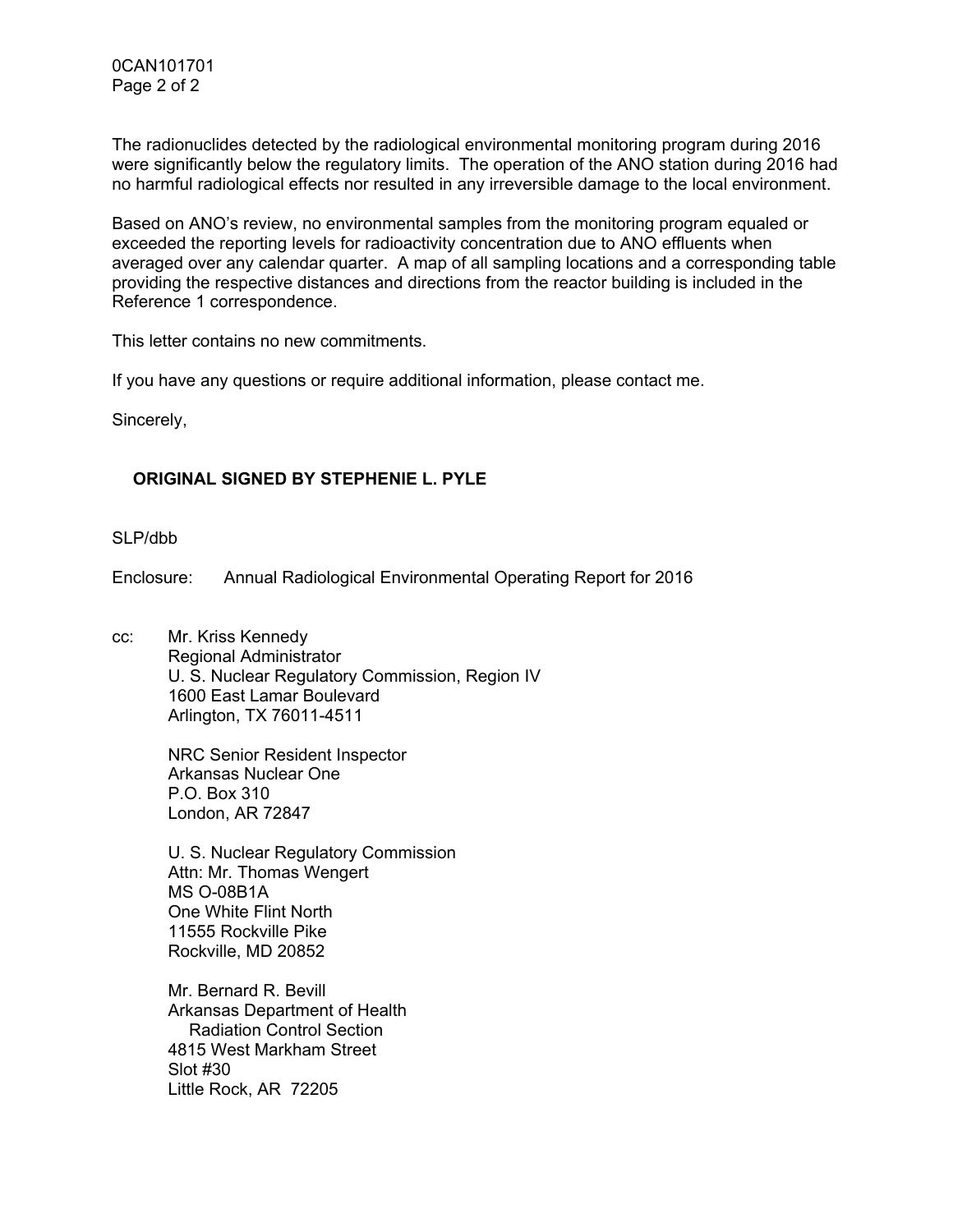The radionuclides detected by the radiological environmental monitoring program during 2016 were significantly below the regulatory limits. The operation of the ANO station during 2016 had no harmful radiological effects nor resulted in any irreversible damage to the local environment.

Based on ANO's review, no environmental samples from the monitoring program equaled or exceeded the reporting levels for radioactivity concentration due to ANO effluents when averaged over any calendar quarter. A map of all sampling locations and a corresponding table providing the respective distances and directions from the reactor building is included in the Reference 1 correspondence.

This letter contains no new commitments.

If you have any questions or require additional information, please contact me.

Sincerely,

# **ORIGINAL SIGNED BY STEPHENIE L. PYLE**

SI P/dbb

Enclosure: Annual Radiological Environmental Operating Report for 2016

cc: Mr. Kriss Kennedy Regional Administrator U. S. Nuclear Regulatory Commission, Region IV 1600 East Lamar Boulevard Arlington, TX 76011-4511

> NRC Senior Resident Inspector Arkansas Nuclear One P.O. Box 310 London, AR 72847

U. S. Nuclear Regulatory Commission Attn: Mr. Thomas Wengert MS O-08B1A One White Flint North 11555 Rockville Pike Rockville, MD 20852

Mr. Bernard R. Bevill Arkansas Department of Health Radiation Control Section 4815 West Markham Street Slot #30 Little Rock, AR 72205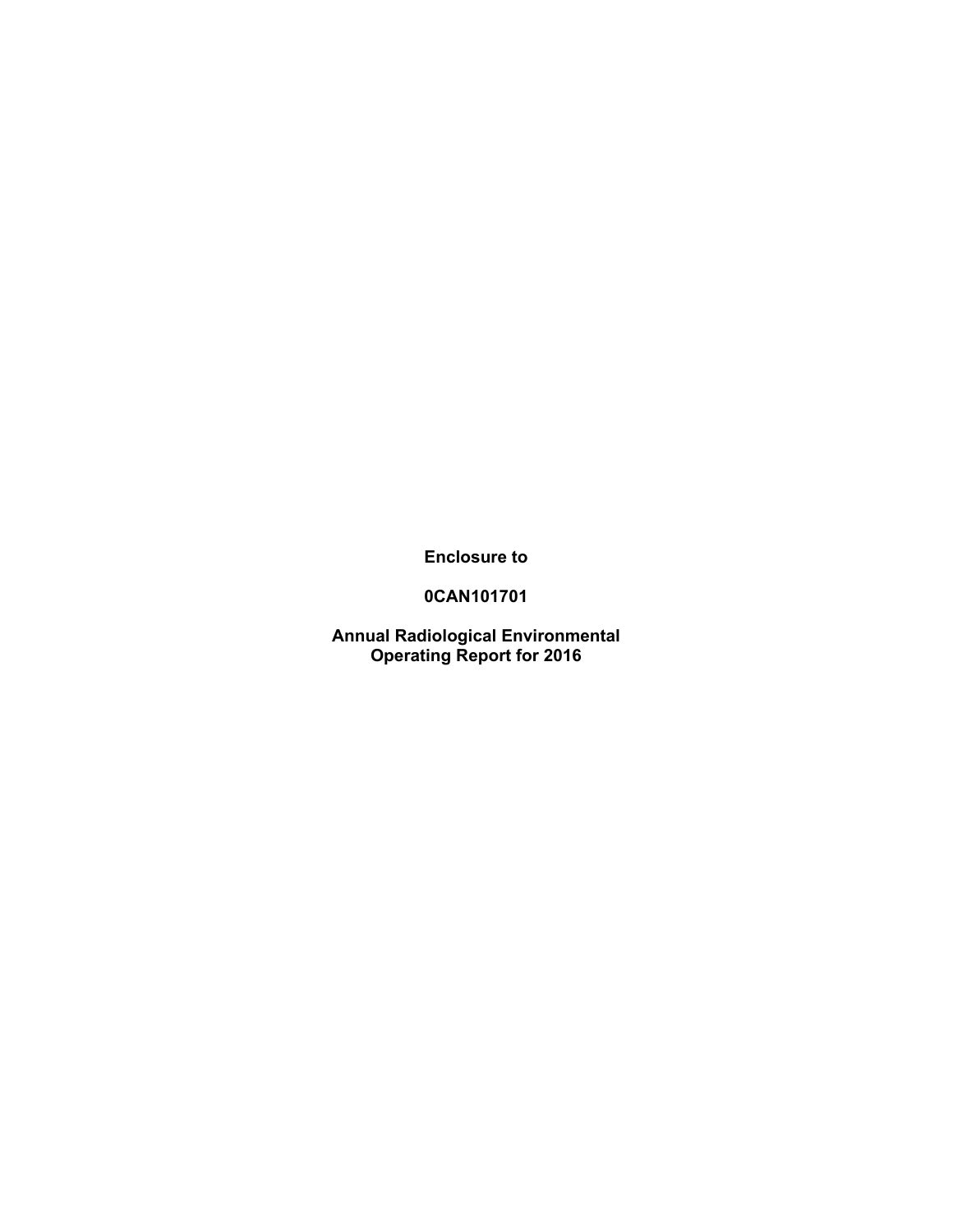**Enclosure to** 

**0CAN101701** 

**Annual Radiological Environmental Operating Report for 2016**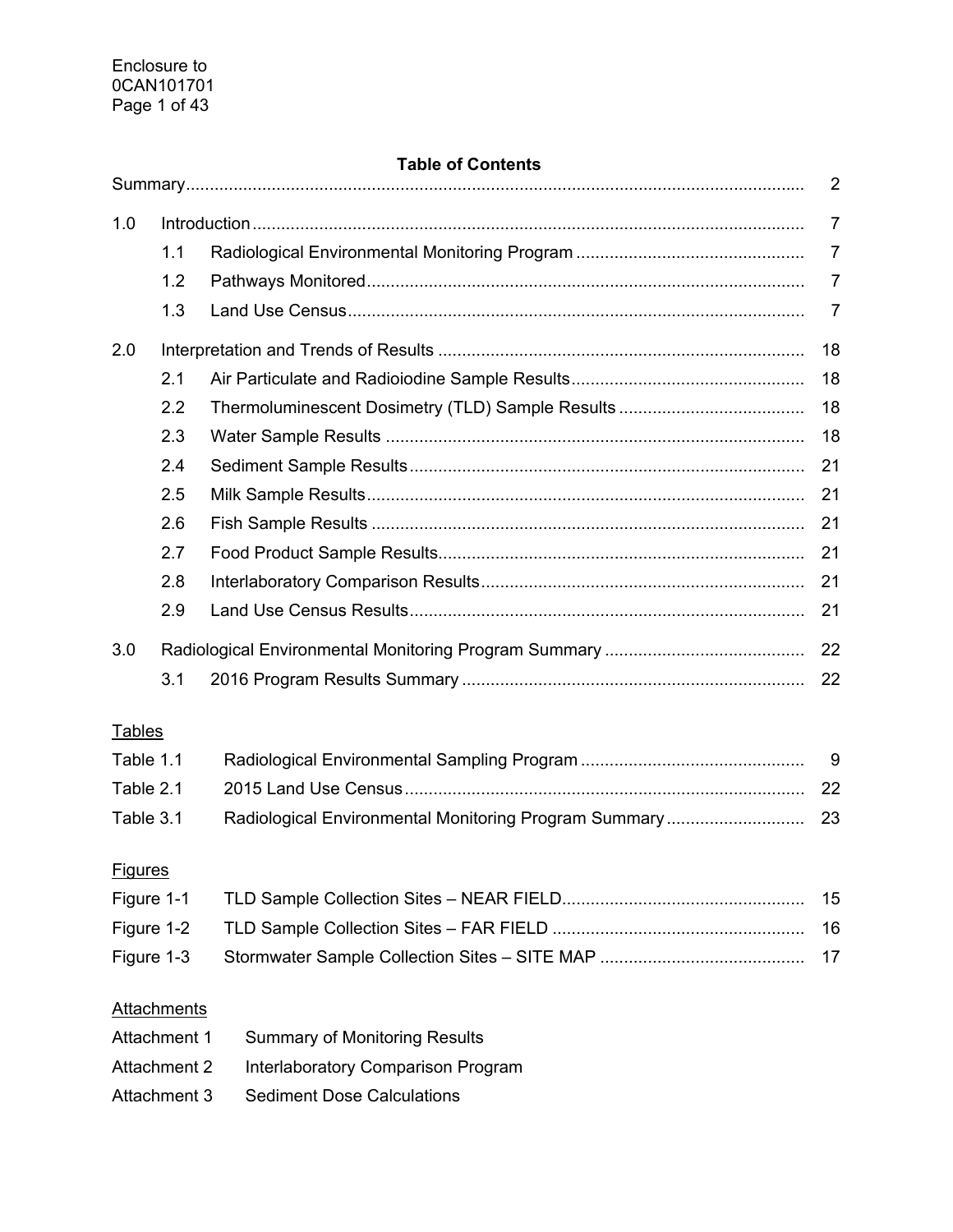# **Table of Contents**

|                                                           |                    |                                                       | 2              |  |
|-----------------------------------------------------------|--------------------|-------------------------------------------------------|----------------|--|
| 1.0                                                       |                    |                                                       | $\overline{7}$ |  |
|                                                           | 1.1                |                                                       | $\overline{7}$ |  |
|                                                           | 1.2                |                                                       | $\overline{7}$ |  |
|                                                           | 1.3                |                                                       | 7              |  |
| 2.0                                                       |                    |                                                       | 18             |  |
|                                                           | 2.1                |                                                       | 18             |  |
|                                                           | 2.2                |                                                       | 18             |  |
|                                                           | 2.3                |                                                       | 18             |  |
|                                                           | 2.4                |                                                       | 21             |  |
|                                                           | 2.5                |                                                       | 21             |  |
|                                                           | 2.6                |                                                       | 21             |  |
|                                                           | 2.7                |                                                       | 21             |  |
|                                                           | 2.8                |                                                       | 21             |  |
|                                                           | 2.9                |                                                       | 21             |  |
| 3.0                                                       |                    |                                                       | 22             |  |
|                                                           | 3.1                |                                                       | 22             |  |
| <b>Tables</b>                                             |                    |                                                       |                |  |
| Table 1.1                                                 |                    |                                                       | 9              |  |
| Table 2.1                                                 |                    |                                                       | 22             |  |
| Table 3.1                                                 |                    | Radiological Environmental Monitoring Program Summary | 23             |  |
|                                                           |                    |                                                       |                |  |
| <b>Figures</b>                                            |                    |                                                       |                |  |
|                                                           | Figure 1-1         |                                                       | 15             |  |
|                                                           | Figure 1-2         |                                                       | 16             |  |
|                                                           | Figure 1-3         |                                                       | 17             |  |
|                                                           | <b>Attachments</b> |                                                       |                |  |
| Attachment 1<br><b>Summary of Monitoring Results</b>      |                    |                                                       |                |  |
| <b>Attachment 2</b><br>Interlaboratory Comparison Program |                    |                                                       |                |  |
|                                                           | Attachment 3       | <b>Sediment Dose Calculations</b>                     |                |  |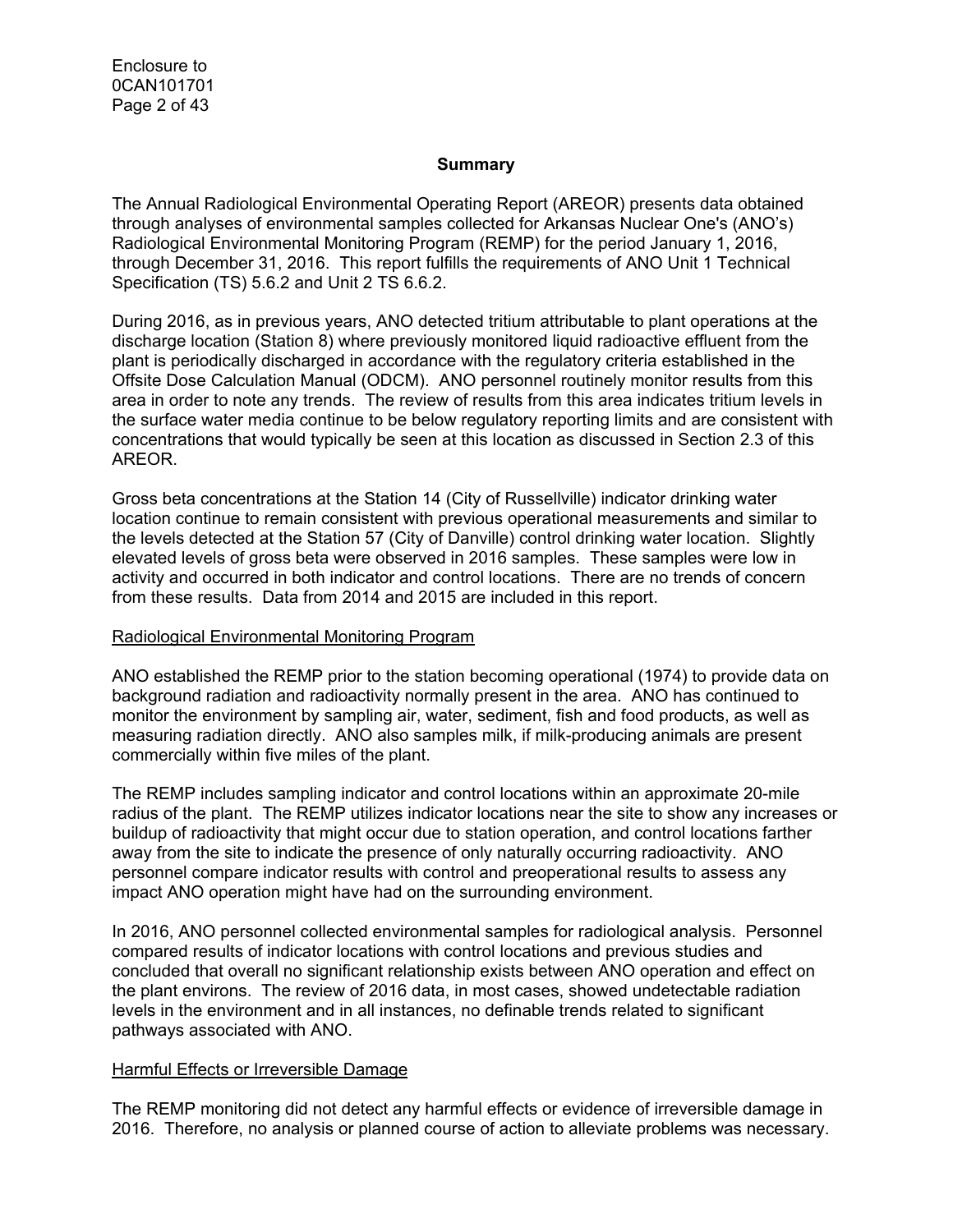Enclosure to 0CAN101701 Page 2 of 43

#### **Summary**

The Annual Radiological Environmental Operating Report (AREOR) presents data obtained through analyses of environmental samples collected for Arkansas Nuclear One's (ANO's) Radiological Environmental Monitoring Program (REMP) for the period January 1, 2016, through December 31, 2016. This report fulfills the requirements of ANO Unit 1 Technical Specification (TS) 5.6.2 and Unit 2 TS 6.6.2.

During 2016, as in previous years, ANO detected tritium attributable to plant operations at the discharge location (Station 8) where previously monitored liquid radioactive effluent from the plant is periodically discharged in accordance with the regulatory criteria established in the Offsite Dose Calculation Manual (ODCM). ANO personnel routinely monitor results from this area in order to note any trends. The review of results from this area indicates tritium levels in the surface water media continue to be below regulatory reporting limits and are consistent with concentrations that would typically be seen at this location as discussed in Section 2.3 of this AREOR.

Gross beta concentrations at the Station 14 (City of Russellville) indicator drinking water location continue to remain consistent with previous operational measurements and similar to the levels detected at the Station 57 (City of Danville) control drinking water location. Slightly elevated levels of gross beta were observed in 2016 samples. These samples were low in activity and occurred in both indicator and control locations. There are no trends of concern from these results. Data from 2014 and 2015 are included in this report.

#### Radiological Environmental Monitoring Program

ANO established the REMP prior to the station becoming operational (1974) to provide data on background radiation and radioactivity normally present in the area. ANO has continued to monitor the environment by sampling air, water, sediment, fish and food products, as well as measuring radiation directly. ANO also samples milk, if milk-producing animals are present commercially within five miles of the plant.

The REMP includes sampling indicator and control locations within an approximate 20-mile radius of the plant. The REMP utilizes indicator locations near the site to show any increases or buildup of radioactivity that might occur due to station operation, and control locations farther away from the site to indicate the presence of only naturally occurring radioactivity. ANO personnel compare indicator results with control and preoperational results to assess any impact ANO operation might have had on the surrounding environment.

In 2016, ANO personnel collected environmental samples for radiological analysis. Personnel compared results of indicator locations with control locations and previous studies and concluded that overall no significant relationship exists between ANO operation and effect on the plant environs. The review of 2016 data, in most cases, showed undetectable radiation levels in the environment and in all instances, no definable trends related to significant pathways associated with ANO.

#### Harmful Effects or Irreversible Damage

The REMP monitoring did not detect any harmful effects or evidence of irreversible damage in 2016. Therefore, no analysis or planned course of action to alleviate problems was necessary.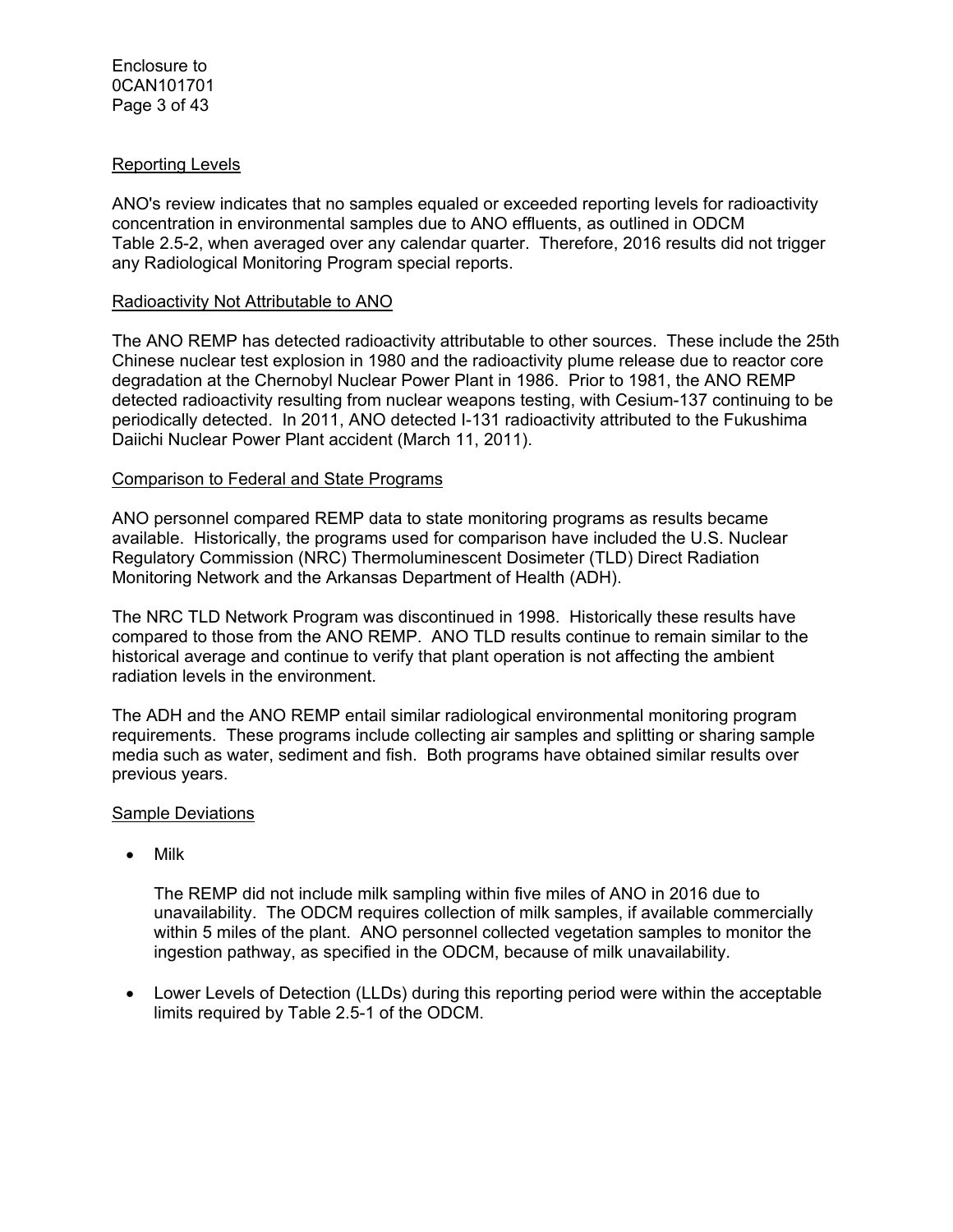#### Reporting Levels

ANO's review indicates that no samples equaled or exceeded reporting levels for radioactivity concentration in environmental samples due to ANO effluents, as outlined in ODCM Table 2.5-2, when averaged over any calendar quarter. Therefore, 2016 results did not trigger any Radiological Monitoring Program special reports.

#### Radioactivity Not Attributable to ANO

The ANO REMP has detected radioactivity attributable to other sources. These include the 25th Chinese nuclear test explosion in 1980 and the radioactivity plume release due to reactor core degradation at the Chernobyl Nuclear Power Plant in 1986. Prior to 1981, the ANO REMP detected radioactivity resulting from nuclear weapons testing, with Cesium-137 continuing to be periodically detected. In 2011, ANO detected I-131 radioactivity attributed to the Fukushima Daiichi Nuclear Power Plant accident (March 11, 2011).

#### Comparison to Federal and State Programs

ANO personnel compared REMP data to state monitoring programs as results became available. Historically, the programs used for comparison have included the U.S. Nuclear Regulatory Commission (NRC) Thermoluminescent Dosimeter (TLD) Direct Radiation Monitoring Network and the Arkansas Department of Health (ADH).

The NRC TLD Network Program was discontinued in 1998. Historically these results have compared to those from the ANO REMP. ANO TLD results continue to remain similar to the historical average and continue to verify that plant operation is not affecting the ambient radiation levels in the environment.

The ADH and the ANO REMP entail similar radiological environmental monitoring program requirements. These programs include collecting air samples and splitting or sharing sample media such as water, sediment and fish. Both programs have obtained similar results over previous years.

#### Sample Deviations

• Milk

The REMP did not include milk sampling within five miles of ANO in 2016 due to unavailability. The ODCM requires collection of milk samples, if available commercially within 5 miles of the plant. ANO personnel collected vegetation samples to monitor the ingestion pathway, as specified in the ODCM, because of milk unavailability.

 Lower Levels of Detection (LLDs) during this reporting period were within the acceptable limits required by Table 2.5-1 of the ODCM.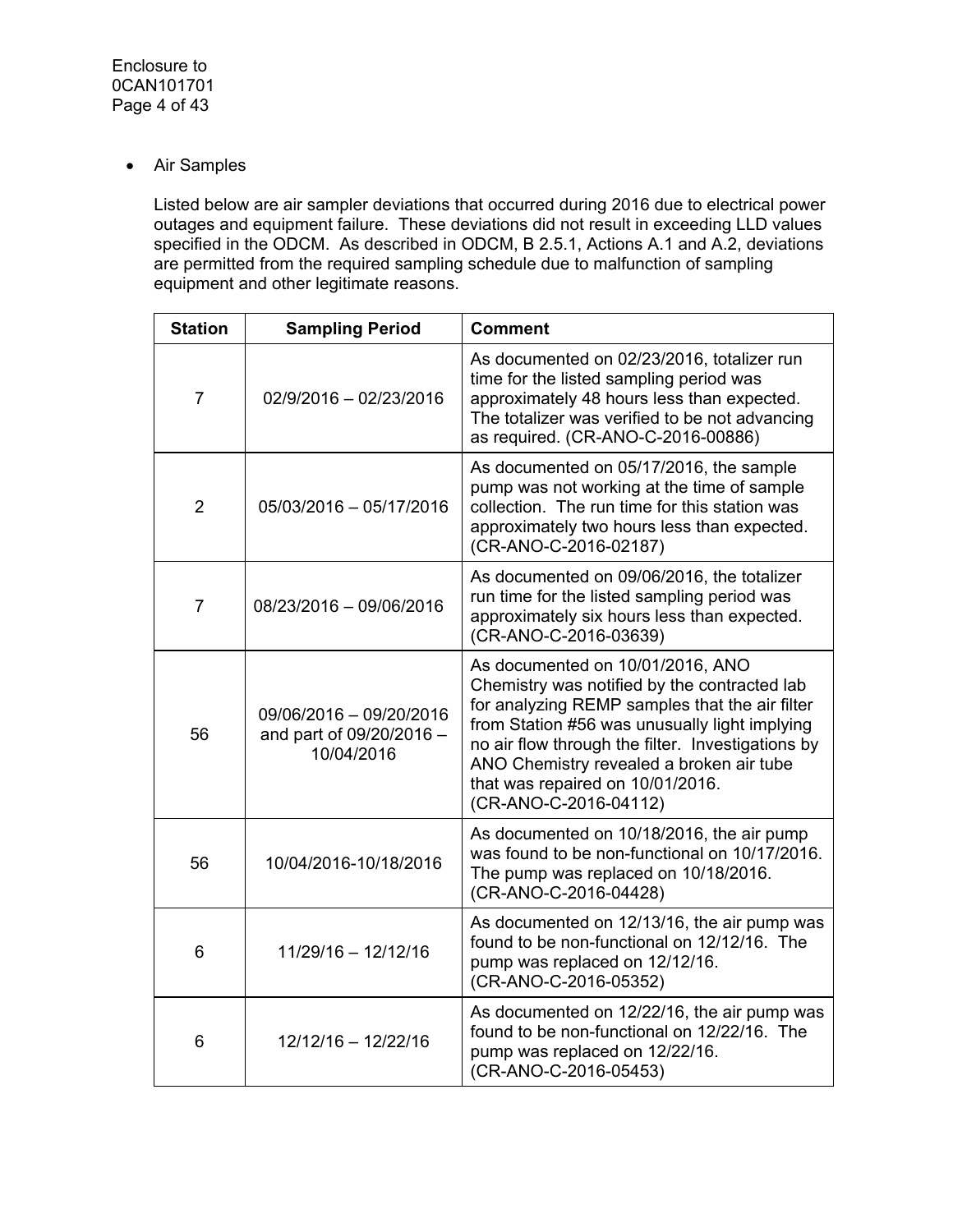Air Samples

Listed below are air sampler deviations that occurred during 2016 due to electrical power outages and equipment failure. These deviations did not result in exceeding LLD values specified in the ODCM. As described in ODCM, B 2.5.1, Actions A.1 and A.2, deviations are permitted from the required sampling schedule due to malfunction of sampling equipment and other legitimate reasons.

| <b>Station</b> | <b>Sampling Period</b>                                            | <b>Comment</b>                                                                                                                                                                                                                                                                                                                                    |
|----------------|-------------------------------------------------------------------|---------------------------------------------------------------------------------------------------------------------------------------------------------------------------------------------------------------------------------------------------------------------------------------------------------------------------------------------------|
| $\overline{7}$ | 02/9/2016 - 02/23/2016                                            | As documented on 02/23/2016, totalizer run<br>time for the listed sampling period was<br>approximately 48 hours less than expected.<br>The totalizer was verified to be not advancing<br>as required. (CR-ANO-C-2016-00886)                                                                                                                       |
| $\overline{2}$ | 05/03/2016 - 05/17/2016                                           | As documented on 05/17/2016, the sample<br>pump was not working at the time of sample<br>collection. The run time for this station was<br>approximately two hours less than expected.<br>(CR-ANO-C-2016-02187)                                                                                                                                    |
| $\overline{7}$ | 08/23/2016 - 09/06/2016                                           | As documented on 09/06/2016, the totalizer<br>run time for the listed sampling period was<br>approximately six hours less than expected.<br>(CR-ANO-C-2016-03639)                                                                                                                                                                                 |
| 56             | 09/06/2016 - 09/20/2016<br>and part of 09/20/2016 -<br>10/04/2016 | As documented on 10/01/2016, ANO<br>Chemistry was notified by the contracted lab<br>for analyzing REMP samples that the air filter<br>from Station #56 was unusually light implying<br>no air flow through the filter. Investigations by<br>ANO Chemistry revealed a broken air tube<br>that was repaired on 10/01/2016.<br>(CR-ANO-C-2016-04112) |
| 56             | 10/04/2016-10/18/2016                                             | As documented on 10/18/2016, the air pump<br>was found to be non-functional on 10/17/2016.<br>The pump was replaced on 10/18/2016.<br>(CR-ANO-C-2016-04428)                                                                                                                                                                                       |
| 6              | 11/29/16 - 12/12/16                                               | As documented on 12/13/16, the air pump was<br>found to be non-functional on 12/12/16. The<br>pump was replaced on 12/12/16.<br>(CR-ANO-C-2016-05352)                                                                                                                                                                                             |
| 6              | 12/12/16 - 12/22/16                                               | As documented on 12/22/16, the air pump was<br>found to be non-functional on 12/22/16. The<br>pump was replaced on 12/22/16.<br>(CR-ANO-C-2016-05453)                                                                                                                                                                                             |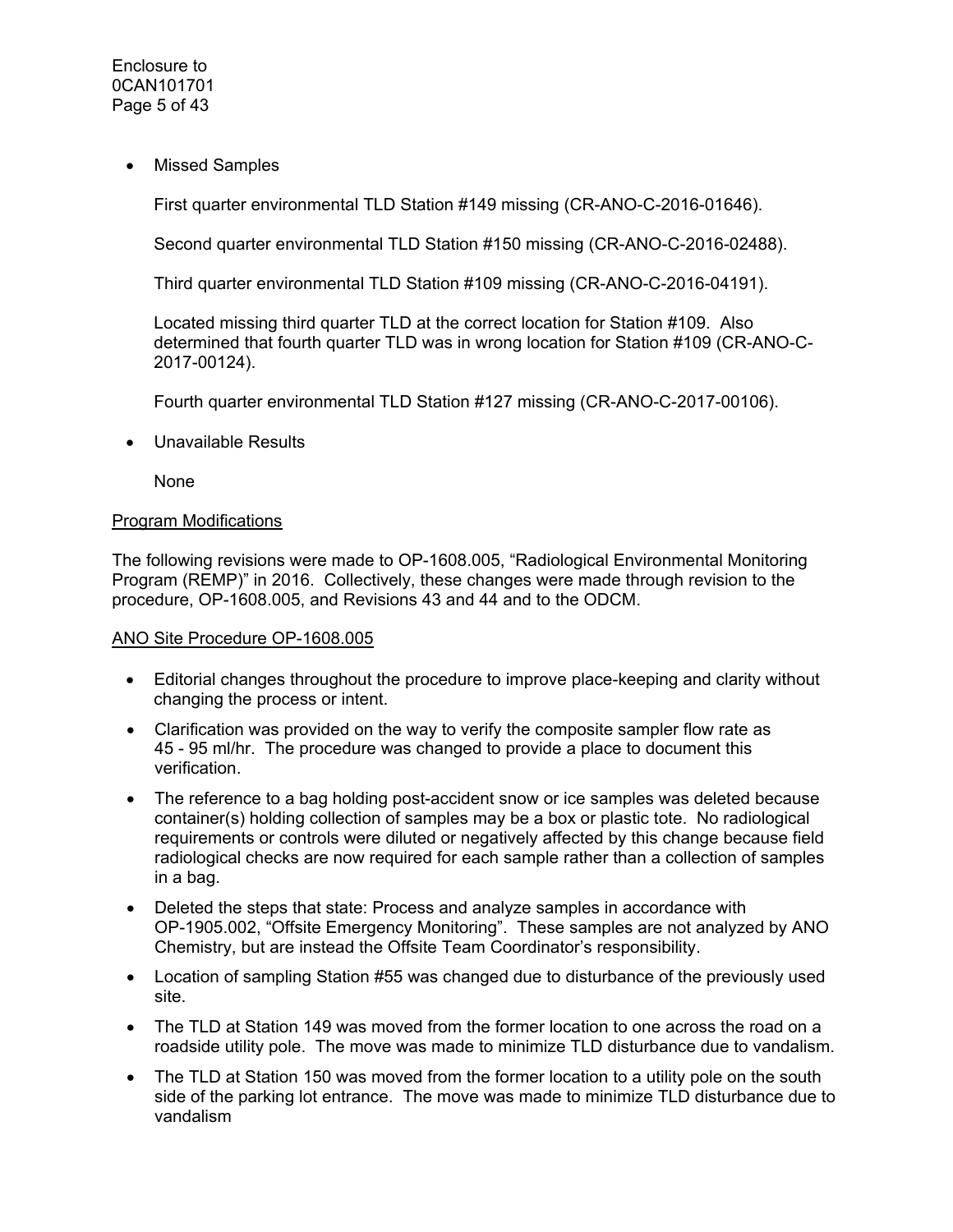• Missed Samples

First quarter environmental TLD Station #149 missing (CR-ANO-C-2016-01646).

Second quarter environmental TLD Station #150 missing (CR-ANO-C-2016-02488).

Third quarter environmental TLD Station #109 missing (CR-ANO-C-2016-04191).

Located missing third quarter TLD at the correct location for Station #109. Also determined that fourth quarter TLD was in wrong location for Station #109 (CR-ANO-C-2017-00124).

Fourth quarter environmental TLD Station #127 missing (CR-ANO-C-2017-00106).

Unavailable Results

None

#### Program Modifications

The following revisions were made to OP-1608.005, "Radiological Environmental Monitoring Program (REMP)" in 2016. Collectively, these changes were made through revision to the procedure, OP-1608.005, and Revisions 43 and 44 and to the ODCM.

#### ANO Site Procedure OP-1608.005

- Editorial changes throughout the procedure to improve place-keeping and clarity without changing the process or intent.
- Clarification was provided on the way to verify the composite sampler flow rate as 45 - 95 ml/hr. The procedure was changed to provide a place to document this verification.
- The reference to a bag holding post-accident snow or ice samples was deleted because container(s) holding collection of samples may be a box or plastic tote. No radiological requirements or controls were diluted or negatively affected by this change because field radiological checks are now required for each sample rather than a collection of samples in a bag.
- Deleted the steps that state: Process and analyze samples in accordance with OP-1905.002, "Offsite Emergency Monitoring". These samples are not analyzed by ANO Chemistry, but are instead the Offsite Team Coordinator's responsibility.
- Location of sampling Station #55 was changed due to disturbance of the previously used site.
- The TLD at Station 149 was moved from the former location to one across the road on a roadside utility pole. The move was made to minimize TLD disturbance due to vandalism.
- The TLD at Station 150 was moved from the former location to a utility pole on the south side of the parking lot entrance. The move was made to minimize TLD disturbance due to vandalism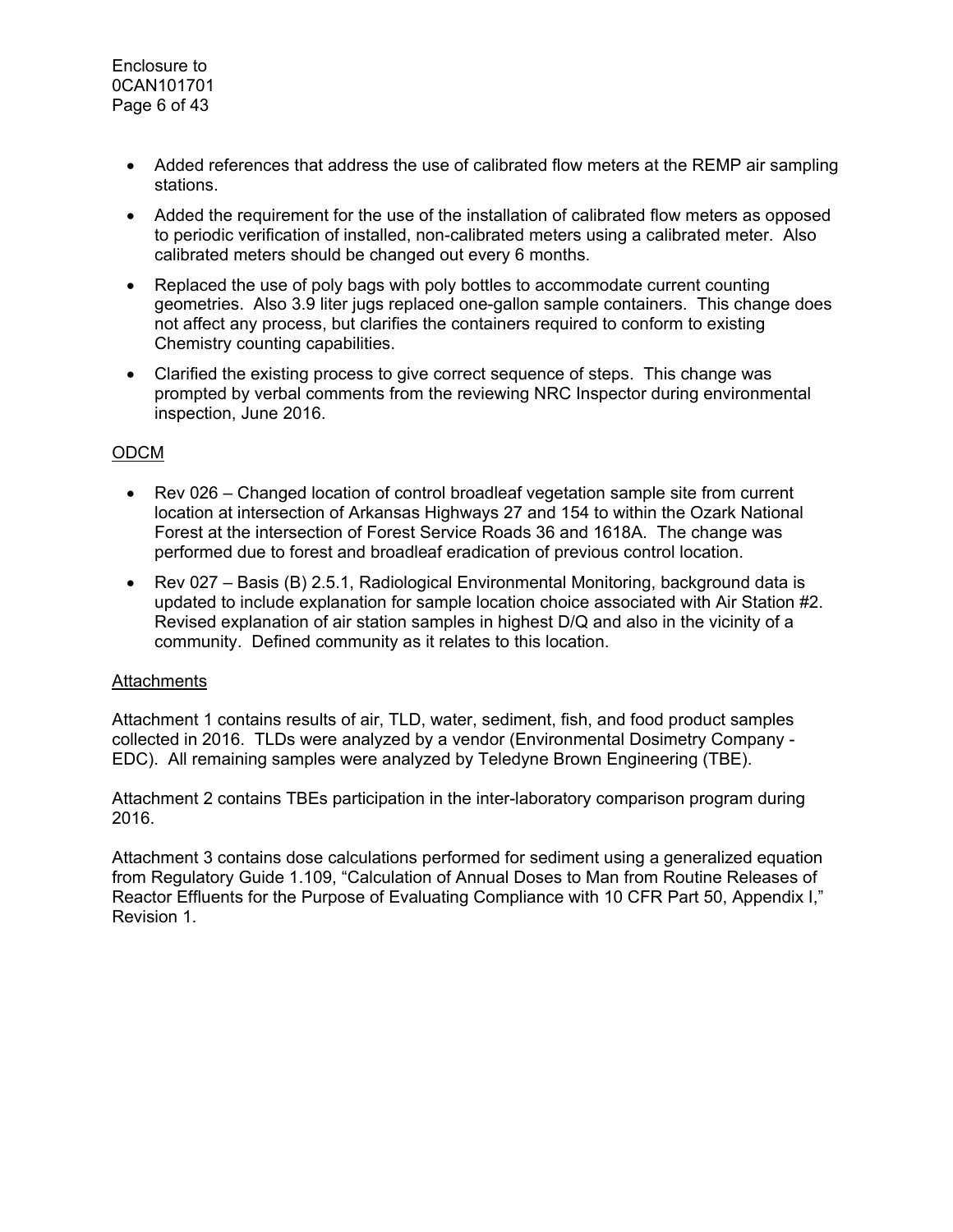Enclosure to 0CAN101701 Page 6 of 43

- Added references that address the use of calibrated flow meters at the REMP air sampling stations.
- Added the requirement for the use of the installation of calibrated flow meters as opposed to periodic verification of installed, non-calibrated meters using a calibrated meter. Also calibrated meters should be changed out every 6 months.
- Replaced the use of poly bags with poly bottles to accommodate current counting geometries. Also 3.9 liter jugs replaced one-gallon sample containers. This change does not affect any process, but clarifies the containers required to conform to existing Chemistry counting capabilities.
- Clarified the existing process to give correct sequence of steps. This change was prompted by verbal comments from the reviewing NRC Inspector during environmental inspection, June 2016.

## ODCM

- Rev 026 Changed location of control broadleaf vegetation sample site from current location at intersection of Arkansas Highways 27 and 154 to within the Ozark National Forest at the intersection of Forest Service Roads 36 and 1618A. The change was performed due to forest and broadleaf eradication of previous control location.
- Rev 027 Basis (B) 2.5.1, Radiological Environmental Monitoring, background data is updated to include explanation for sample location choice associated with Air Station #2. Revised explanation of air station samples in highest D/Q and also in the vicinity of a community. Defined community as it relates to this location.

#### Attachments

Attachment 1 contains results of air, TLD, water, sediment, fish, and food product samples collected in 2016. TLDs were analyzed by a vendor (Environmental Dosimetry Company - EDC). All remaining samples were analyzed by Teledyne Brown Engineering (TBE).

Attachment 2 contains TBEs participation in the inter-laboratory comparison program during 2016.

Attachment 3 contains dose calculations performed for sediment using a generalized equation from Regulatory Guide 1.109, "Calculation of Annual Doses to Man from Routine Releases of Reactor Effluents for the Purpose of Evaluating Compliance with 10 CFR Part 50, Appendix I," Revision 1.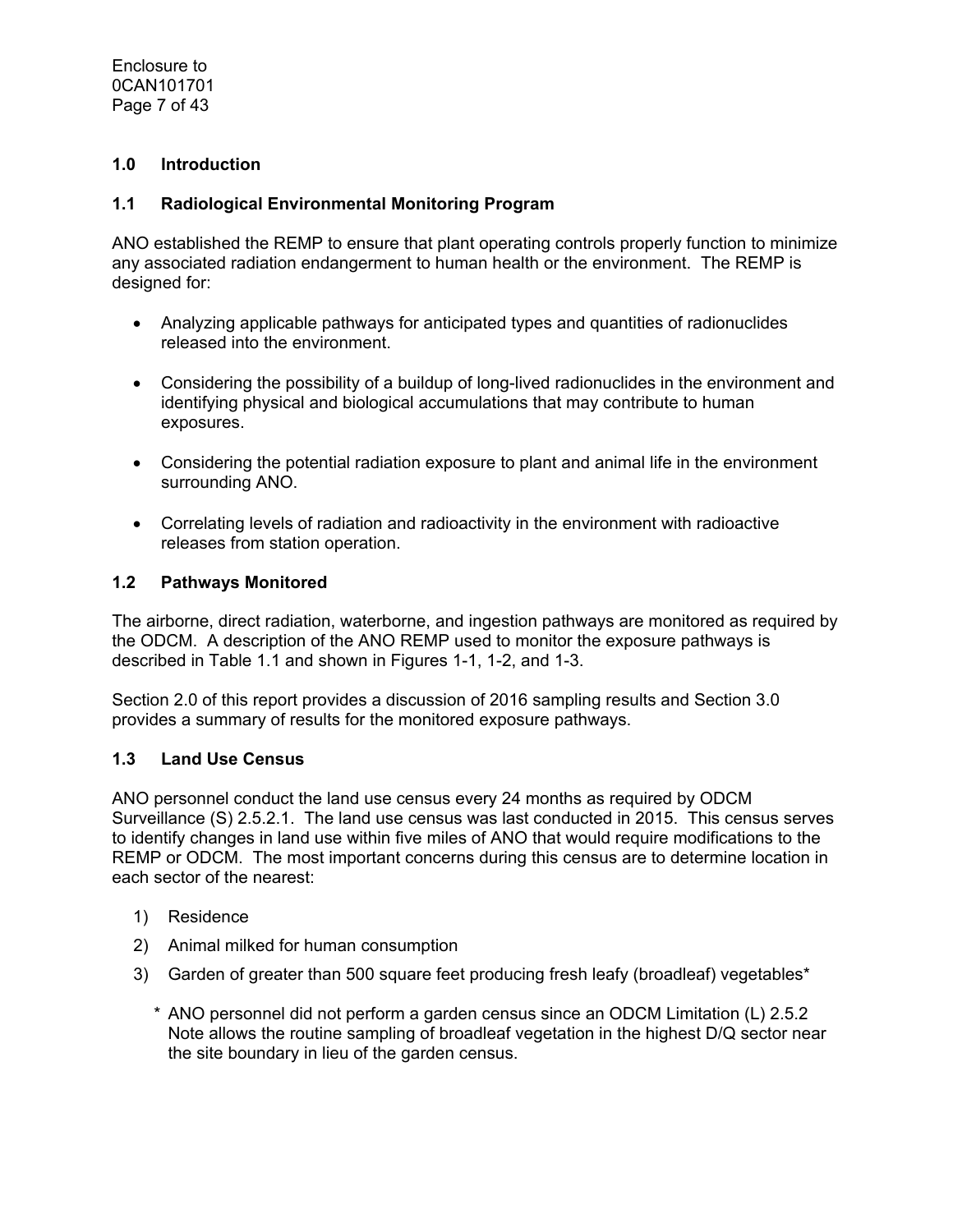Enclosure to 0CAN101701 Page 7 of 43

## **1.0 Introduction**

#### **1.1 Radiological Environmental Monitoring Program**

ANO established the REMP to ensure that plant operating controls properly function to minimize any associated radiation endangerment to human health or the environment. The REMP is designed for:

- Analyzing applicable pathways for anticipated types and quantities of radionuclides released into the environment.
- Considering the possibility of a buildup of long-lived radionuclides in the environment and identifying physical and biological accumulations that may contribute to human exposures.
- Considering the potential radiation exposure to plant and animal life in the environment surrounding ANO.
- Correlating levels of radiation and radioactivity in the environment with radioactive releases from station operation.

#### **1.2 Pathways Monitored**

The airborne, direct radiation, waterborne, and ingestion pathways are monitored as required by the ODCM. A description of the ANO REMP used to monitor the exposure pathways is described in Table 1.1 and shown in Figures 1-1, 1-2, and 1-3.

Section 2.0 of this report provides a discussion of 2016 sampling results and Section 3.0 provides a summary of results for the monitored exposure pathways.

#### **1.3 Land Use Census**

ANO personnel conduct the land use census every 24 months as required by ODCM Surveillance (S) 2.5.2.1. The land use census was last conducted in 2015. This census serves to identify changes in land use within five miles of ANO that would require modifications to the REMP or ODCM. The most important concerns during this census are to determine location in each sector of the nearest:

- 1) Residence
- 2) Animal milked for human consumption
- 3) Garden of greater than 500 square feet producing fresh leafy (broadleaf) vegetables\*
	- \* ANO personnel did not perform a garden census since an ODCM Limitation (L) 2.5.2 Note allows the routine sampling of broadleaf vegetation in the highest D/Q sector near the site boundary in lieu of the garden census.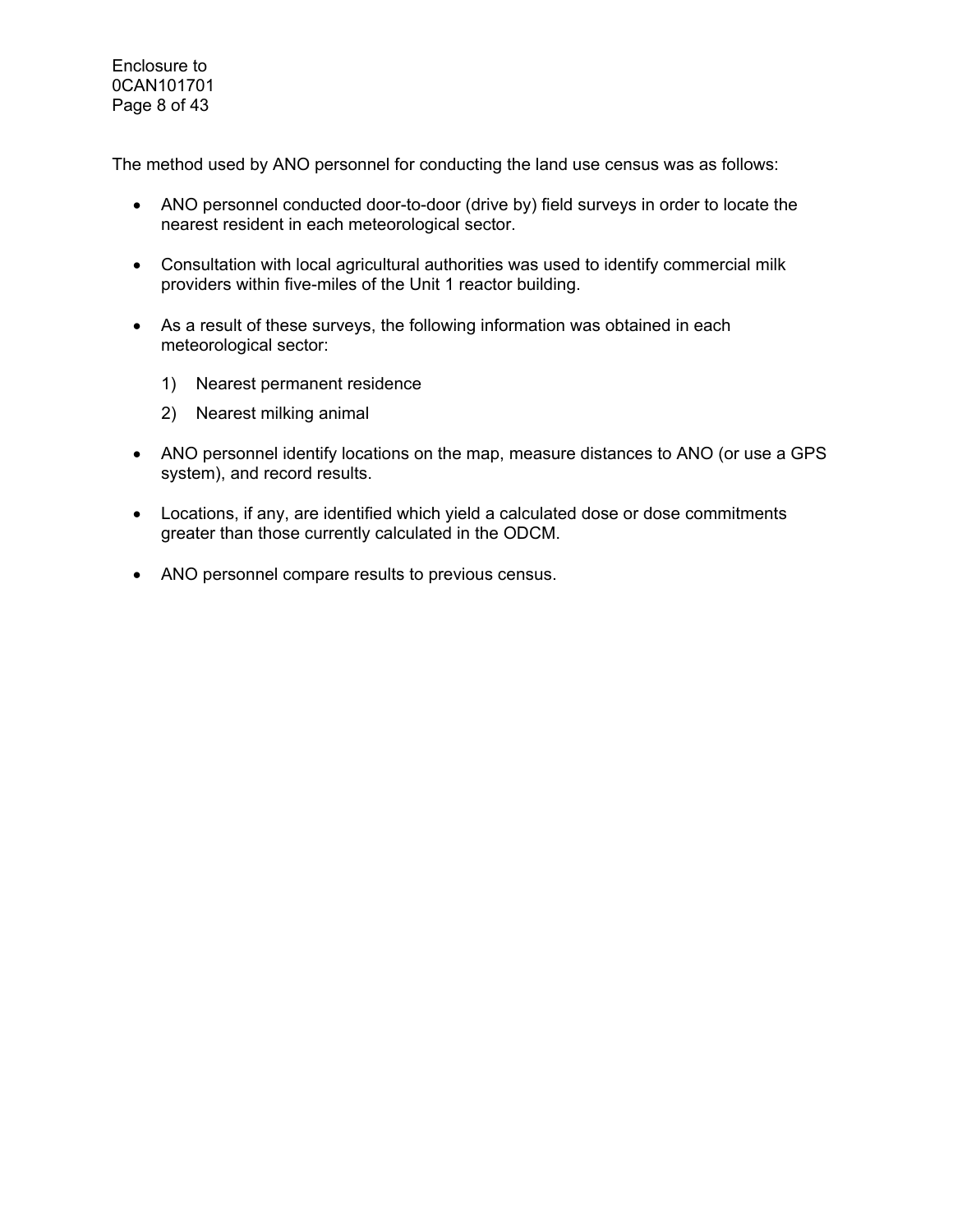Enclosure to 0CAN101701 Page 8 of 43

The method used by ANO personnel for conducting the land use census was as follows:

- ANO personnel conducted door-to-door (drive by) field surveys in order to locate the nearest resident in each meteorological sector.
- Consultation with local agricultural authorities was used to identify commercial milk providers within five-miles of the Unit 1 reactor building.
- As a result of these surveys, the following information was obtained in each meteorological sector:
	- 1) Nearest permanent residence
	- 2) Nearest milking animal
- ANO personnel identify locations on the map, measure distances to ANO (or use a GPS system), and record results.
- Locations, if any, are identified which yield a calculated dose or dose commitments greater than those currently calculated in the ODCM.
- ANO personnel compare results to previous census.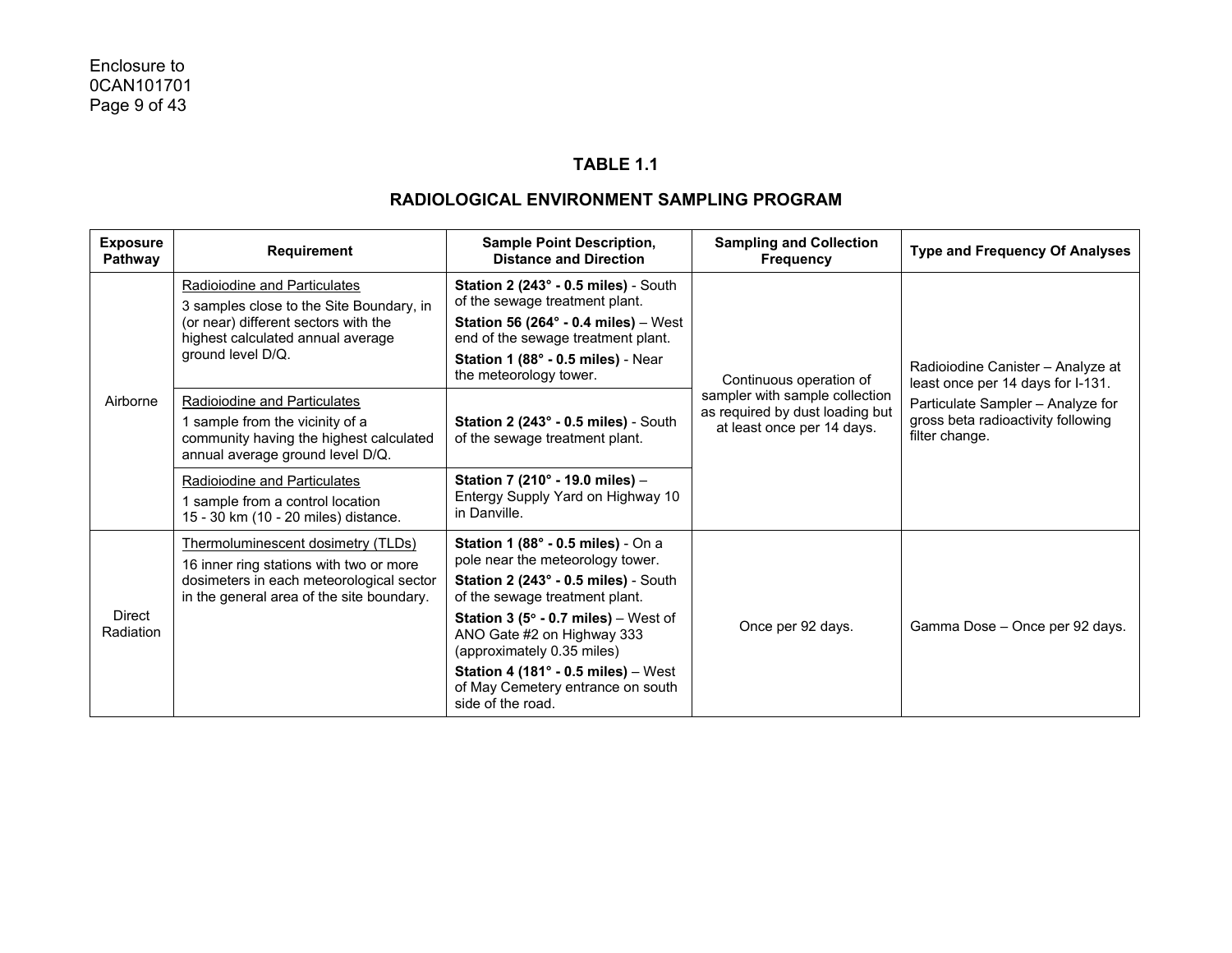#### **TABLE 1.1**

| <b>Exposure</b><br>Pathway | Requirement                                                                                                                                                                | <b>Sample Point Description,</b><br><b>Distance and Direction</b>                                                                                                                                                                                                                                                                                                                         | <b>Sampling and Collection</b><br><b>Frequency</b>                                              | <b>Type and Frequency Of Analyses</b>                                                                                                                               |
|----------------------------|----------------------------------------------------------------------------------------------------------------------------------------------------------------------------|-------------------------------------------------------------------------------------------------------------------------------------------------------------------------------------------------------------------------------------------------------------------------------------------------------------------------------------------------------------------------------------------|-------------------------------------------------------------------------------------------------|---------------------------------------------------------------------------------------------------------------------------------------------------------------------|
| Airborne                   | Radioiodine and Particulates<br>3 samples close to the Site Boundary, in<br>(or near) different sectors with the<br>highest calculated annual average<br>ground level D/Q. | Station 2 (243° - 0.5 miles) - South<br>of the sewage treatment plant.<br>Station 56 (264 $\degree$ - 0.4 miles) - West<br>end of the sewage treatment plant.<br>Station 1 (88° - 0.5 miles) - Near<br>the meteorology tower.                                                                                                                                                             | Continuous operation of                                                                         | Radioiodine Canister - Analyze at<br>least once per 14 days for I-131.<br>Particulate Sampler - Analyze for<br>gross beta radioactivity following<br>filter change. |
|                            | Radioiodine and Particulates<br>1 sample from the vicinity of a<br>community having the highest calculated<br>annual average ground level D/Q.                             | Station 2 (243° - 0.5 miles) - South<br>of the sewage treatment plant.                                                                                                                                                                                                                                                                                                                    | sampler with sample collection<br>as required by dust loading but<br>at least once per 14 days. |                                                                                                                                                                     |
|                            | Radioiodine and Particulates<br>1 sample from a control location<br>15 - 30 km (10 - 20 miles) distance.                                                                   | Station 7 (210° - 19.0 miles) -<br>Entergy Supply Yard on Highway 10<br>in Danville.                                                                                                                                                                                                                                                                                                      |                                                                                                 |                                                                                                                                                                     |
| Direct<br>Radiation        | Thermoluminescent dosimetry (TLDs)<br>16 inner ring stations with two or more<br>dosimeters in each meteorological sector<br>in the general area of the site boundary.     | Station 1 (88° - 0.5 miles) - On a<br>pole near the meteorology tower.<br>Station 2 (243° - 0.5 miles) - South<br>of the sewage treatment plant.<br><b>Station 3 (5<math>\degree</math> - 0.7 miles)</b> – West of<br>ANO Gate #2 on Highway 333<br>(approximately 0.35 miles)<br>Station 4 (181 $^{\circ}$ - 0.5 miles) - West<br>of May Cemetery entrance on south<br>side of the road. | Once per 92 days.                                                                               | Gamma Dose - Once per 92 days.                                                                                                                                      |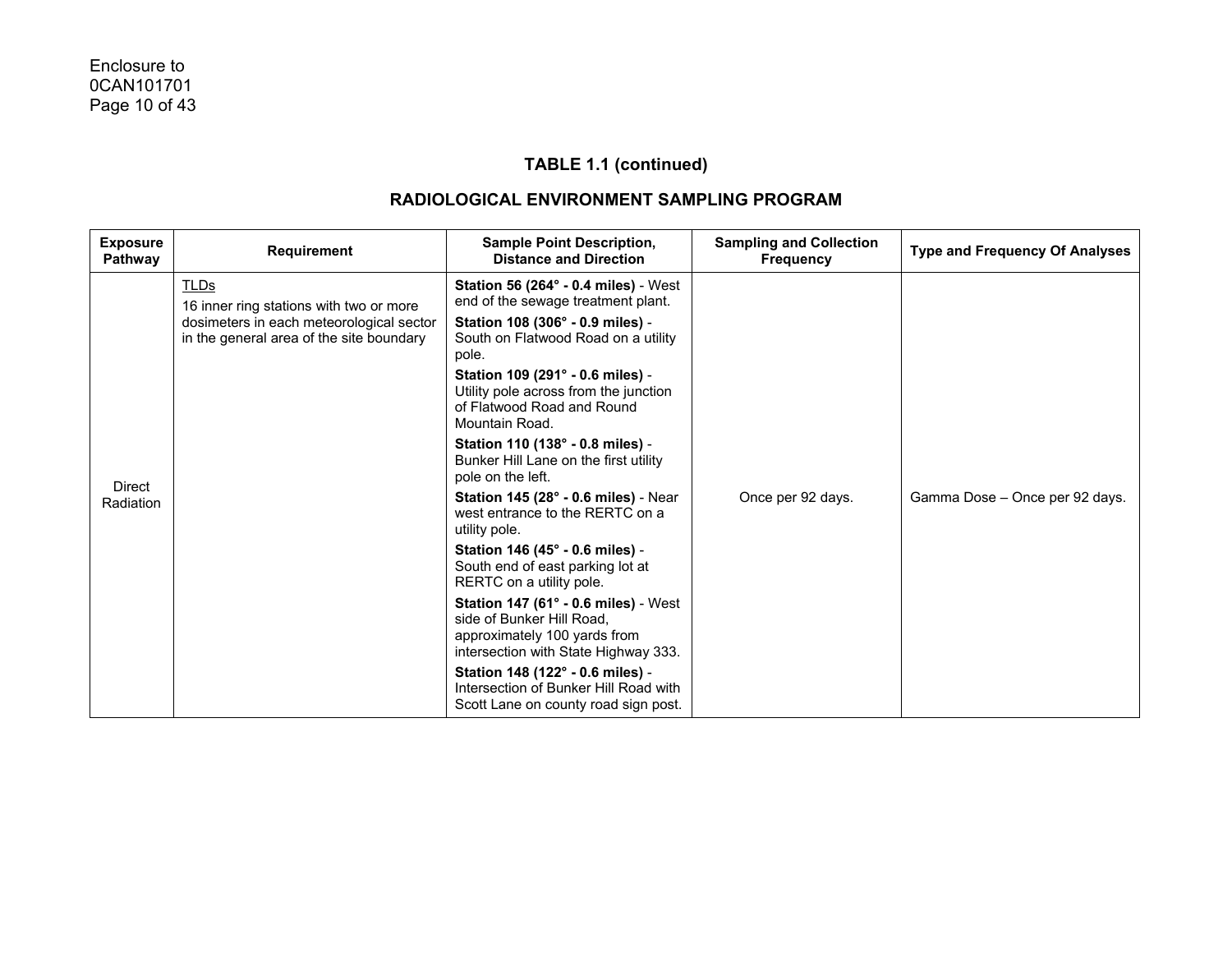| <b>Exposure</b><br>Pathway | Requirement                                                                                                                                    | <b>Sample Point Description,</b><br><b>Distance and Direction</b>                                                                                                                                                                                                                                                                                                                                                                                                                                                                                                                                                                                                                                                                                                                                                                                                            | <b>Sampling and Collection</b><br><b>Frequency</b> | <b>Type and Frequency Of Analyses</b> |
|----------------------------|------------------------------------------------------------------------------------------------------------------------------------------------|------------------------------------------------------------------------------------------------------------------------------------------------------------------------------------------------------------------------------------------------------------------------------------------------------------------------------------------------------------------------------------------------------------------------------------------------------------------------------------------------------------------------------------------------------------------------------------------------------------------------------------------------------------------------------------------------------------------------------------------------------------------------------------------------------------------------------------------------------------------------------|----------------------------------------------------|---------------------------------------|
| <b>Direct</b><br>Radiation | <b>TLDs</b><br>16 inner ring stations with two or more<br>dosimeters in each meteorological sector<br>in the general area of the site boundary | <b>Station 56 (264° - 0.4 miles)</b> - West<br>end of the sewage treatment plant.<br>Station 108 (306° - 0.9 miles) -<br>South on Flatwood Road on a utility<br>pole.<br>Station 109 (291° - 0.6 miles) -<br>Utility pole across from the junction<br>of Flatwood Road and Round<br>Mountain Road.<br>Station 110 (138° - 0.8 miles) -<br>Bunker Hill Lane on the first utility<br>pole on the left.<br>Station 145 (28° - 0.6 miles) - Near<br>west entrance to the RERTC on a<br>utility pole.<br>Station 146 (45° - 0.6 miles) -<br>South end of east parking lot at<br>RERTC on a utility pole.<br><b>Station 147 (61° - 0.6 miles)</b> - West<br>side of Bunker Hill Road,<br>approximately 100 yards from<br>intersection with State Highway 333.<br>Station 148 (122° - 0.6 miles) -<br>Intersection of Bunker Hill Road with<br>Scott Lane on county road sign post. | Once per 92 days.                                  | Gamma Dose - Once per 92 days.        |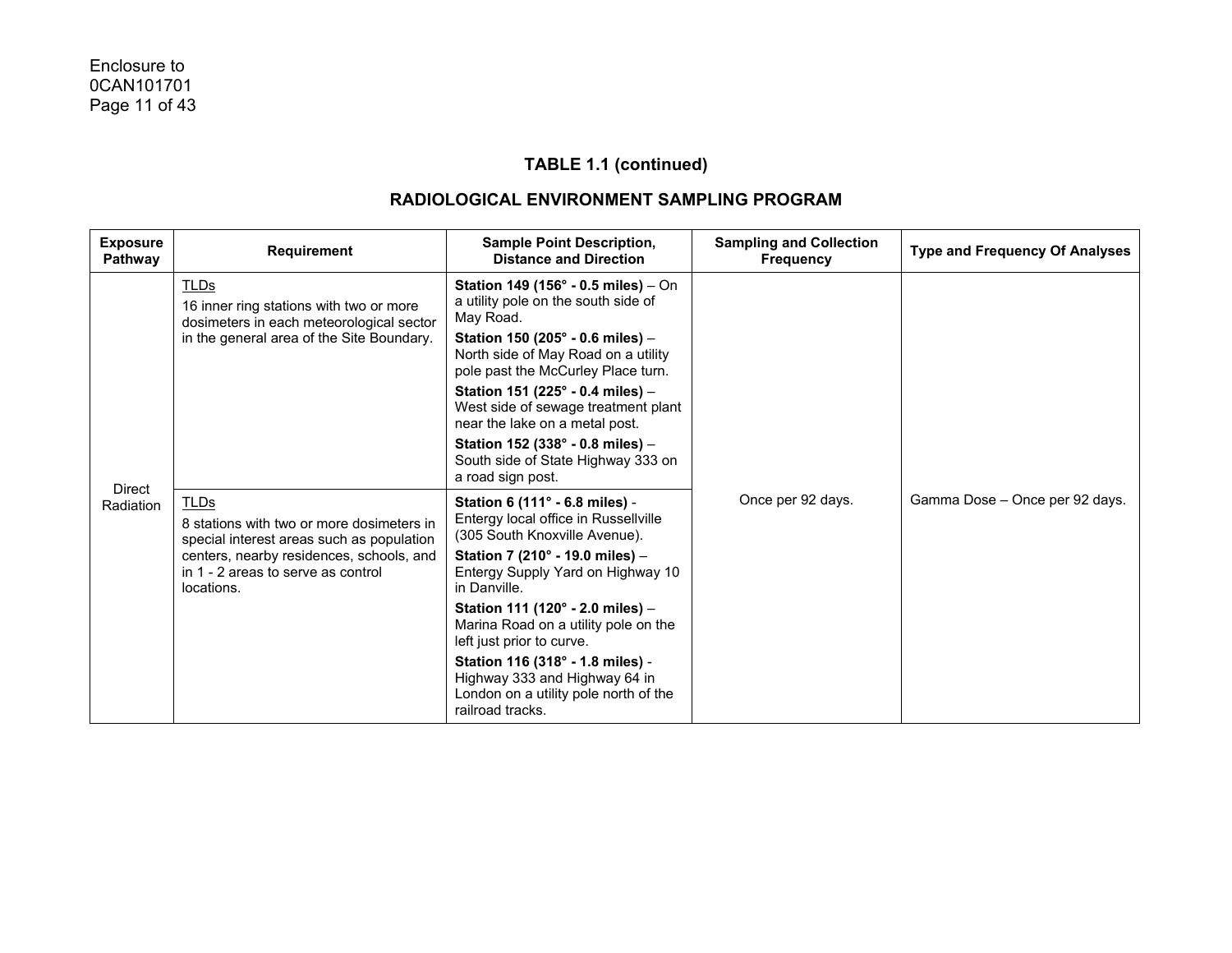| <b>Exposure</b><br><b>Pathway</b> | <b>Requirement</b>                                                                                                                                                                                    | <b>Sample Point Description,</b><br><b>Distance and Direction</b>                                                                                                                                                                                                                                                                                                                                                                          | <b>Sampling and Collection</b><br><b>Frequency</b> | <b>Type and Frequency Of Analyses</b> |
|-----------------------------------|-------------------------------------------------------------------------------------------------------------------------------------------------------------------------------------------------------|--------------------------------------------------------------------------------------------------------------------------------------------------------------------------------------------------------------------------------------------------------------------------------------------------------------------------------------------------------------------------------------------------------------------------------------------|----------------------------------------------------|---------------------------------------|
|                                   | <b>TLDs</b><br>16 inner ring stations with two or more<br>dosimeters in each meteorological sector<br>in the general area of the Site Boundary.                                                       | Station 149 (156° - 0.5 miles) - On<br>a utility pole on the south side of<br>May Road.<br>Station 150 (205° - 0.6 miles) -<br>North side of May Road on a utility<br>pole past the McCurley Place turn.<br>Station 151 (225° - 0.4 miles) -<br>West side of sewage treatment plant<br>near the lake on a metal post.<br>Station 152 (338° - 0.8 miles) -<br>South side of State Highway 333 on<br>a road sign post.                       |                                                    |                                       |
| <b>Direct</b><br>Radiation        | <b>TLDs</b><br>8 stations with two or more dosimeters in<br>special interest areas such as population<br>centers, nearby residences, schools, and<br>in 1 - 2 areas to serve as control<br>locations. | Station 6 (111° - 6.8 miles) -<br>Entergy local office in Russellville<br>(305 South Knoxville Avenue).<br>Station 7 (210° - 19.0 miles) -<br>Entergy Supply Yard on Highway 10<br>in Danville.<br>Station 111 (120° - 2.0 miles) -<br>Marina Road on a utility pole on the<br>left just prior to curve.<br>Station 116 (318° - 1.8 miles) -<br>Highway 333 and Highway 64 in<br>London on a utility pole north of the<br>railroad tracks. | Once per 92 days.                                  | Gamma Dose - Once per 92 days.        |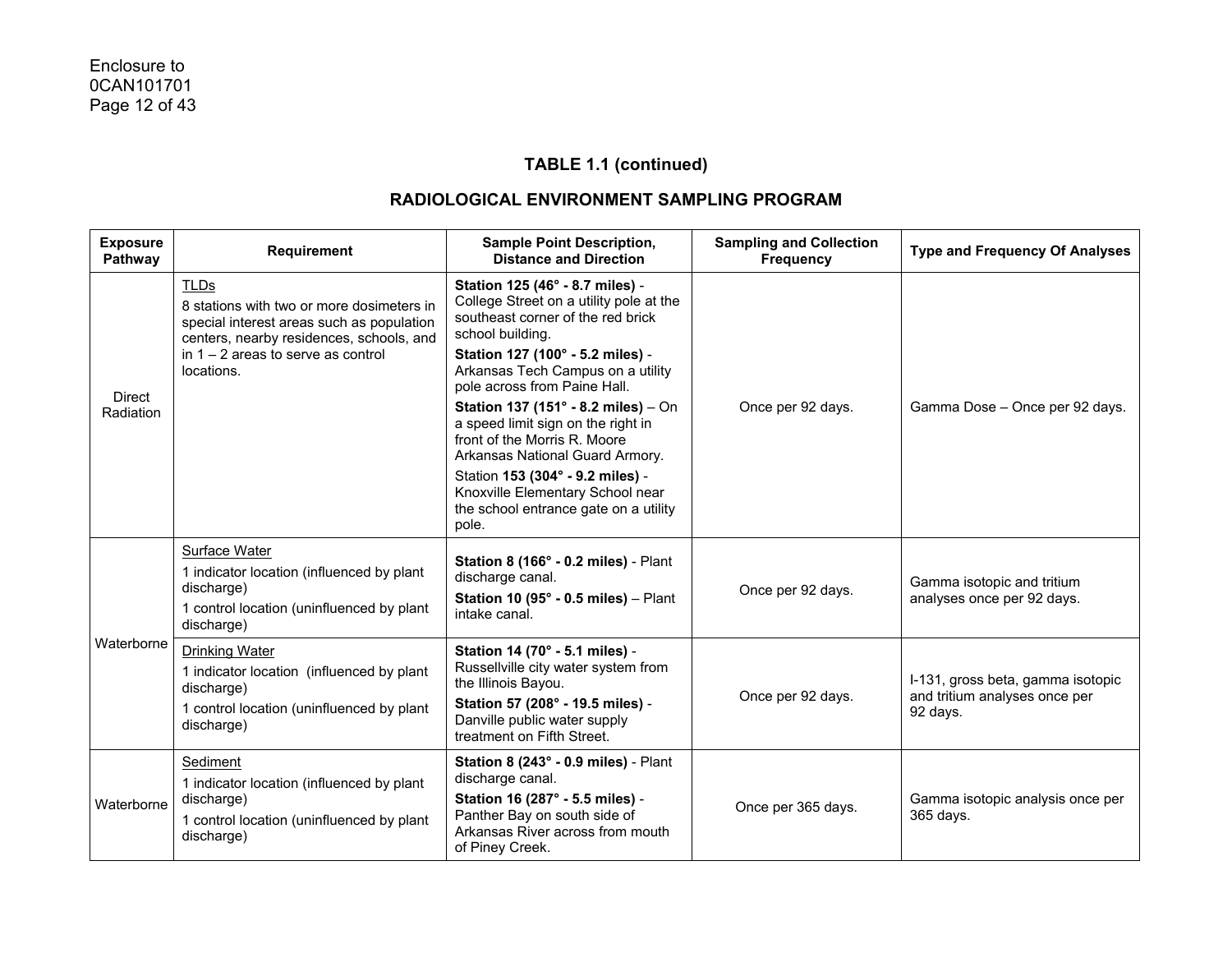| <b>Exposure</b><br>Pathway | <b>Requirement</b>                                                                                                                                                                                      | <b>Sample Point Description,</b><br><b>Distance and Direction</b>                                                                                                                                                                                                                                                                                                                                                                                                                                                      | <b>Sampling and Collection</b><br><b>Frequency</b> | <b>Type and Frequency Of Analyses</b>                                          |
|----------------------------|---------------------------------------------------------------------------------------------------------------------------------------------------------------------------------------------------------|------------------------------------------------------------------------------------------------------------------------------------------------------------------------------------------------------------------------------------------------------------------------------------------------------------------------------------------------------------------------------------------------------------------------------------------------------------------------------------------------------------------------|----------------------------------------------------|--------------------------------------------------------------------------------|
| Direct<br>Radiation        | <b>TLDs</b><br>8 stations with two or more dosimeters in<br>special interest areas such as population<br>centers, nearby residences, schools, and<br>in $1 - 2$ areas to serve as control<br>locations. | Station 125 (46° - 8.7 miles) -<br>College Street on a utility pole at the<br>southeast corner of the red brick<br>school building.<br>Station 127 (100° - 5.2 miles) -<br>Arkansas Tech Campus on a utility<br>pole across from Paine Hall.<br>Station 137 (151° - 8.2 miles) - On<br>a speed limit sign on the right in<br>front of the Morris R. Moore<br>Arkansas National Guard Armory.<br>Station 153 (304° - 9.2 miles) -<br>Knoxville Elementary School near<br>the school entrance gate on a utility<br>pole. | Once per 92 days.                                  | Gamma Dose - Once per 92 days.                                                 |
| Waterborne                 | <b>Surface Water</b><br>1 indicator location (influenced by plant<br>discharge)<br>1 control location (uninfluenced by plant<br>discharge)                                                              | Station 8 (166° - 0.2 miles) - Plant<br>discharge canal.<br>Station 10 (95 $^{\circ}$ - 0.5 miles) - Plant<br>intake canal.                                                                                                                                                                                                                                                                                                                                                                                            | Once per 92 days.                                  | Gamma isotopic and tritium<br>analyses once per 92 days.                       |
|                            | Drinking Water<br>1 indicator location (influenced by plant<br>discharge)<br>1 control location (uninfluenced by plant<br>discharge)                                                                    | Station 14 (70° - 5.1 miles) -<br>Russellville city water system from<br>the Illinois Bayou.<br>Station 57 (208° - 19.5 miles) -<br>Danville public water supply<br>treatment on Fifth Street.                                                                                                                                                                                                                                                                                                                         | Once per 92 days.                                  | I-131, gross beta, gamma isotopic<br>and tritium analyses once per<br>92 days. |
| Waterborne                 | Sediment<br>1 indicator location (influenced by plant<br>discharge)<br>1 control location (uninfluenced by plant<br>discharge)                                                                          | Station 8 (243° - 0.9 miles) - Plant<br>discharge canal.<br>Station 16 (287° - 5.5 miles) -<br>Panther Bay on south side of<br>Arkansas River across from mouth<br>of Piney Creek.                                                                                                                                                                                                                                                                                                                                     | Once per 365 days.                                 | Gamma isotopic analysis once per<br>365 days.                                  |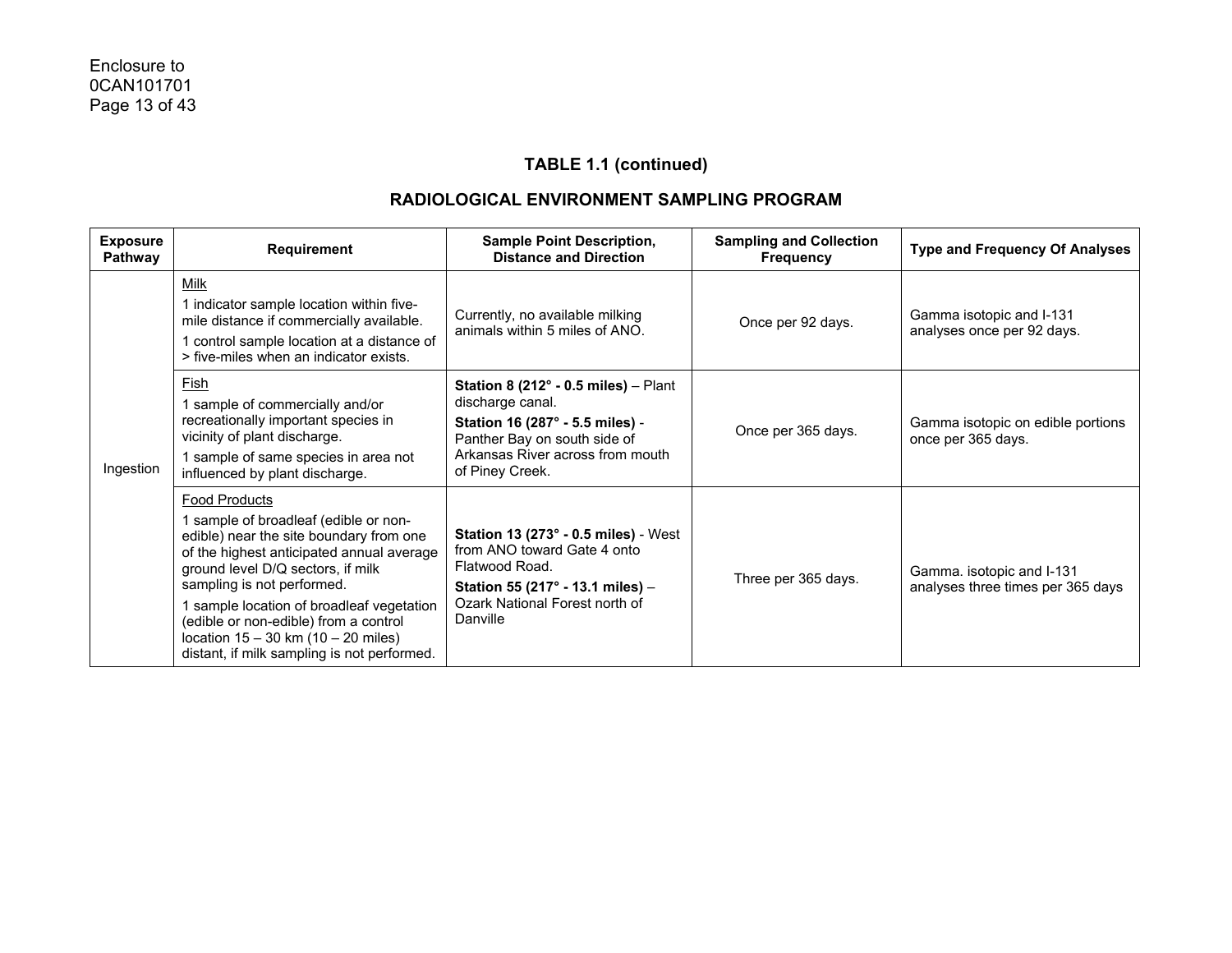| <b>Exposure</b><br><b>Pathway</b> | Requirement                                                                                                                                                                                                                                                                                                                                                                                              | <b>Sample Point Description,</b><br><b>Distance and Direction</b>                                                                                                                           | <b>Sampling and Collection</b><br><b>Frequency</b> | <b>Type and Frequency Of Analyses</b>                          |
|-----------------------------------|----------------------------------------------------------------------------------------------------------------------------------------------------------------------------------------------------------------------------------------------------------------------------------------------------------------------------------------------------------------------------------------------------------|---------------------------------------------------------------------------------------------------------------------------------------------------------------------------------------------|----------------------------------------------------|----------------------------------------------------------------|
| Ingestion                         | <b>Milk</b><br>1 indicator sample location within five-<br>mile distance if commercially available.<br>1 control sample location at a distance of<br>> five-miles when an indicator exists.                                                                                                                                                                                                              | Currently, no available milking<br>animals within 5 miles of ANO.                                                                                                                           | Once per 92 days.                                  | Gamma isotopic and I-131<br>analyses once per 92 days.         |
|                                   | Fish<br>1 sample of commercially and/or<br>recreationally important species in<br>vicinity of plant discharge.<br>1 sample of same species in area not<br>influenced by plant discharge.                                                                                                                                                                                                                 | Station 8 $(212^{\circ} - 0.5$ miles) – Plant<br>discharge canal.<br>Station 16 (287° - 5.5 miles) -<br>Panther Bay on south side of<br>Arkansas River across from mouth<br>of Piney Creek. | Once per 365 days.                                 | Gamma isotopic on edible portions<br>once per 365 days.        |
|                                   | <b>Food Products</b><br>1 sample of broadleaf (edible or non-<br>edible) near the site boundary from one<br>of the highest anticipated annual average<br>ground level D/Q sectors, if milk<br>sampling is not performed.<br>1 sample location of broadleaf vegetation<br>(edible or non-edible) from a control<br>location $15 - 30$ km $(10 - 20$ miles)<br>distant, if milk sampling is not performed. | Station 13 (273° - 0.5 miles) - West<br>from ANO toward Gate 4 onto<br>Flatwood Road.<br>Station 55 (217° - 13.1 miles) -<br>Ozark National Forest north of<br>Danville                     | Three per 365 days.                                | Gamma. isotopic and I-131<br>analyses three times per 365 days |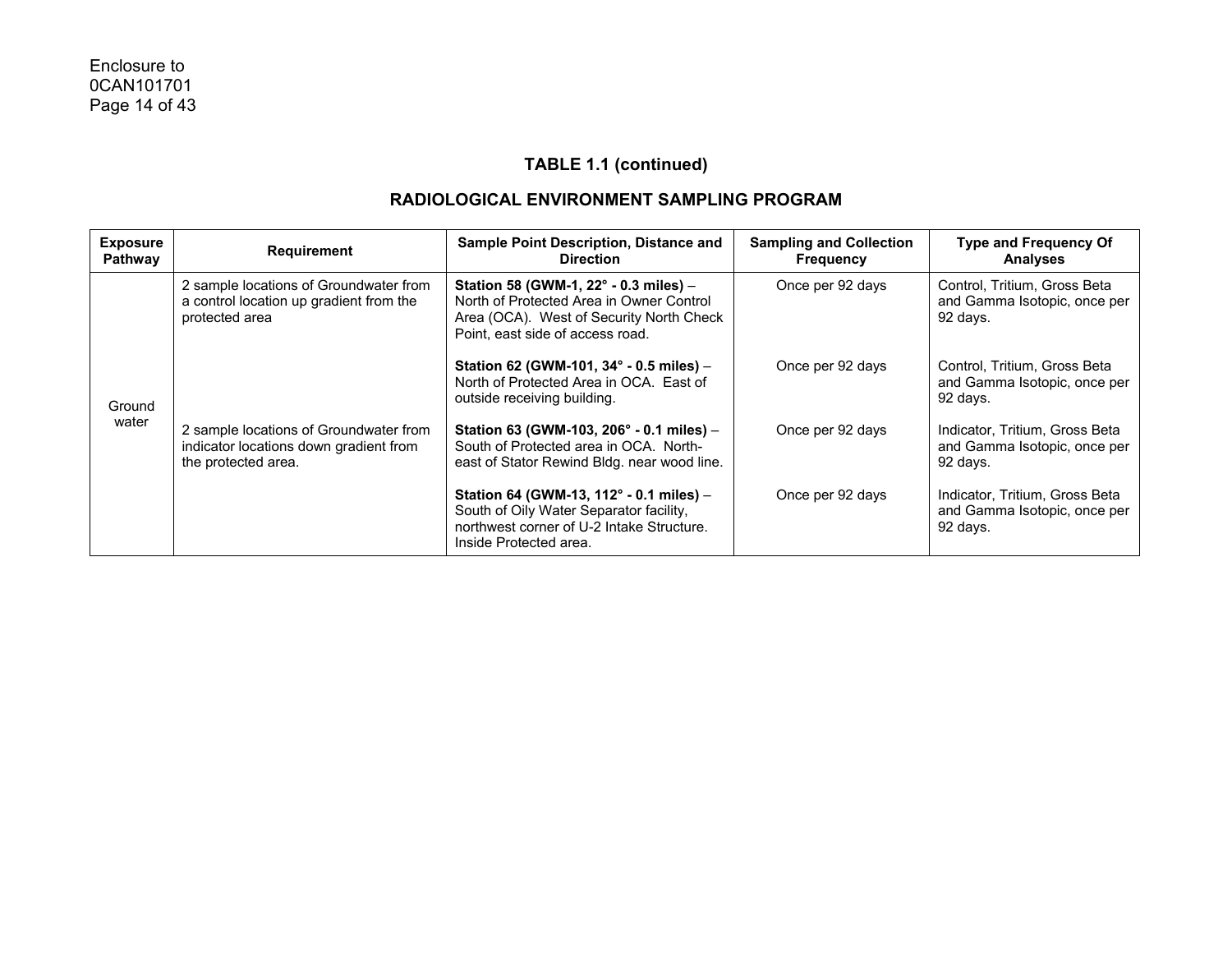| <b>Exposure</b><br>Pathway | <b>Requirement</b>                                                                                      | Sample Point Description, Distance and<br><b>Direction</b>                                                                                                        | <b>Sampling and Collection</b><br><b>Frequency</b> | <b>Type and Frequency Of</b><br><b>Analyses</b>                            |
|----------------------------|---------------------------------------------------------------------------------------------------------|-------------------------------------------------------------------------------------------------------------------------------------------------------------------|----------------------------------------------------|----------------------------------------------------------------------------|
|                            | 2 sample locations of Groundwater from<br>a control location up gradient from the<br>protected area     | Station 58 (GWM-1, 22° - 0.3 miles) -<br>North of Protected Area in Owner Control<br>Area (OCA). West of Security North Check<br>Point, east side of access road. | Once per 92 days                                   | Control, Tritium, Gross Beta<br>and Gamma Isotopic, once per<br>92 days.   |
| Ground                     | 2 sample locations of Groundwater from<br>indicator locations down gradient from<br>the protected area. | Station 62 (GWM-101, 34° - 0.5 miles) -<br>North of Protected Area in OCA. East of<br>outside receiving building.                                                 | Once per 92 days                                   | Control, Tritium, Gross Beta<br>and Gamma Isotopic, once per<br>92 days.   |
| water                      |                                                                                                         | Station 63 (GWM-103, 206° - 0.1 miles) -<br>South of Protected area in OCA. North-<br>east of Stator Rewind Bldg. near wood line.                                 | Once per 92 days                                   | Indicator, Tritium, Gross Beta<br>and Gamma Isotopic, once per<br>92 days. |
|                            |                                                                                                         | Station 64 (GWM-13, 112° - 0.1 miles) -<br>South of Oily Water Separator facility,<br>northwest corner of U-2 Intake Structure.<br>Inside Protected area.         | Once per 92 days                                   | Indicator, Tritium, Gross Beta<br>and Gamma Isotopic, once per<br>92 days. |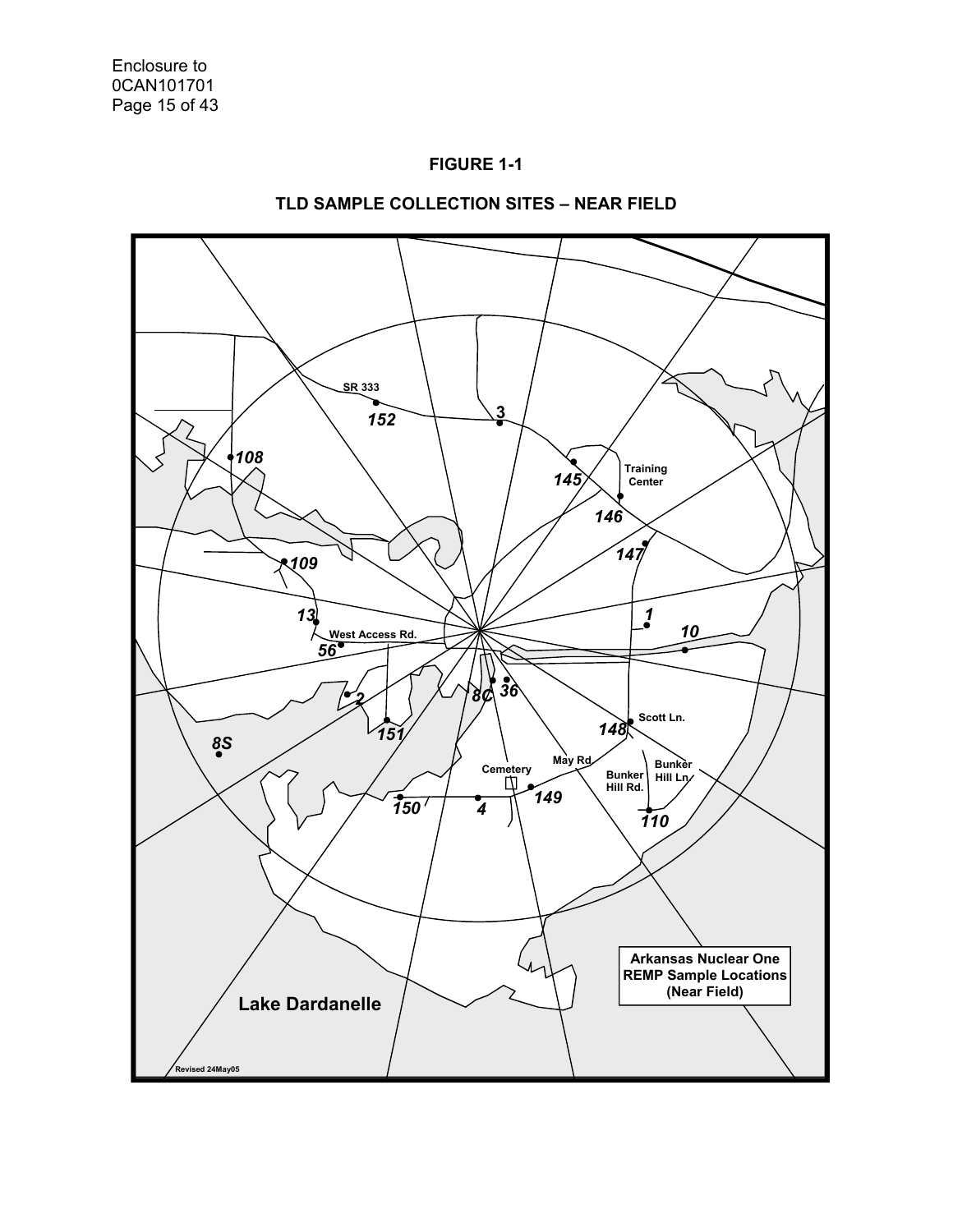



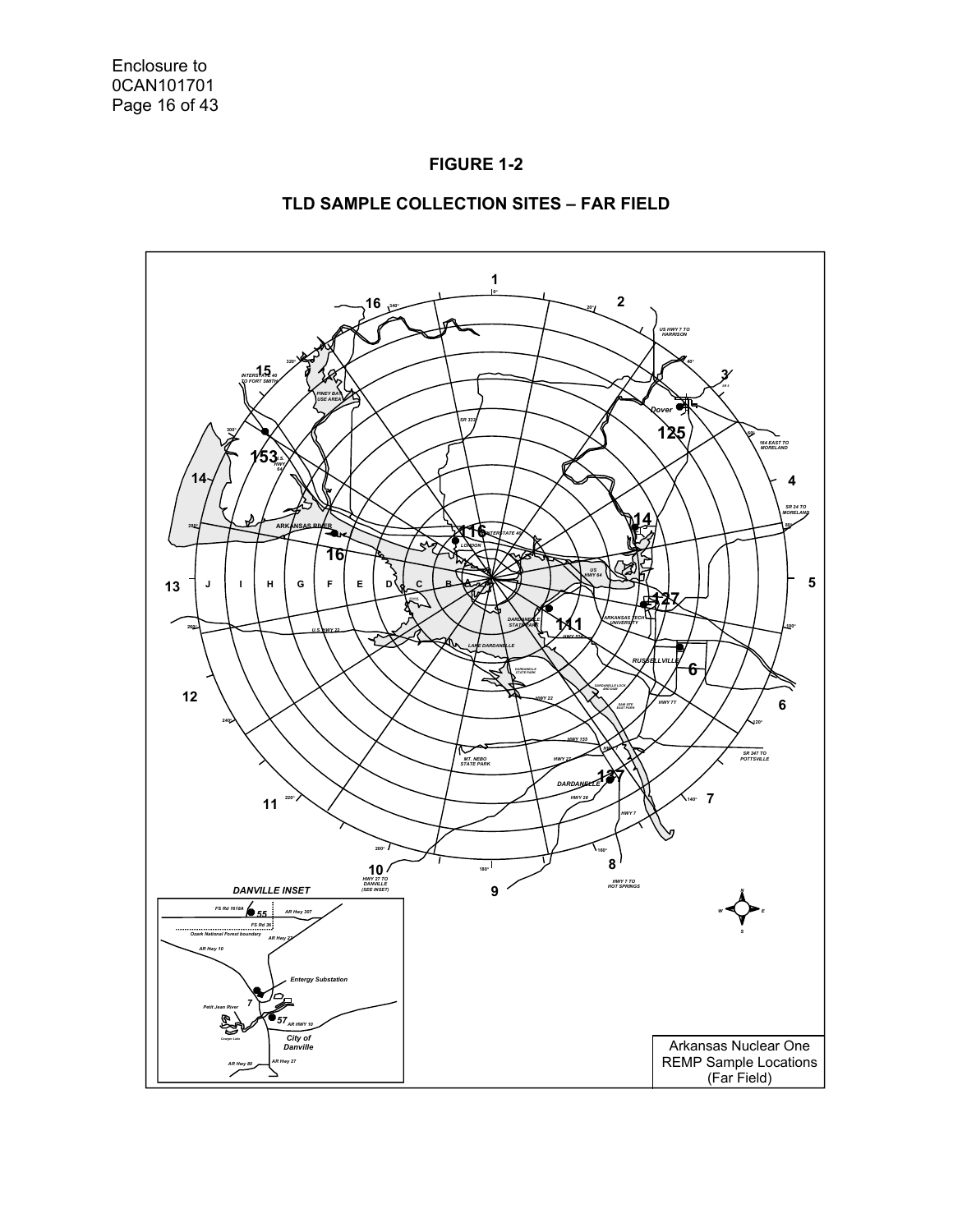

#### **TLD SAMPLE COLLECTION SITES – FAR FIELD**

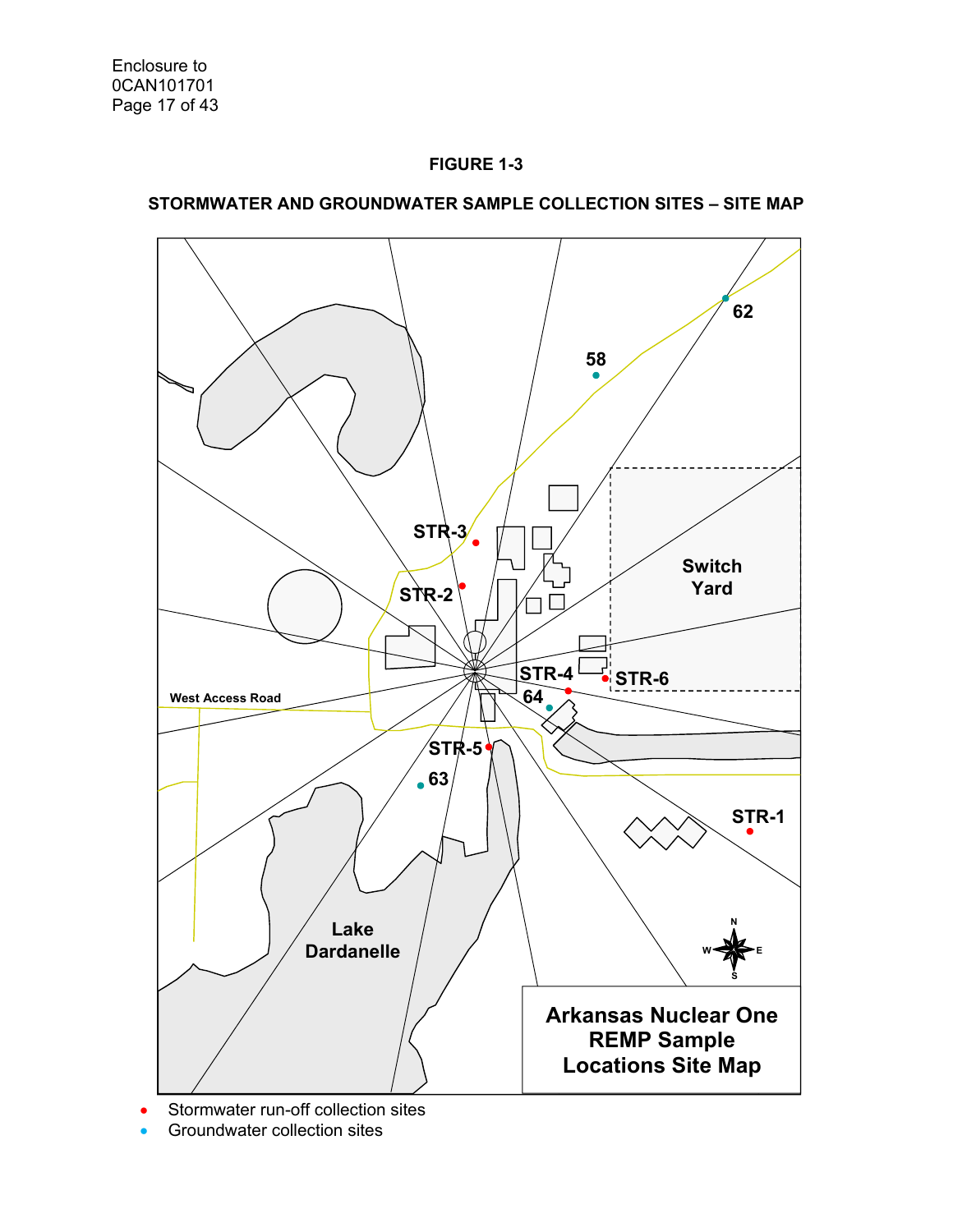



# **STORMWATER AND GROUNDWATER SAMPLE COLLECTION SITES – SITE MAP**

Stormwater run-off collection sites

Groundwater collection sites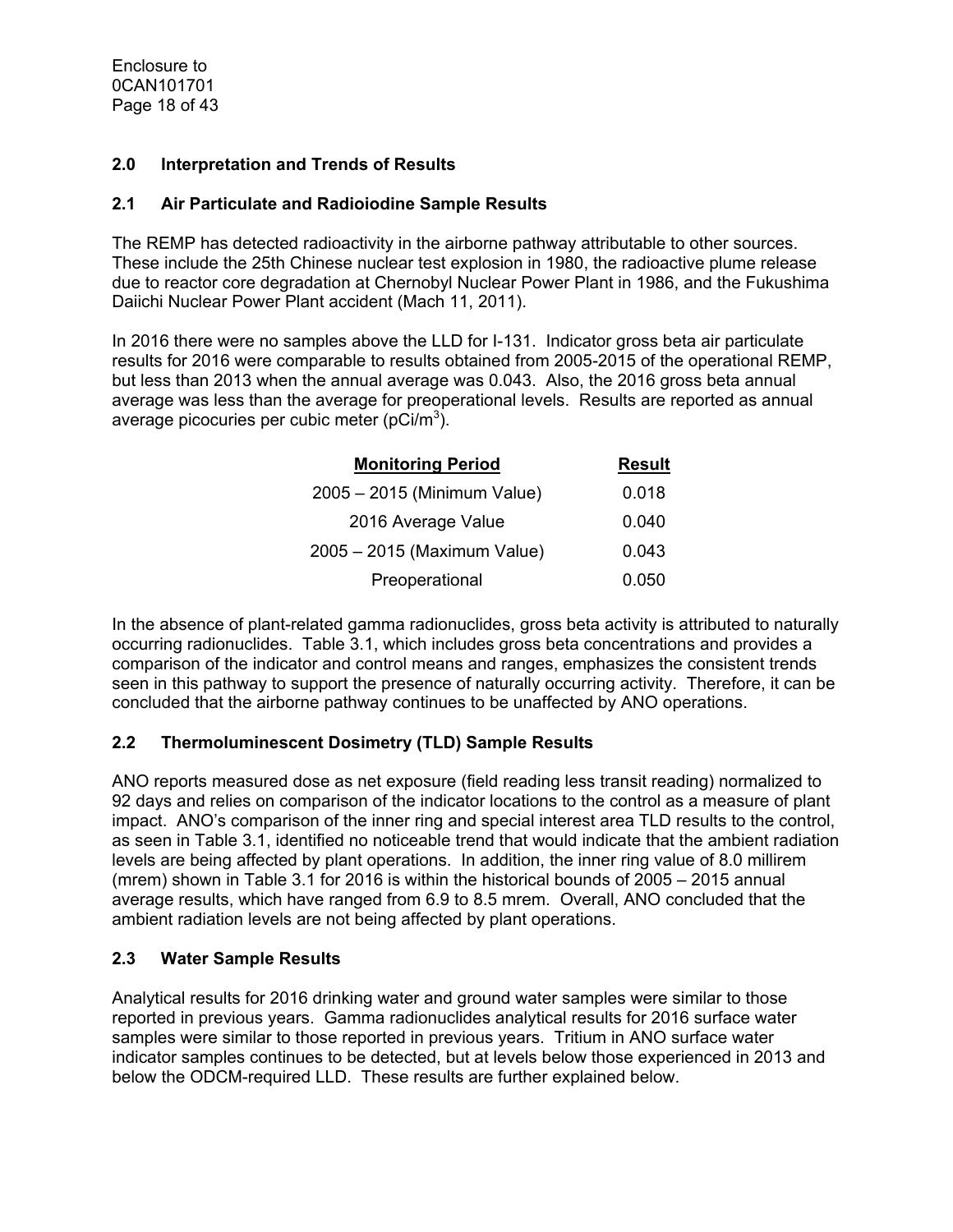Enclosure to 0CAN101701 Page 18 of 43

#### **2.0 Interpretation and Trends of Results**

#### **2.1 Air Particulate and Radioiodine Sample Results**

The REMP has detected radioactivity in the airborne pathway attributable to other sources. These include the 25th Chinese nuclear test explosion in 1980, the radioactive plume release due to reactor core degradation at Chernobyl Nuclear Power Plant in 1986, and the Fukushima Daiichi Nuclear Power Plant accident (Mach 11, 2011).

In 2016 there were no samples above the LLD for I-131. Indicator gross beta air particulate results for 2016 were comparable to results obtained from 2005-2015 of the operational REMP, but less than 2013 when the annual average was 0.043. Also, the 2016 gross beta annual average was less than the average for preoperational levels. Results are reported as annual average picocuries per cubic meter (pCi/m<sup>3</sup>).

| <b>Monitoring Period</b>    | <b>Result</b> |
|-----------------------------|---------------|
| 2005 - 2015 (Minimum Value) | 0.018         |
| 2016 Average Value          | 0.040         |
| 2005 - 2015 (Maximum Value) | 0.043         |
| Preoperational              | 0.050         |

In the absence of plant-related gamma radionuclides, gross beta activity is attributed to naturally occurring radionuclides. Table 3.1, which includes gross beta concentrations and provides a comparison of the indicator and control means and ranges, emphasizes the consistent trends seen in this pathway to support the presence of naturally occurring activity. Therefore, it can be concluded that the airborne pathway continues to be unaffected by ANO operations.

## **2.2 Thermoluminescent Dosimetry (TLD) Sample Results**

ANO reports measured dose as net exposure (field reading less transit reading) normalized to 92 days and relies on comparison of the indicator locations to the control as a measure of plant impact. ANO's comparison of the inner ring and special interest area TLD results to the control, as seen in Table 3.1, identified no noticeable trend that would indicate that the ambient radiation levels are being affected by plant operations. In addition, the inner ring value of 8.0 millirem (mrem) shown in Table 3.1 for 2016 is within the historical bounds of 2005 – 2015 annual average results, which have ranged from 6.9 to 8.5 mrem. Overall, ANO concluded that the ambient radiation levels are not being affected by plant operations.

## **2.3 Water Sample Results**

Analytical results for 2016 drinking water and ground water samples were similar to those reported in previous years. Gamma radionuclides analytical results for 2016 surface water samples were similar to those reported in previous years. Tritium in ANO surface water indicator samples continues to be detected, but at levels below those experienced in 2013 and below the ODCM-required LLD. These results are further explained below.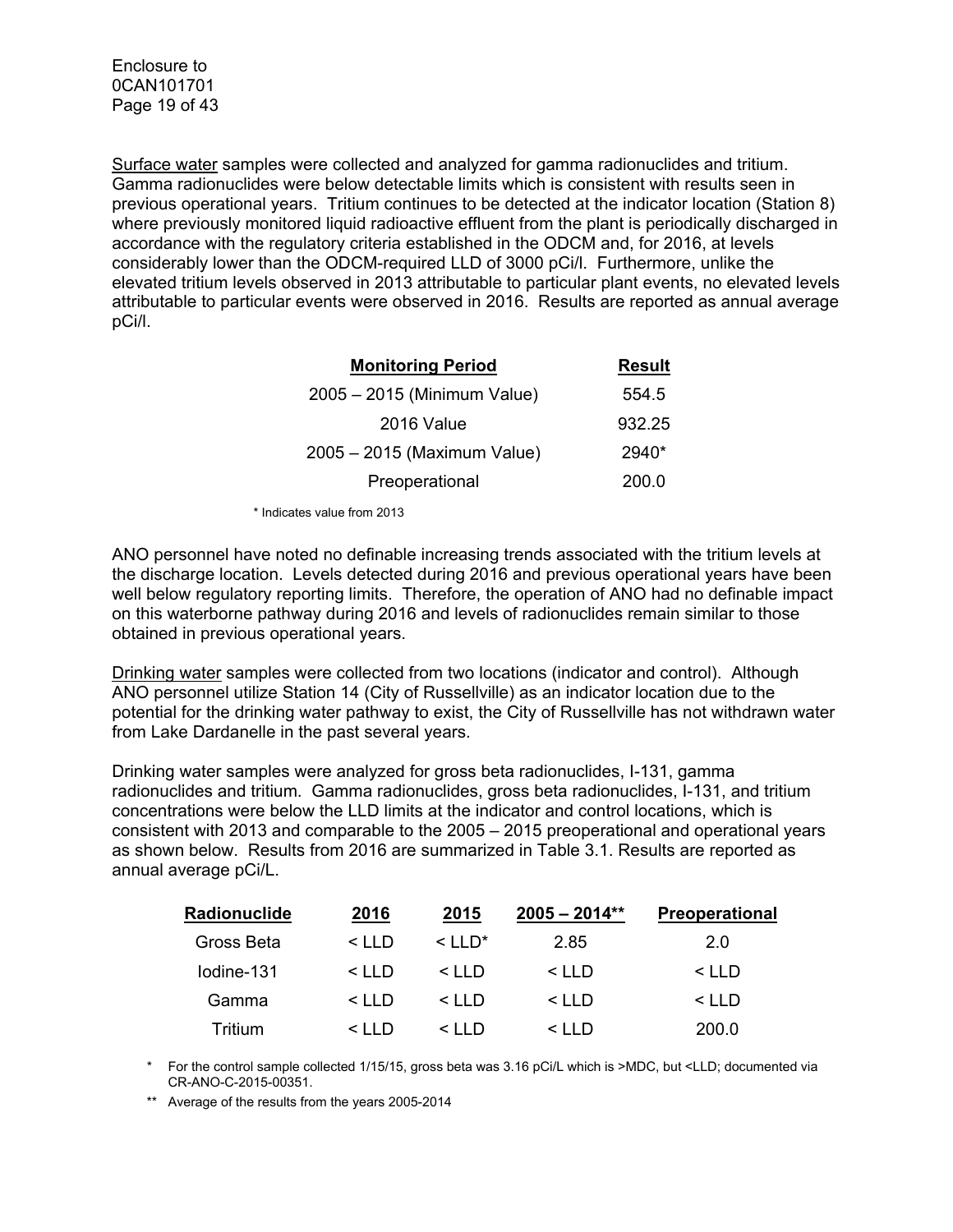Surface water samples were collected and analyzed for gamma radionuclides and tritium. Gamma radionuclides were below detectable limits which is consistent with results seen in previous operational years. Tritium continues to be detected at the indicator location (Station 8) where previously monitored liquid radioactive effluent from the plant is periodically discharged in accordance with the regulatory criteria established in the ODCM and, for 2016, at levels considerably lower than the ODCM-required LLD of 3000 pCi/l. Furthermore, unlike the elevated tritium levels observed in 2013 attributable to particular plant events, no elevated levels attributable to particular events were observed in 2016. Results are reported as annual average pCi/l.

| <b>Monitoring Period</b>    | <b>Result</b> |
|-----------------------------|---------------|
| 2005 - 2015 (Minimum Value) | 554.5         |
| 2016 Value                  | 932.25        |
| 2005 - 2015 (Maximum Value) | 2940*         |
| Preoperational              | 200.0         |

\* Indicates value from 2013

ANO personnel have noted no definable increasing trends associated with the tritium levels at the discharge location. Levels detected during 2016 and previous operational years have been well below regulatory reporting limits. Therefore, the operation of ANO had no definable impact on this waterborne pathway during 2016 and levels of radionuclides remain similar to those obtained in previous operational years.

Drinking water samples were collected from two locations (indicator and control). Although ANO personnel utilize Station 14 (City of Russellville) as an indicator location due to the potential for the drinking water pathway to exist, the City of Russellville has not withdrawn water from Lake Dardanelle in the past several years.

Drinking water samples were analyzed for gross beta radionuclides, I-131, gamma radionuclides and tritium. Gamma radionuclides, gross beta radionuclides, I-131, and tritium concentrations were below the LLD limits at the indicator and control locations, which is consistent with 2013 and comparable to the 2005 – 2015 preoperational and operational years as shown below. Results from 2016 are summarized in Table 3.1. Results are reported as annual average pCi/L.

| <b>Radionuclide</b> | 2016          | 2015                      | $2005 - 2014**$ | <b>Preoperational</b> |
|---------------------|---------------|---------------------------|-----------------|-----------------------|
| Gross Beta          | $\leq$ IID    | $\leq$ $\ln$ <sup>*</sup> | 2.85            | 2.0                   |
| lodine-131          | $\leq$ I I D  | $\leq$ I I D              | $\leq$ I I D    | $\leq$ I I D          |
| Gamma               | $\leq$ I I D  | $\leq$ I I D              | $\leq$ I I D    | $\leq$ IID            |
| Tritium             | $\leq$ $\Box$ | $\leq$ I I D              | $\leq$ I I D    | 200.0                 |

For the control sample collected 1/15/15, gross beta was 3.16 pCi/L which is >MDC, but <LLD; documented via CR-ANO-C-2015-00351.

\*\* Average of the results from the years 2005-2014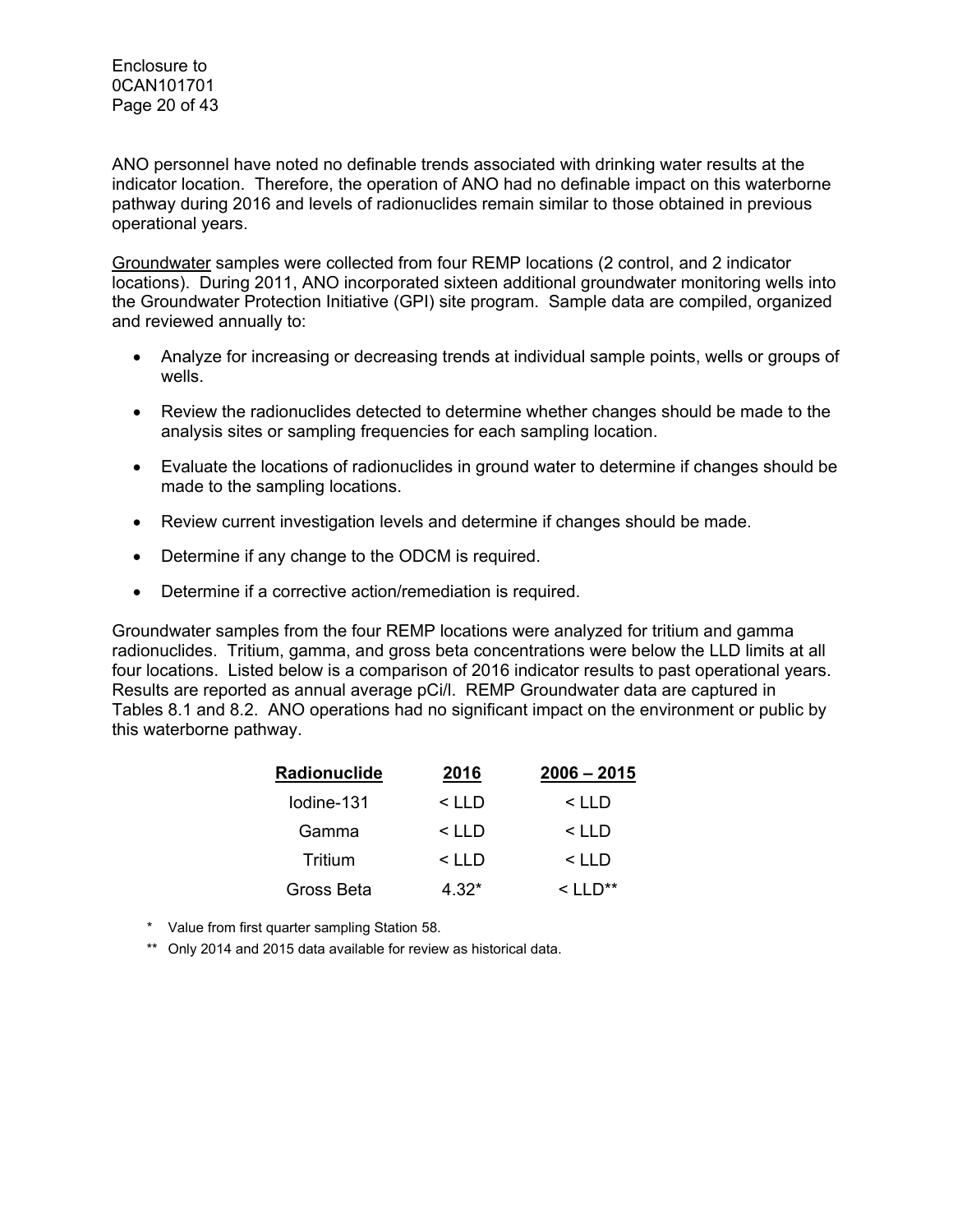Enclosure to 0CAN101701 Page 20 of 43

ANO personnel have noted no definable trends associated with drinking water results at the indicator location. Therefore, the operation of ANO had no definable impact on this waterborne pathway during 2016 and levels of radionuclides remain similar to those obtained in previous operational years.

Groundwater samples were collected from four REMP locations (2 control, and 2 indicator locations). During 2011, ANO incorporated sixteen additional groundwater monitoring wells into the Groundwater Protection Initiative (GPI) site program. Sample data are compiled, organized and reviewed annually to:

- Analyze for increasing or decreasing trends at individual sample points, wells or groups of wells.
- Review the radionuclides detected to determine whether changes should be made to the analysis sites or sampling frequencies for each sampling location.
- Evaluate the locations of radionuclides in ground water to determine if changes should be made to the sampling locations.
- Review current investigation levels and determine if changes should be made.
- Determine if any change to the ODCM is required.
- Determine if a corrective action/remediation is required.

Groundwater samples from the four REMP locations were analyzed for tritium and gamma radionuclides. Tritium, gamma, and gross beta concentrations were below the LLD limits at all four locations. Listed below is a comparison of 2016 indicator results to past operational years. Results are reported as annual average pCi/l. REMP Groundwater data are captured in Tables 8.1 and 8.2. ANO operations had no significant impact on the environment or public by this waterborne pathway.

| Radionuclide | 2016    | $2006 - 2015$        |  |
|--------------|---------|----------------------|--|
| lodine-131   | $<$ LLD | $<$ LLD              |  |
| Gamma        | < LLD   | < LLD                |  |
| Tritium      | $<$ LLD | $<$ LLD              |  |
| Gross Beta   | 4.32*   | $\lt$ 11 $\Gamma$ ** |  |

- \* Value from first quarter sampling Station 58.
- \*\* Only 2014 and 2015 data available for review as historical data.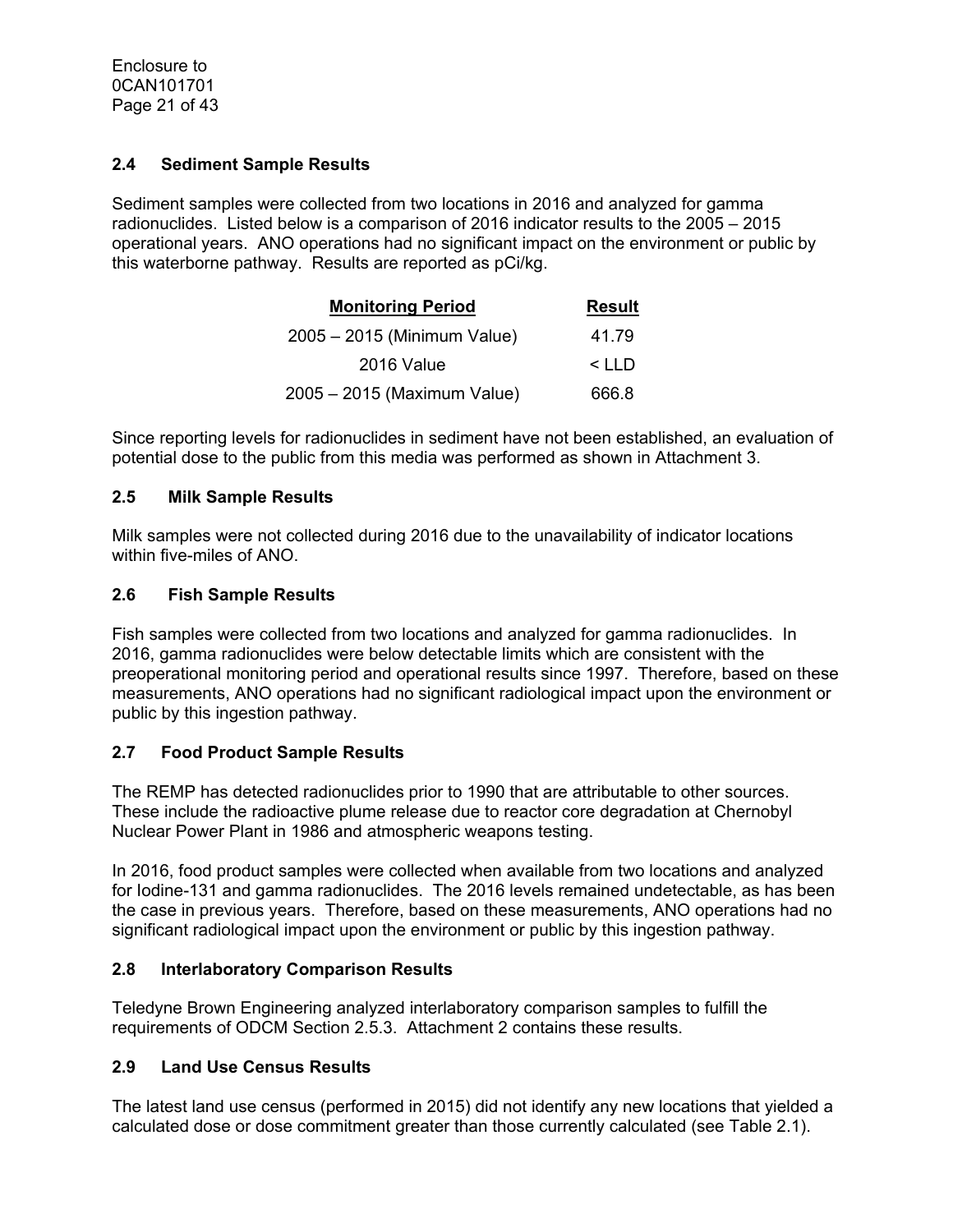## **2.4 Sediment Sample Results**

Sediment samples were collected from two locations in 2016 and analyzed for gamma radionuclides. Listed below is a comparison of 2016 indicator results to the 2005 – 2015 operational years. ANO operations had no significant impact on the environment or public by this waterborne pathway. Results are reported as pCi/kg.

| <b>Monitoring Period</b>    | <b>Result</b> |
|-----------------------------|---------------|
| 2005 - 2015 (Minimum Value) | 41.79         |
| 2016 Value                  | $<$ LLD       |
| 2005 - 2015 (Maximum Value) | 666.8         |

Since reporting levels for radionuclides in sediment have not been established, an evaluation of potential dose to the public from this media was performed as shown in Attachment 3.

## **2.5 Milk Sample Results**

Milk samples were not collected during 2016 due to the unavailability of indicator locations within five-miles of ANO.

## **2.6 Fish Sample Results**

Fish samples were collected from two locations and analyzed for gamma radionuclides. In 2016, gamma radionuclides were below detectable limits which are consistent with the preoperational monitoring period and operational results since 1997. Therefore, based on these measurements, ANO operations had no significant radiological impact upon the environment or public by this ingestion pathway.

## **2.7 Food Product Sample Results**

The REMP has detected radionuclides prior to 1990 that are attributable to other sources. These include the radioactive plume release due to reactor core degradation at Chernobyl Nuclear Power Plant in 1986 and atmospheric weapons testing.

In 2016, food product samples were collected when available from two locations and analyzed for Iodine-131 and gamma radionuclides. The 2016 levels remained undetectable, as has been the case in previous years. Therefore, based on these measurements, ANO operations had no significant radiological impact upon the environment or public by this ingestion pathway.

## **2.8 Interlaboratory Comparison Results**

Teledyne Brown Engineering analyzed interlaboratory comparison samples to fulfill the requirements of ODCM Section 2.5.3. Attachment 2 contains these results.

# **2.9 Land Use Census Results**

The latest land use census (performed in 2015) did not identify any new locations that yielded a calculated dose or dose commitment greater than those currently calculated (see Table 2.1).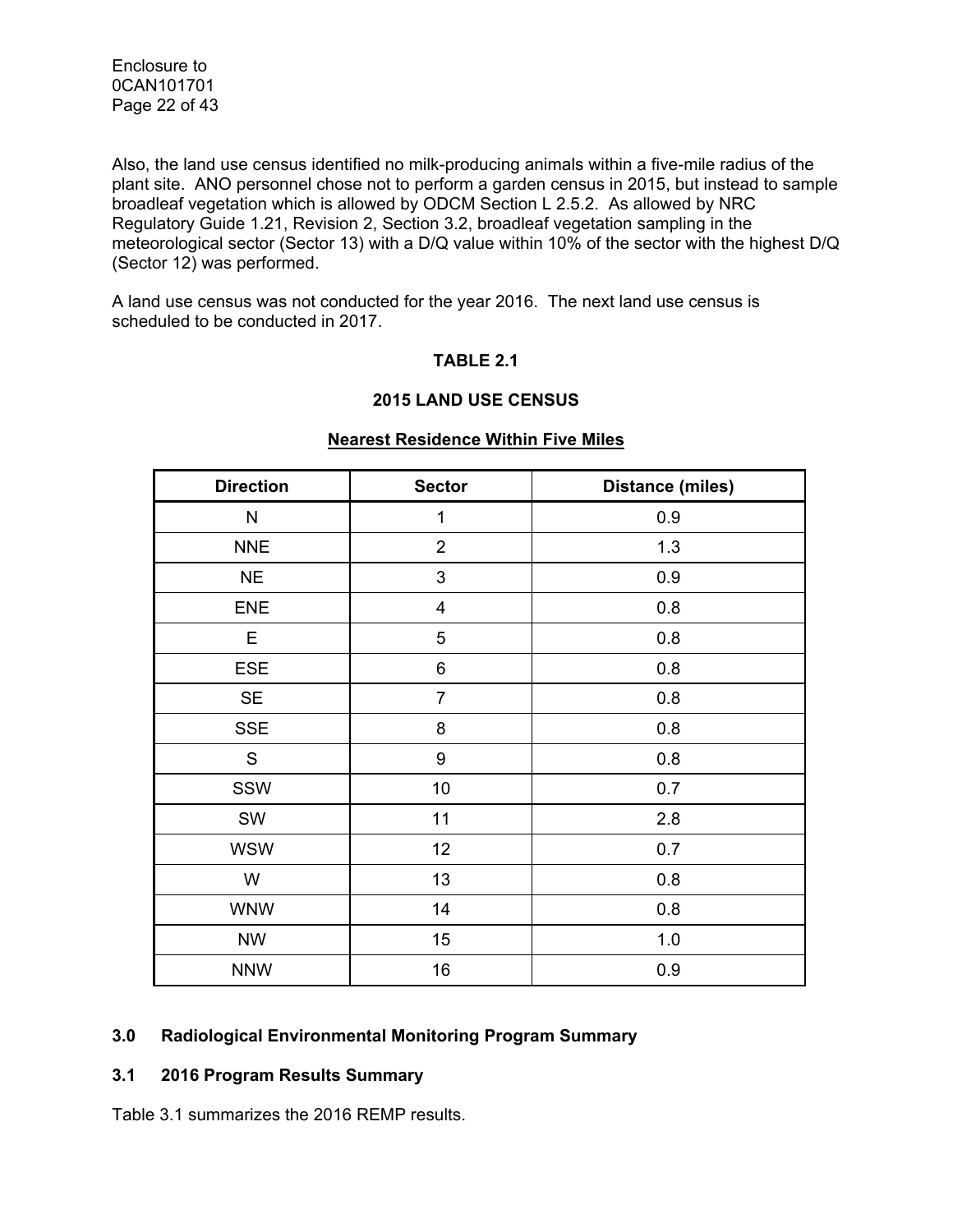Enclosure to 0CAN101701 Page 22 of 43

Also, the land use census identified no milk-producing animals within a five-mile radius of the plant site. ANO personnel chose not to perform a garden census in 2015, but instead to sample broadleaf vegetation which is allowed by ODCM Section L 2.5.2. As allowed by NRC Regulatory Guide 1.21, Revision 2, Section 3.2, broadleaf vegetation sampling in the meteorological sector (Sector 13) with a D/Q value within 10% of the sector with the highest D/Q (Sector 12) was performed.

A land use census was not conducted for the year 2016. The next land use census is scheduled to be conducted in 2017.

#### **TABLE 2.1**

#### **2015 LAND USE CENSUS**

| <b>Direction</b> | <b>Sector</b>           | <b>Distance (miles)</b> |
|------------------|-------------------------|-------------------------|
| N                | $\mathbf 1$             | 0.9                     |
|                  |                         |                         |
| <b>NNE</b>       | $\overline{2}$          | 1.3                     |
| <b>NE</b>        | 3                       | 0.9                     |
| <b>ENE</b>       | $\overline{\mathbf{4}}$ | 0.8                     |
| E                | 5                       | 0.8                     |
| <b>ESE</b>       | 6                       | 0.8                     |
| <b>SE</b>        | $\overline{7}$          | 0.8                     |
| <b>SSE</b>       | 8                       | 0.8                     |
| $\mathsf S$      | $\boldsymbol{9}$        | 0.8                     |
| SSW              | 10                      | 0.7                     |
| SW               | 11                      | 2.8                     |
| <b>WSW</b>       | 12                      | 0.7                     |
| W                | 13                      | 0.8                     |
| <b>WNW</b>       | 14                      | 0.8                     |
| <b>NW</b>        | 15                      | 1.0                     |
| <b>NNW</b>       | 16                      | 0.9                     |

#### **Nearest Residence Within Five Miles**

## **3.0 Radiological Environmental Monitoring Program Summary**

#### **3.1 2016 Program Results Summary**

Table 3.1 summarizes the 2016 REMP results.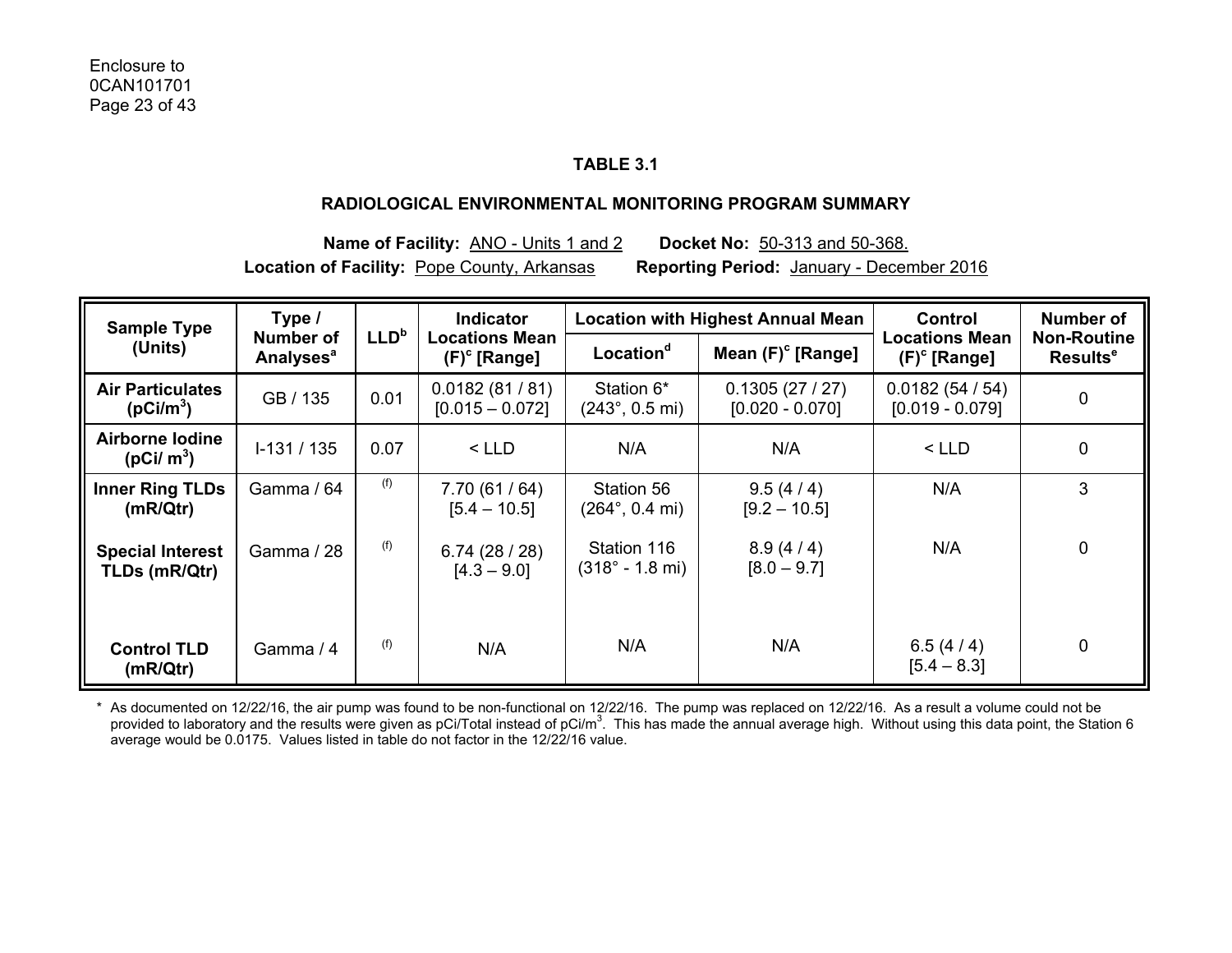## **TABLE 3.1**

#### **RADIOLOGICAL ENVIRONMENTAL MONITORING PROGRAM SUMMARY**

**Name of Facility:** ANO - Units 1 and 2 **Docket No:** 50-313 and 50-368. **Location of Facility:** Pope County, Arkansas **Reporting Period:** January - December 2016

| <b>Sample Type</b>                               | Type /                                          |                  | <b>Indicator</b>                         |                                               | <b>Location with Highest Annual Mean</b> | <b>Control</b>                     | <b>Number of</b>                                 |  |
|--------------------------------------------------|-------------------------------------------------|------------------|------------------------------------------|-----------------------------------------------|------------------------------------------|------------------------------------|--------------------------------------------------|--|
| (Units)                                          | <b>Number of</b><br><b>Analyses<sup>a</sup></b> | LLD <sup>b</sup> | <b>Locations Mean</b><br>$(F)^c$ [Range] | Location <sup>d</sup>                         | Mean $(F)^c$ [Range]                     | Locations Mean<br>$(F)^c$ [Range]  | <b>Non-Routine</b><br><b>Results<sup>e</sup></b> |  |
| <b>Air Particulates</b><br>(pCi/m <sup>3</sup> ) | GB / 135                                        | 0.01             | 0.0182(81/81)<br>$[0.015 - 0.072]$       | Station 6*<br>$(243^{\circ}, 0.5 \text{ mi})$ | 0.1305(27/27)<br>$[0.020 - 0.070]$       | 0.0182(54/54)<br>$[0.019 - 0.079]$ | $\mathbf 0$                                      |  |
| <b>Airborne lodine</b><br>( $pCi/m^3$ )          | $1-131/135$                                     | 0.07             | $<$ LLD                                  | N/A                                           | N/A                                      | $<$ LLD                            | 0                                                |  |
| <b>Inner Ring TLDs</b><br>(mR/Qtr)               | Gamma / 64                                      | (f)              | 7.70(61/64)<br>$[5.4 - 10.5]$            | Station 56<br>$(264^{\circ}, 0.4 \text{ mi})$ | 9.5(4/4)<br>$[9.2 - 10.5]$               | N/A                                | 3                                                |  |
| <b>Special Interest</b><br>TLDs (mR/Qtr)         | Gamma / 28                                      | (f)              | 6.74(28/28)<br>$[4.3 - 9.0]$             | Station 116<br>$(318° - 1.8 m)$               | 8.9(4/4)<br>$[8.0 - 9.7]$                | N/A                                | $\mathbf 0$                                      |  |
| <b>Control TLD</b><br>(mR/Qtr)                   | Gamma / 4                                       | (f)              | N/A                                      | N/A                                           | N/A                                      | 6.5 $(4/4)$<br>$[5.4 - 8.3]$       | $\mathbf 0$                                      |  |

\* As documented on 12/22/16, the air pump was found to be non-functional on 12/22/16. The pump was replaced on 12/22/16. As a result a volume could not be provided to laboratory and the results were given as pCi/Total instead of pCi/m<sup>3</sup>. This has made the annual average high. Without using this data point, the Station 6 average would be 0.0175. Values listed in table do not factor in the 12/22/16 value.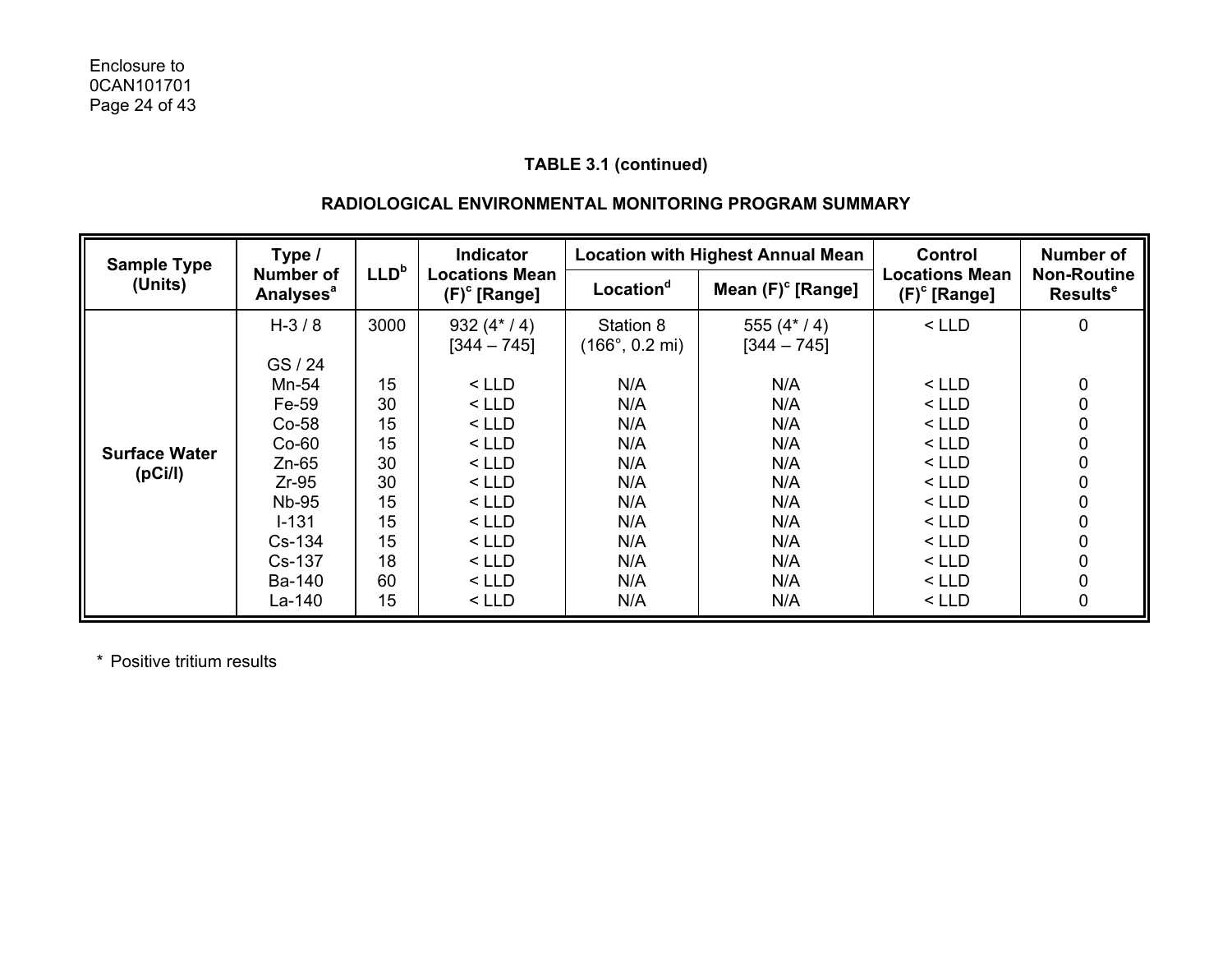## **RADIOLOGICAL ENVIRONMENTAL MONITORING PROGRAM SUMMARY**

|                      | Type /<br><b>Sample Type</b>                    |                  | <b>Indicator</b>                         |                                              | <b>Location with Highest Annual Mean</b> | Control                                  | <b>Number of</b>                           |
|----------------------|-------------------------------------------------|------------------|------------------------------------------|----------------------------------------------|------------------------------------------|------------------------------------------|--------------------------------------------|
| (Units)              | <b>Number of</b><br><b>Analyses<sup>a</sup></b> | LLD <sup>b</sup> | <b>Locations Mean</b><br>$(F)^c$ [Range] | Location <sup>d</sup>                        | Mean $(F)^c$ [Range]                     | <b>Locations Mean</b><br>$(F)^c$ [Range] | <b>Non-Routine</b><br>Results <sup>e</sup> |
|                      | $H - 3/8$<br>GS / 24                            | 3000             | 932 $(4*/4)$<br>$[344 - 745]$            | Station 8<br>$(166^{\circ}, 0.2 \text{ mi})$ | 555 $(4*/4)$<br>$[344 - 745]$            | $<$ LLD                                  | 0                                          |
|                      | Mn-54<br>Fe-59<br>$Co-58$                       | 15<br>30<br>15   | $<$ LLD<br>$<$ LLD<br>$<$ LLD            | N/A<br>N/A<br>N/A                            | N/A<br>N/A<br>N/A                        | < LLD<br>< LLD<br>$<$ LLD                | 0<br>0<br>0                                |
| <b>Surface Water</b> | $Co-60$                                         | 15               | $<$ LLD                                  | N/A                                          | N/A                                      | $<$ LLD                                  | 0                                          |
| (pCi/l)              | $Zn-65$<br>$Zr-95$                              | 30<br>30         | $<$ LLD<br>$<$ LLD                       | N/A<br>N/A                                   | N/A<br>N/A                               | $<$ LLD<br>$<$ LLD                       | 0<br>0                                     |
|                      | <b>Nb-95</b>                                    | 15               | $<$ LLD                                  | N/A                                          | N/A                                      | $<$ LLD                                  | 0                                          |
|                      | $I - 131$<br>Cs-134                             | 15<br>15         | $<$ LLD<br>$<$ LLD                       | N/A<br>N/A                                   | N/A<br>N/A                               | $<$ LLD<br>$<$ LLD                       | 0<br>0                                     |
|                      | Cs-137                                          | 18               | $<$ LLD                                  | N/A                                          | N/A                                      | $<$ LLD                                  | 0                                          |
|                      | Ba-140                                          | 60               | $<$ LLD                                  | N/A                                          | N/A                                      | < LLD                                    | 0                                          |
|                      | La-140                                          | 15               | $<$ LLD                                  | N/A                                          | N/A                                      | $<$ LLD                                  | 0                                          |

\* Positive tritium results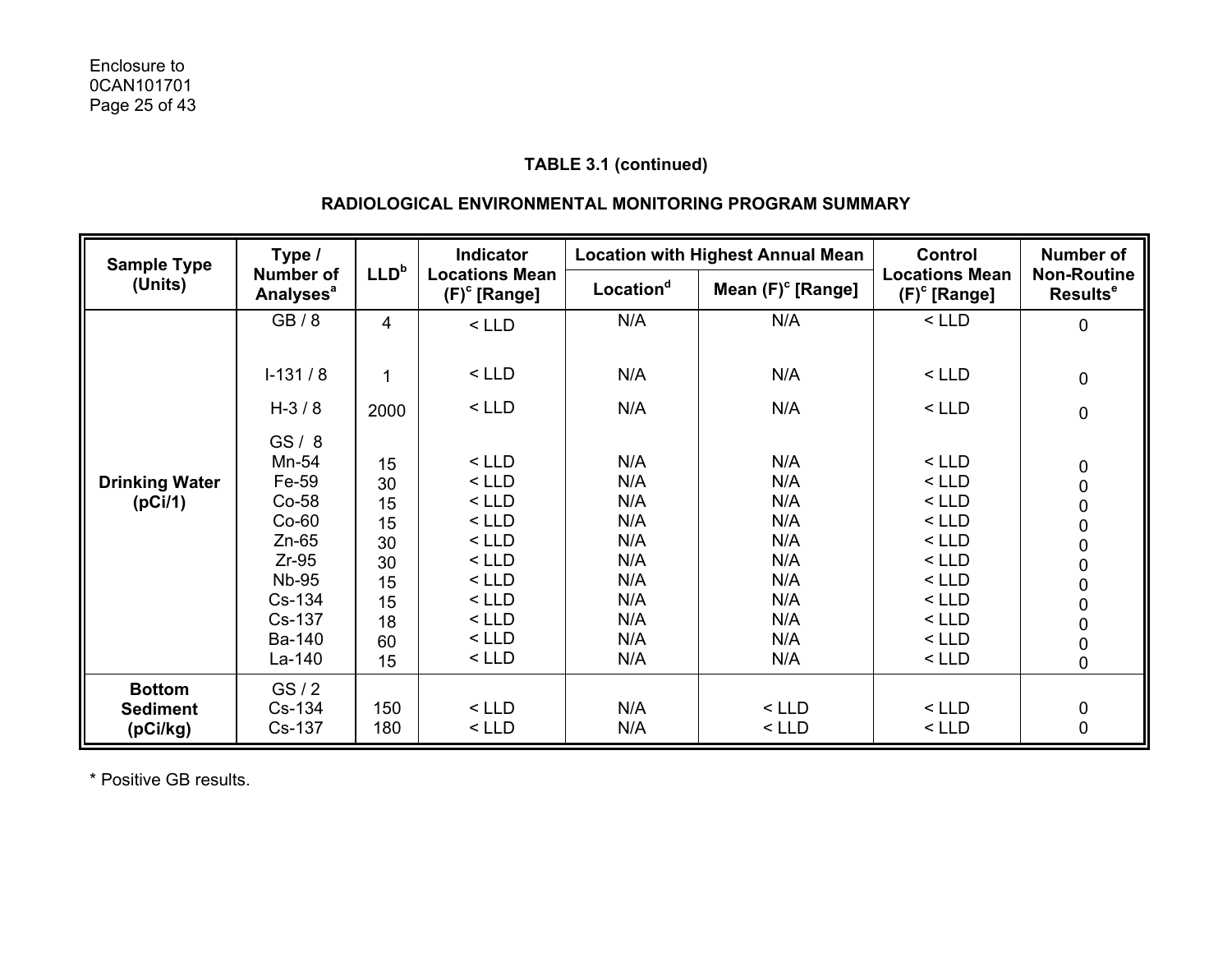## **RADIOLOGICAL ENVIRONMENTAL MONITORING PROGRAM SUMMARY**

| <b>Sample Type</b>                           | Type /                                                                                                                   |                                                                | <b>Indicator</b>                                                                                                      |                                                                           | <b>Location with Highest Annual Mean</b>                                  |                                                                                                                       | <b>Number of</b>                                                               |
|----------------------------------------------|--------------------------------------------------------------------------------------------------------------------------|----------------------------------------------------------------|-----------------------------------------------------------------------------------------------------------------------|---------------------------------------------------------------------------|---------------------------------------------------------------------------|-----------------------------------------------------------------------------------------------------------------------|--------------------------------------------------------------------------------|
| (Units)                                      | <b>Number of</b><br><b>Analyses<sup>a</sup></b>                                                                          | LLD <sup>b</sup>                                               | <b>Locations Mean</b><br>$(F)^c$ [Range]                                                                              | Location <sup>d</sup>                                                     | Mean $(F)^c$ [Range]                                                      | <b>Locations Mean</b><br>$(F)^c$ [Range]                                                                              | <b>Non-Routine</b><br>Results <sup>e</sup>                                     |
|                                              | GB/8                                                                                                                     | $\overline{4}$                                                 | $<$ LLD                                                                                                               | N/A                                                                       | N/A                                                                       | $<$ LLD                                                                                                               | 0                                                                              |
|                                              | $I-131/8$                                                                                                                | 1                                                              | $<$ LLD                                                                                                               | N/A                                                                       | N/A                                                                       | $<$ LLD                                                                                                               | $\pmb{0}$                                                                      |
|                                              | $H - 3 / 8$                                                                                                              | 2000                                                           | $<$ LLD                                                                                                               | N/A                                                                       | N/A                                                                       | $<$ LLD                                                                                                               | 0                                                                              |
| <b>Drinking Water</b><br>(pCi/1)             | GS/8<br>Mn-54<br>Fe-59<br>Co-58<br>$Co-60$<br>$Zn-65$<br>$Zr-95$<br><b>Nb-95</b><br>Cs-134<br>Cs-137<br>Ba-140<br>La-140 | 15<br>30<br>15<br>15<br>30<br>30<br>15<br>15<br>18<br>60<br>15 | $<$ LLD<br>$<$ LLD<br>$<$ LLD<br>$<$ LLD<br>$<$ LLD<br>$<$ LLD<br>$<$ LLD<br>$<$ LLD<br>$<$ LLD<br>$<$ LLD<br>$<$ LLD | N/A<br>N/A<br>N/A<br>N/A<br>N/A<br>N/A<br>N/A<br>N/A<br>N/A<br>N/A<br>N/A | N/A<br>N/A<br>N/A<br>N/A<br>N/A<br>N/A<br>N/A<br>N/A<br>N/A<br>N/A<br>N/A | $<$ LLD<br>$<$ LLD<br>$<$ LLD<br>$<$ LLD<br>$<$ LLD<br>$<$ LLD<br>$<$ LLD<br>$<$ LLD<br>$<$ LLD<br>$<$ LLD<br>$<$ LLD | $\begin{array}{c} 0 \\ 0 \end{array}$<br>$\begin{matrix}0\\0\end{matrix}$<br>0 |
| <b>Bottom</b><br><b>Sediment</b><br>(pCi/kg) | GS/2<br>Cs-134<br>Cs-137                                                                                                 | 150<br>180                                                     | $<$ LLD<br>$<$ LLD                                                                                                    | N/A<br>N/A                                                                | $<$ LLD<br>$<$ LLD                                                        | $<$ LLD<br>$<$ LLD                                                                                                    | $\begin{array}{c} 0 \\ 0 \end{array}$                                          |

\* Positive GB results.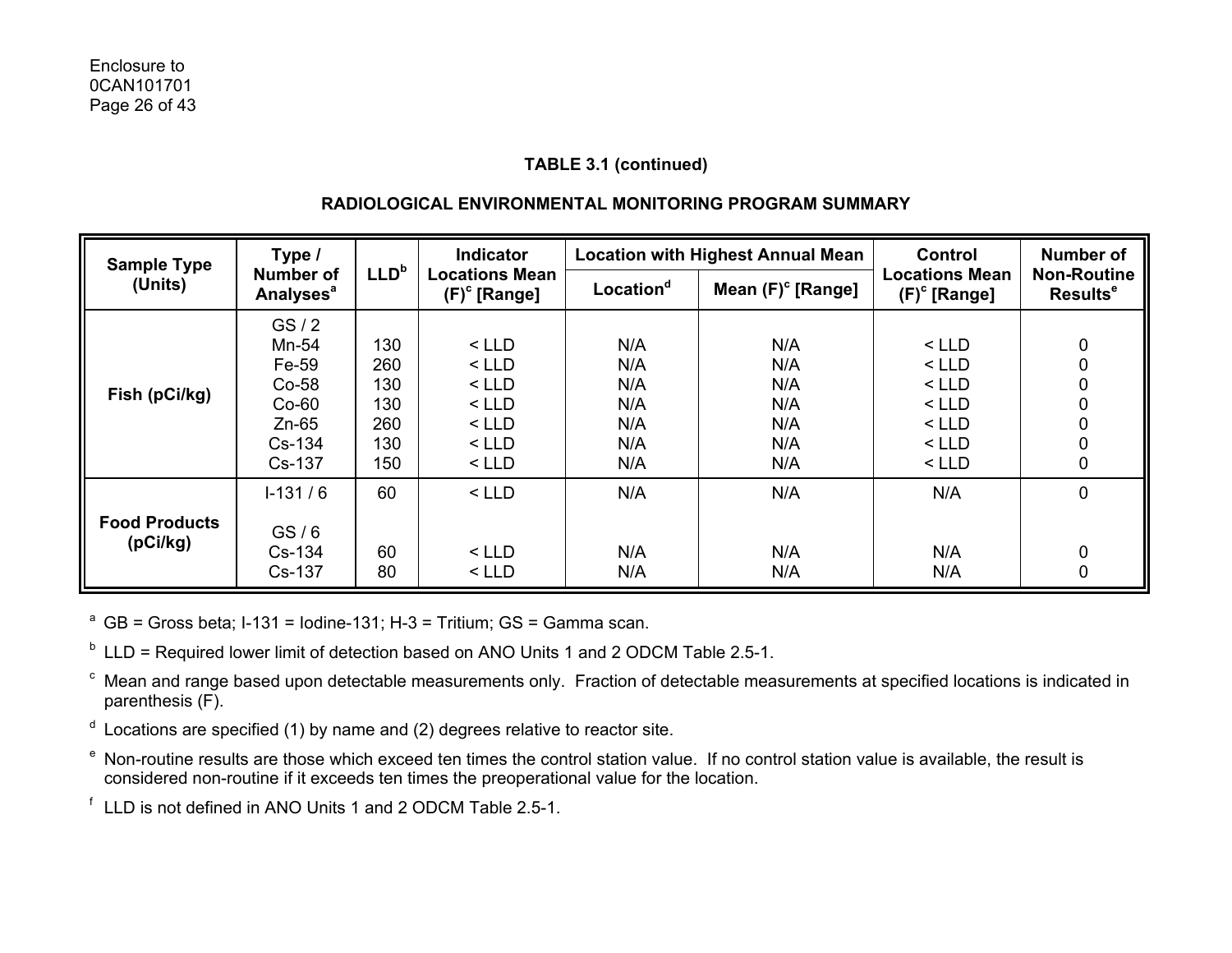## **RADIOLOGICAL ENVIRONMENTAL MONITORING PROGRAM SUMMARY**

| <b>Sample Type</b>   | Indicator<br>Type /<br>LLD <sup>b</sup><br><b>Number of</b><br><b>Locations Mean</b><br>$(F)^c$ [Range]<br><b>Analyses<sup>a</sup></b> |                                        |                                                                | <b>Location with Highest Annual Mean</b> | Control                                | <b>Number of</b>                                               |                                            |
|----------------------|----------------------------------------------------------------------------------------------------------------------------------------|----------------------------------------|----------------------------------------------------------------|------------------------------------------|----------------------------------------|----------------------------------------------------------------|--------------------------------------------|
| (Units)              |                                                                                                                                        |                                        |                                                                | Location <sup>d</sup>                    | Mean $(F)^c$ [Range]                   | <b>Locations Mean</b><br>$(F)^c$ [Range]                       | <b>Non-Routine</b><br>Results <sup>e</sup> |
| Fish (pCi/kg)        | GS/2<br>Mn-54<br>Fe-59<br>$Co-58$<br>$Co-60$<br>$Zn-65$<br>$Cs-134$                                                                    | 130<br>260<br>130<br>130<br>260<br>130 | $<$ LLD<br>$<$ LLD<br>$<$ LLD<br>$<$ LLD<br>$<$ LLD<br>$<$ LLD | N/A<br>N/A<br>N/A<br>N/A<br>N/A<br>N/A   | N/A<br>N/A<br>N/A<br>N/A<br>N/A<br>N/A | $<$ LLD<br>$<$ LLD<br>$<$ LLD<br>$<$ LLD<br>$<$ LLD<br>$<$ LLD | 0<br>0<br>0<br>0<br>0<br>0                 |
|                      | Cs-137                                                                                                                                 | 150                                    | $<$ LLD                                                        | N/A                                      | N/A                                    | $<$ LLD                                                        | 0                                          |
| <b>Food Products</b> | $1-131/6$<br>GS/6                                                                                                                      | 60                                     | $<$ LLD                                                        | N/A                                      | N/A                                    | N/A                                                            | 0                                          |
| (pCi/kg)             | Cs-134<br>Cs-137                                                                                                                       | 60<br>80                               | $<$ LLD<br>$<$ LLD                                             | N/A<br>N/A                               | N/A<br>N/A                             | N/A<br>N/A                                                     | 0<br>0                                     |

<sup>a</sup> GB = Gross beta; I-131 = Iodine-131; H-3 = Tritium; GS = Gamma scan.

 $<sup>b</sup>$  LLD = Required lower limit of detection based on ANO Units 1 and 2 ODCM Table 2.5-1.</sup>

c Mean and range based upon detectable measurements only. Fraction of detectable measurements at specified locations is indicated in parenthesis (F).

- $d$  Locations are specified (1) by name and (2) degrees relative to reactor site.
- e Non-routine results are those which exceed ten times the control station value. If no control station value is available, the result is considered non-routine if it exceeds ten times the preoperational value for the location.

f LLD is not defined in ANO Units 1 and 2 ODCM Table 2.5-1.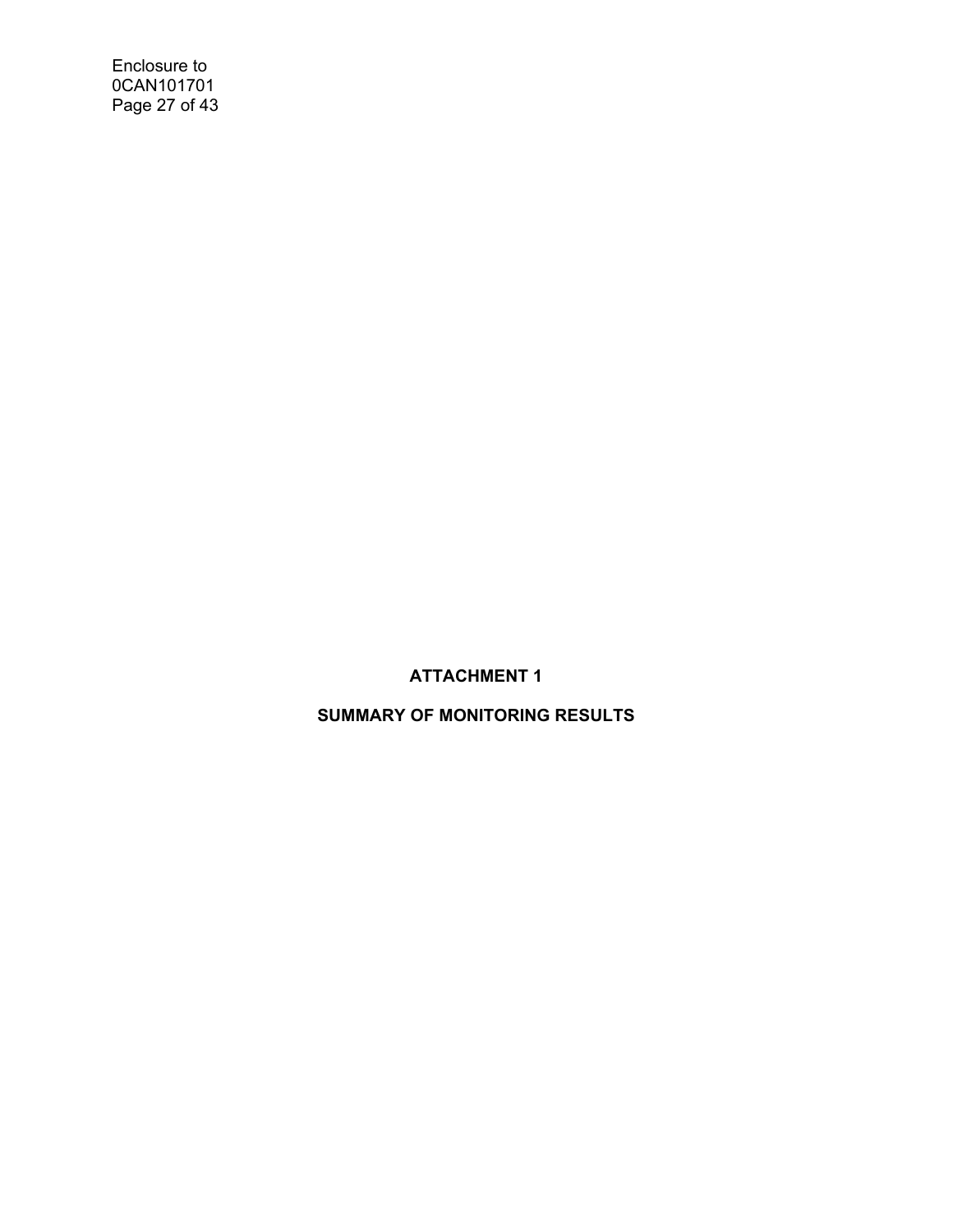Enclosure to 0CAN101701 Page 27 of 43

# **ATTACHMENT 1**

# **SUMMARY OF MONITORING RESULTS**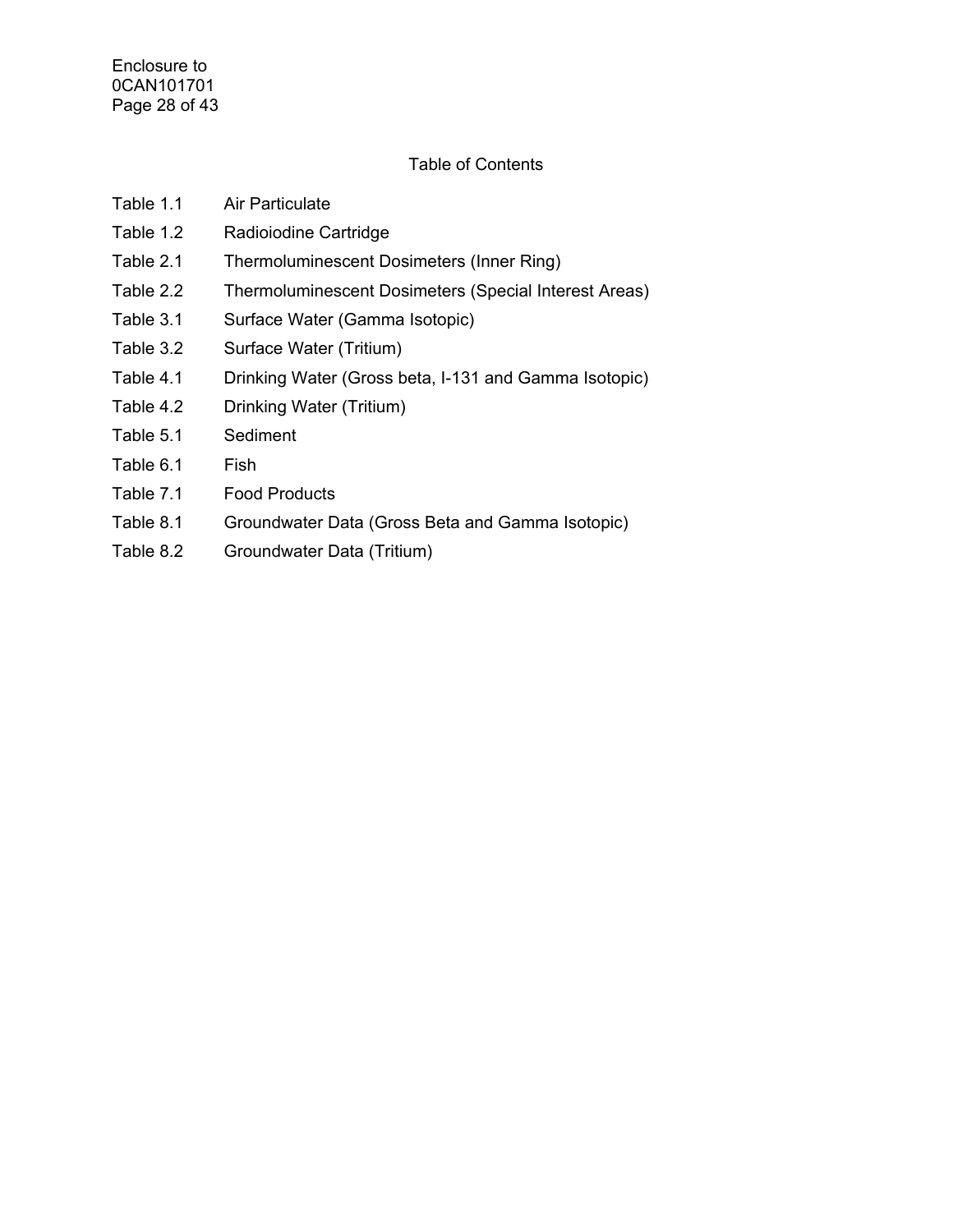# Table of Contents

| Table 1.1 | Air Particulate                                       |
|-----------|-------------------------------------------------------|
| Table 1.2 | Radioiodine Cartridge                                 |
| Table 2.1 | Thermoluminescent Dosimeters (Inner Ring)             |
| Table 2.2 | Thermoluminescent Dosimeters (Special Interest Areas) |
| Table 3.1 | Surface Water (Gamma Isotopic)                        |
| Table 3.2 | Surface Water (Tritium)                               |
| Table 4.1 | Drinking Water (Gross beta, I-131 and Gamma Isotopic) |
| Table 4.2 | Drinking Water (Tritium)                              |
| Table 5.1 | Sediment                                              |
| Table 6.1 | Fish                                                  |
| Table 7.1 | <b>Food Products</b>                                  |

- Table 8.1 Groundwater Data (Gross Beta and Gamma Isotopic)
- Table 8.2 Groundwater Data (Tritium)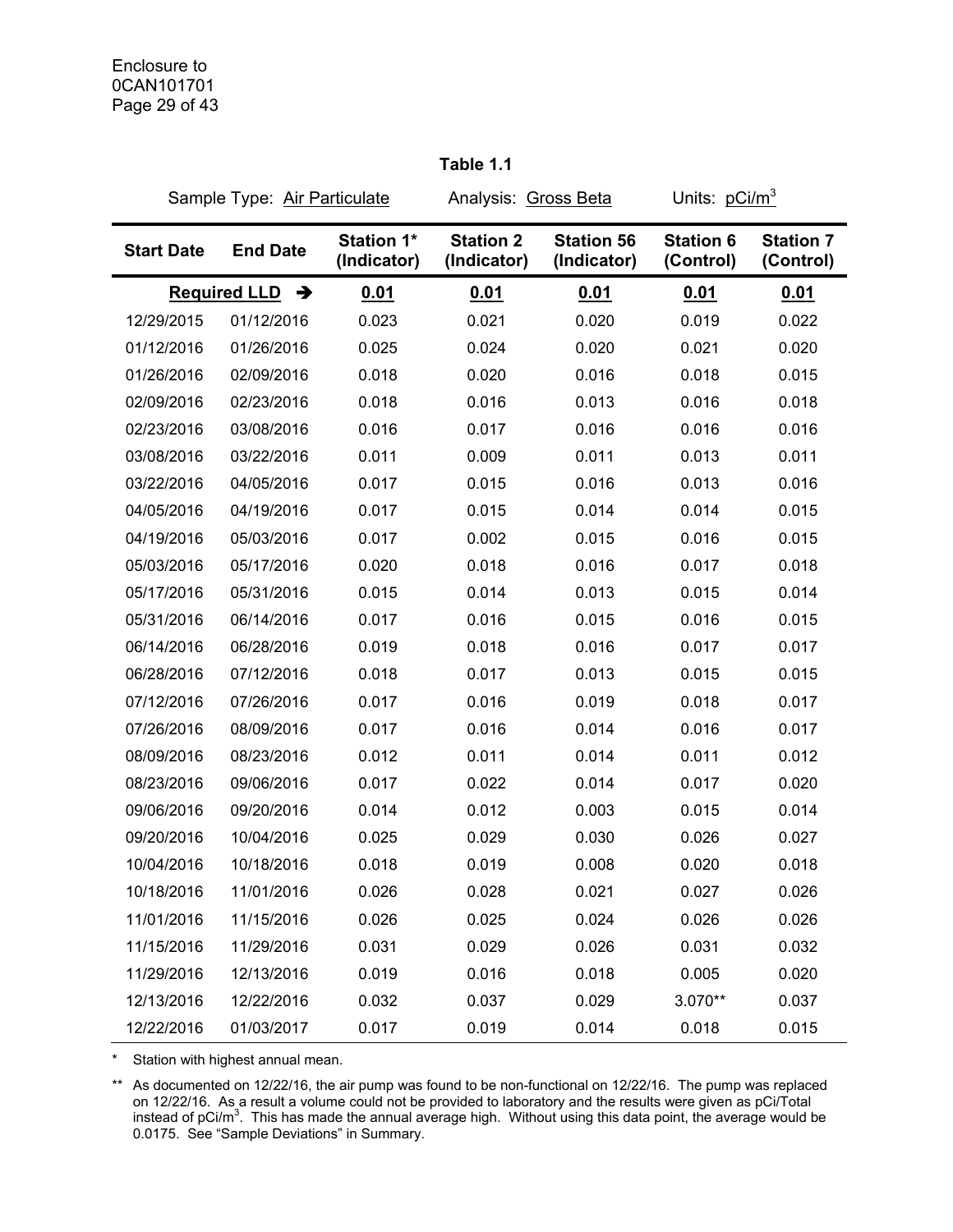|                   | Sample Type: Air Particulate |                                  | Analysis: Gross Beta            |                                  | Units: pCi/m <sup>3</sup>     |                               |
|-------------------|------------------------------|----------------------------------|---------------------------------|----------------------------------|-------------------------------|-------------------------------|
| <b>Start Date</b> | <b>End Date</b>              | <b>Station 1*</b><br>(Indicator) | <b>Station 2</b><br>(Indicator) | <b>Station 56</b><br>(Indicator) | <b>Station 6</b><br>(Control) | <b>Station 7</b><br>(Control) |
|                   | <b>Required LLD</b><br>→     | 0.01                             | 0.01                            | 0.01                             | 0.01                          | 0.01                          |
| 12/29/2015        | 01/12/2016                   | 0.023                            | 0.021                           | 0.020                            | 0.019                         | 0.022                         |
| 01/12/2016        | 01/26/2016                   | 0.025                            | 0.024                           | 0.020                            | 0.021                         | 0.020                         |
| 01/26/2016        | 02/09/2016                   | 0.018                            | 0.020                           | 0.016                            | 0.018                         | 0.015                         |
| 02/09/2016        | 02/23/2016                   | 0.018                            | 0.016                           | 0.013                            | 0.016                         | 0.018                         |
| 02/23/2016        | 03/08/2016                   | 0.016                            | 0.017                           | 0.016                            | 0.016                         | 0.016                         |
| 03/08/2016        | 03/22/2016                   | 0.011                            | 0.009                           | 0.011                            | 0.013                         | 0.011                         |
| 03/22/2016        | 04/05/2016                   | 0.017                            | 0.015                           | 0.016                            | 0.013                         | 0.016                         |
| 04/05/2016        | 04/19/2016                   | 0.017                            | 0.015                           | 0.014                            | 0.014                         | 0.015                         |
| 04/19/2016        | 05/03/2016                   | 0.017                            | 0.002                           | 0.015                            | 0.016                         | 0.015                         |
| 05/03/2016        | 05/17/2016                   | 0.020                            | 0.018                           | 0.016                            | 0.017                         | 0.018                         |
| 05/17/2016        | 05/31/2016                   | 0.015                            | 0.014                           | 0.013                            | 0.015                         | 0.014                         |
| 05/31/2016        | 06/14/2016                   | 0.017                            | 0.016                           | 0.015                            | 0.016                         | 0.015                         |
| 06/14/2016        | 06/28/2016                   | 0.019                            | 0.018                           | 0.016                            | 0.017                         | 0.017                         |
| 06/28/2016        | 07/12/2016                   | 0.018                            | 0.017                           | 0.013                            | 0.015                         | 0.015                         |
| 07/12/2016        | 07/26/2016                   | 0.017                            | 0.016                           | 0.019                            | 0.018                         | 0.017                         |
| 07/26/2016        | 08/09/2016                   | 0.017                            | 0.016                           | 0.014                            | 0.016                         | 0.017                         |
| 08/09/2016        | 08/23/2016                   | 0.012                            | 0.011                           | 0.014                            | 0.011                         | 0.012                         |
| 08/23/2016        | 09/06/2016                   | 0.017                            | 0.022                           | 0.014                            | 0.017                         | 0.020                         |
| 09/06/2016        | 09/20/2016                   | 0.014                            | 0.012                           | 0.003                            | 0.015                         | 0.014                         |
| 09/20/2016        | 10/04/2016                   | 0.025                            | 0.029                           | 0.030                            | 0.026                         | 0.027                         |
| 10/04/2016        | 10/18/2016                   | 0.018                            | 0.019                           | 0.008                            | 0.020                         | 0.018                         |
| 10/18/2016        | 11/01/2016                   | 0.026                            | 0.028                           | 0.021                            | 0.027                         | 0.026                         |
| 11/01/2016        | 11/15/2016                   | 0.026                            | 0.025                           | 0.024                            | 0.026                         | 0.026                         |
| 11/15/2016        | 11/29/2016                   | 0.031                            | 0.029                           | 0.026                            | 0.031                         | 0.032                         |
| 11/29/2016        | 12/13/2016                   | 0.019                            | 0.016                           | 0.018                            | 0.005                         | 0.020                         |
| 12/13/2016        | 12/22/2016                   | 0.032                            | 0.037                           | 0.029                            | 3.070**                       | 0.037                         |
| 12/22/2016        | 01/03/2017                   | 0.017                            | 0.019                           | 0.014                            | 0.018                         | 0.015                         |

**Table 1.1** 

\* Station with highest annual mean.

\*\* As documented on 12/22/16, the air pump was found to be non-functional on 12/22/16. The pump was replaced on 12/22/16. As a result a volume could not be provided to laboratory and the results were given as pCi/Total instead of pCi/m<sup>3</sup>. This has made the annual average high. Without using this data point, the average would be 0.0175. See "Sample Deviations" in Summary.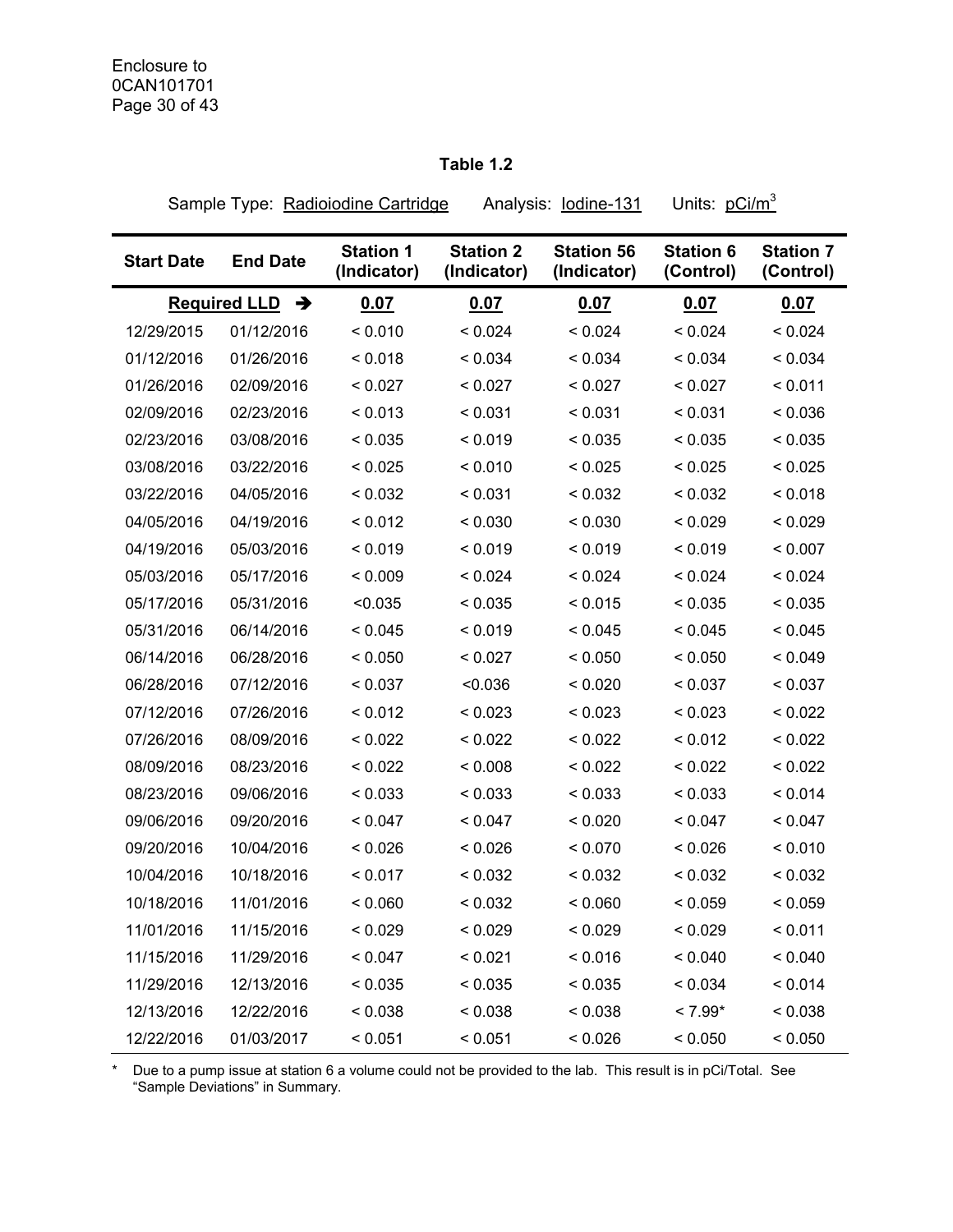# **Table 1.2**

Sample Type: Radioiodine Cartridge Analysis: lodine-131 Units: pCi/m<sup>3</sup>

| <b>Start Date</b> | <b>End Date</b>          | <b>Station 1</b><br>(Indicator) | <b>Station 2</b><br>(Indicator) | <b>Station 56</b><br>(Indicator) | <b>Station 6</b><br>(Control) | <b>Station 7</b><br>(Control) |
|-------------------|--------------------------|---------------------------------|---------------------------------|----------------------------------|-------------------------------|-------------------------------|
|                   | <b>Required LLD</b><br>→ | 0.07                            | 0.07                            | 0.07                             | 0.07                          | 0.07                          |
| 12/29/2015        | 01/12/2016               | < 0.010                         | < 0.024                         | < 0.024                          | < 0.024                       | < 0.024                       |
| 01/12/2016        | 01/26/2016               | < 0.018                         | < 0.034                         | < 0.034                          | < 0.034                       | < 0.034                       |
| 01/26/2016        | 02/09/2016               | < 0.027                         | < 0.027                         | < 0.027                          | < 0.027                       | < 0.011                       |
| 02/09/2016        | 02/23/2016               | < 0.013                         | < 0.031                         | < 0.031                          | < 0.031                       | < 0.036                       |
| 02/23/2016        | 03/08/2016               | < 0.035                         | < 0.019                         | < 0.035                          | < 0.035                       | < 0.035                       |
| 03/08/2016        | 03/22/2016               | < 0.025                         | < 0.010                         | < 0.025                          | < 0.025                       | < 0.025                       |
| 03/22/2016        | 04/05/2016               | < 0.032                         | < 0.031                         | < 0.032                          | < 0.032                       | < 0.018                       |
| 04/05/2016        | 04/19/2016               | < 0.012                         | < 0.030                         | < 0.030                          | < 0.029                       | < 0.029                       |
| 04/19/2016        | 05/03/2016               | < 0.019                         | < 0.019                         | < 0.019                          | < 0.019                       | < 0.007                       |
| 05/03/2016        | 05/17/2016               | < 0.009                         | < 0.024                         | < 0.024                          | < 0.024                       | < 0.024                       |
| 05/17/2016        | 05/31/2016               | <0.035                          | < 0.035                         | < 0.015                          | < 0.035                       | < 0.035                       |
| 05/31/2016        | 06/14/2016               | < 0.045                         | < 0.019                         | < 0.045                          | < 0.045                       | < 0.045                       |
| 06/14/2016        | 06/28/2016               | < 0.050                         | < 0.027                         | < 0.050                          | < 0.050                       | < 0.049                       |
| 06/28/2016        | 07/12/2016               | < 0.037                         | <0.036                          | < 0.020                          | < 0.037                       | < 0.037                       |
| 07/12/2016        | 07/26/2016               | < 0.012                         | < 0.023                         | < 0.023                          | < 0.023                       | < 0.022                       |
| 07/26/2016        | 08/09/2016               | < 0.022                         | < 0.022                         | < 0.022                          | < 0.012                       | < 0.022                       |
| 08/09/2016        | 08/23/2016               | < 0.022                         | < 0.008                         | < 0.022                          | < 0.022                       | < 0.022                       |
| 08/23/2016        | 09/06/2016               | < 0.033                         | < 0.033                         | < 0.033                          | < 0.033                       | < 0.014                       |
| 09/06/2016        | 09/20/2016               | < 0.047                         | < 0.047                         | < 0.020                          | < 0.047                       | < 0.047                       |
| 09/20/2016        | 10/04/2016               | < 0.026                         | < 0.026                         | < 0.070                          | < 0.026                       | < 0.010                       |
| 10/04/2016        | 10/18/2016               | < 0.017                         | < 0.032                         | < 0.032                          | < 0.032                       | < 0.032                       |
| 10/18/2016        | 11/01/2016               | < 0.060                         | < 0.032                         | < 0.060                          | < 0.059                       | < 0.059                       |
| 11/01/2016        | 11/15/2016               | < 0.029                         | < 0.029                         | < 0.029                          | < 0.029                       | < 0.011                       |
| 11/15/2016        | 11/29/2016               | < 0.047                         | < 0.021                         | < 0.016                          | < 0.040                       | < 0.040                       |
| 11/29/2016        | 12/13/2016               | < 0.035                         | < 0.035                         | < 0.035                          | < 0.034                       | < 0.014                       |
| 12/13/2016        | 12/22/2016               | < 0.038                         | < 0.038                         | < 0.038                          | $< 7.99*$                     | < 0.038                       |
| 12/22/2016        | 01/03/2017               | < 0.051                         | < 0.051                         | < 0.026                          | < 0.050                       | < 0.050                       |

\* Due to a pump issue at station 6 a volume could not be provided to the lab. This result is in pCi/Total. See "Sample Deviations" in Summary.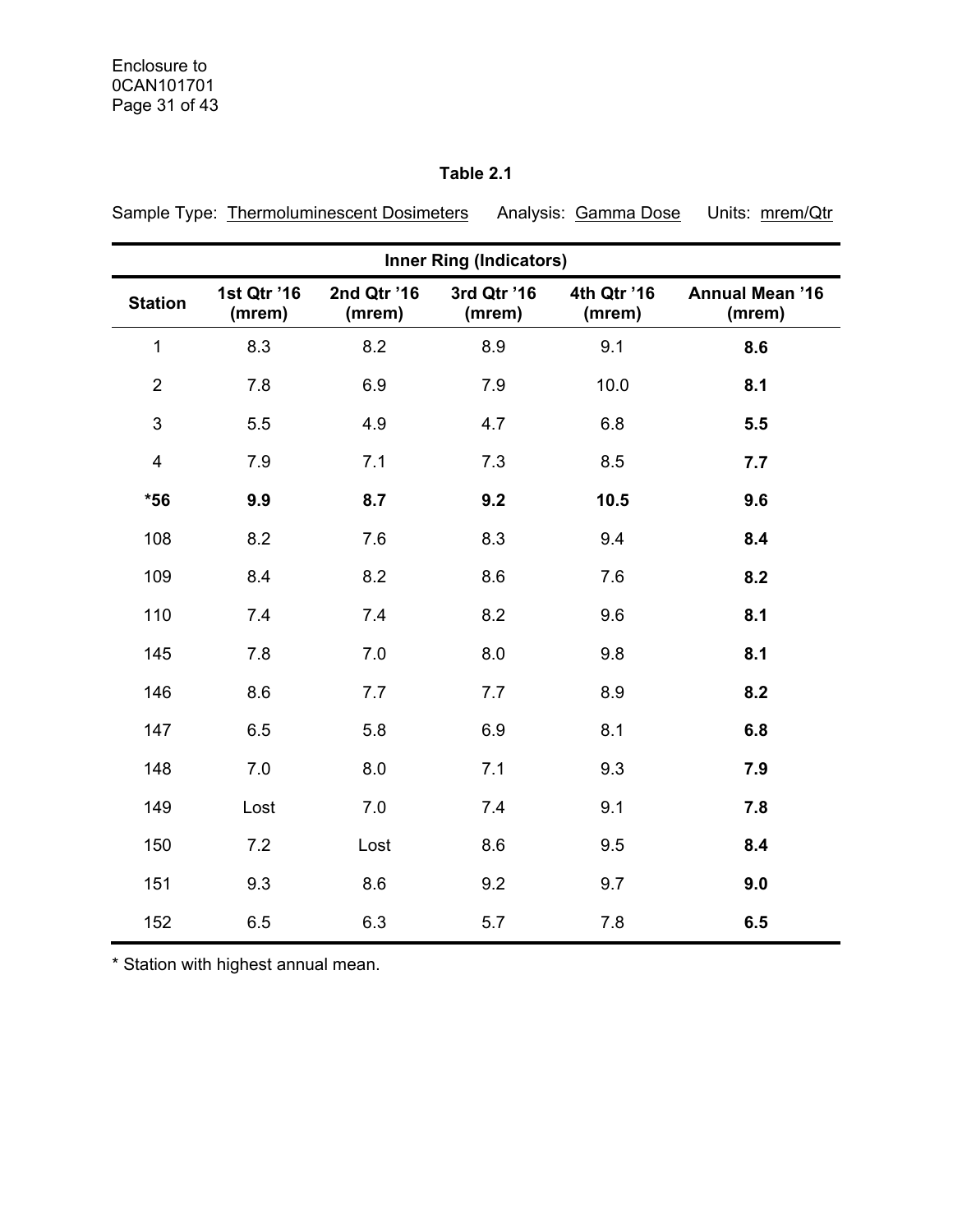|                         |                       |                       | <b>Inner Ring (Indicators)</b> |                       |                                  |
|-------------------------|-----------------------|-----------------------|--------------------------------|-----------------------|----------------------------------|
| <b>Station</b>          | 1st Qtr '16<br>(mrem) | 2nd Qtr '16<br>(mrem) | 3rd Qtr '16<br>(mrem)          | 4th Qtr '16<br>(mrem) | <b>Annual Mean '16</b><br>(mrem) |
| 1                       | 8.3                   | 8.2                   | 8.9                            | 9.1                   | 8.6                              |
| $\overline{2}$          | 7.8                   | 6.9                   | 7.9                            | 10.0                  | 8.1                              |
| $\mathbf{3}$            | 5.5                   | 4.9                   | 4.7                            | 6.8                   | 5.5                              |
| $\overline{\mathbf{4}}$ | 7.9                   | 7.1                   | 7.3                            | 8.5                   | 7.7                              |
| $*56$                   | 9.9                   | 8.7                   | 9.2                            | 10.5                  | 9.6                              |
| 108                     | 8.2                   | 7.6                   | 8.3                            | 9.4                   | 8.4                              |
| 109                     | 8.4                   | 8.2                   | 8.6                            | 7.6                   | 8.2                              |
| 110                     | 7.4                   | 7.4                   | 8.2                            | 9.6                   | 8.1                              |
| 145                     | 7.8                   | 7.0                   | 8.0                            | 9.8                   | 8.1                              |
| 146                     | 8.6                   | 7.7                   | 7.7                            | 8.9                   | 8.2                              |
| 147                     | 6.5                   | 5.8                   | 6.9                            | 8.1                   | 6.8                              |
| 148                     | 7.0                   | 8.0                   | 7.1                            | 9.3                   | 7.9                              |
| 149                     | Lost                  | 7.0                   | 7.4                            | 9.1                   | 7.8                              |
| 150                     | 7.2                   | Lost                  | 8.6                            | 9.5                   | 8.4                              |
| 151                     | 9.3                   | 8.6                   | 9.2                            | 9.7                   | 9.0                              |
| 152                     | 6.5                   | 6.3                   | 5.7                            | 7.8                   | 6.5                              |

**Table 2.1** 

Sample Type: Thermoluminescent Dosimeters Analysis: Gamma Dose Units: mrem/Qtr

\* Station with highest annual mean.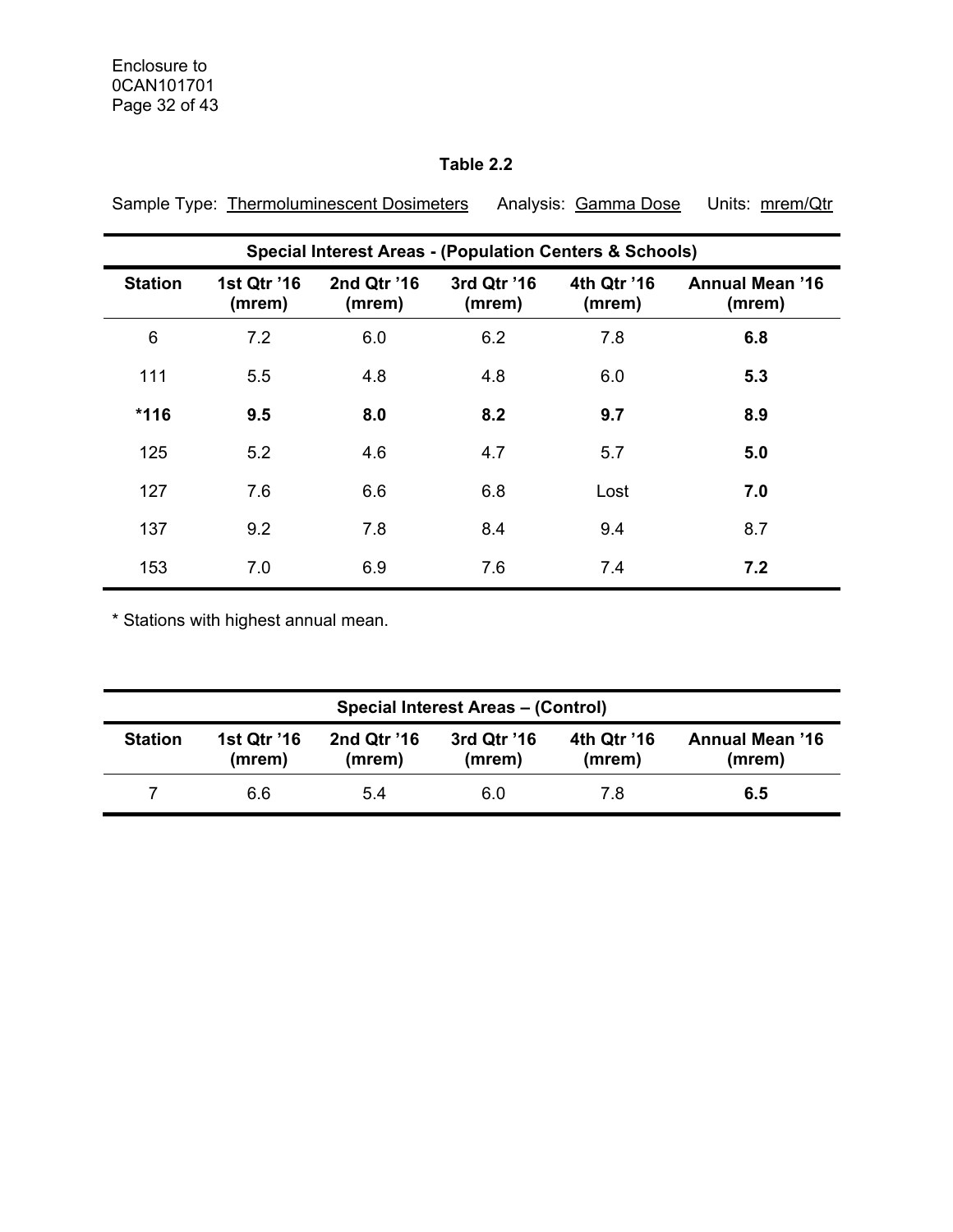# **Table 2.2**

|                | <b>Special Interest Areas - (Population Centers &amp; Schools)</b> |                       |                       |                       |                                  |  |  |  |  |  |  |
|----------------|--------------------------------------------------------------------|-----------------------|-----------------------|-----------------------|----------------------------------|--|--|--|--|--|--|
| <b>Station</b> | 1st Qtr '16<br>(mrem)                                              | 2nd Qtr '16<br>(mrem) | 3rd Qtr '16<br>(mrem) | 4th Qtr '16<br>(mrem) | <b>Annual Mean '16</b><br>(mrem) |  |  |  |  |  |  |
| 6              | 7.2                                                                | 6.0                   | 6.2                   | 7.8                   | 6.8                              |  |  |  |  |  |  |
| 111            | 5.5                                                                | 4.8                   | 4.8                   | 6.0                   | 5.3                              |  |  |  |  |  |  |
| $*116$         | 9.5                                                                | 8.0                   | 8.2                   | 9.7                   | 8.9                              |  |  |  |  |  |  |
| 125            | 5.2                                                                | 4.6                   | 4.7                   | 5.7                   | 5.0                              |  |  |  |  |  |  |
| 127            | 7.6                                                                | 6.6                   | 6.8                   | Lost                  | 7.0                              |  |  |  |  |  |  |
| 137            | 9.2                                                                | 7.8                   | 8.4                   | 9.4                   | 8.7                              |  |  |  |  |  |  |
| 153            | 7.0                                                                | 6.9                   | 7.6                   | 7.4                   | 7.2                              |  |  |  |  |  |  |

Sample Type: Thermoluminescent Dosimeters Analysis: Gamma Dose Units: mrem/Qtr

\* Stations with highest annual mean.

| <b>Special Interest Areas - (Control)</b> |                       |                       |                       |                       |                                  |  |  |  |
|-------------------------------------------|-----------------------|-----------------------|-----------------------|-----------------------|----------------------------------|--|--|--|
| <b>Station</b>                            | 1st Qtr '16<br>(mrem) | 2nd Qtr '16<br>(mrem) | 3rd Qtr '16<br>(mrem) | 4th Qtr '16<br>(mrem) | <b>Annual Mean '16</b><br>(mrem) |  |  |  |
|                                           | 6.6                   | 5.4                   | 6.0                   | 7.8                   | 6.5                              |  |  |  |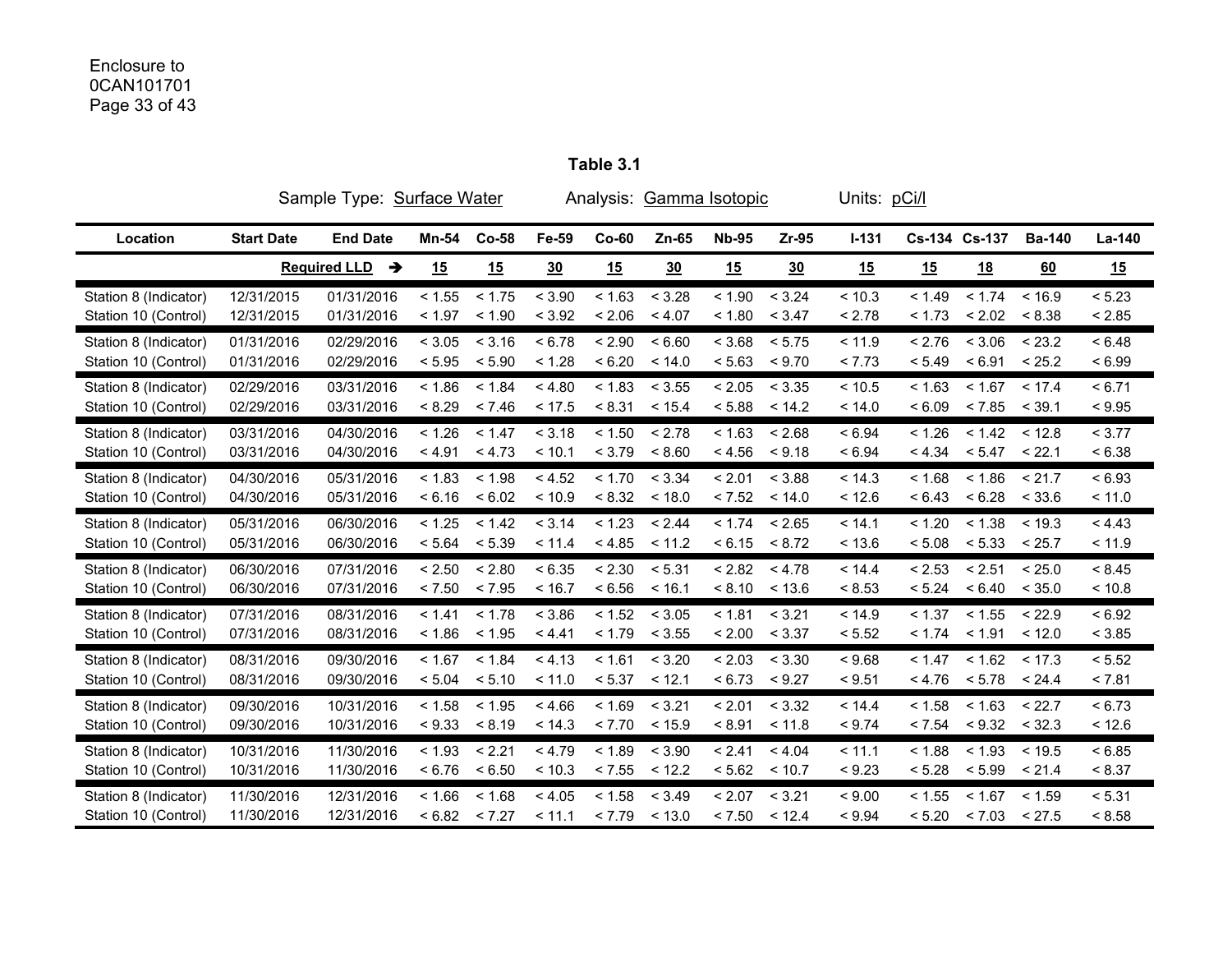# Enclosure to 0CAN101701 Page 33 of 43

|                       |                   | Sample Type: Surface Water |              |         |        |         | Analysis: Gamma Isotopic |              |         | Units: pCi/l |           |               |               |        |
|-----------------------|-------------------|----------------------------|--------------|---------|--------|---------|--------------------------|--------------|---------|--------------|-----------|---------------|---------------|--------|
| Location              | <b>Start Date</b> | <b>End Date</b>            | <b>Mn-54</b> | $Co-58$ | Fe-59  | $Co-60$ | Zn-65                    | <b>Nb-95</b> | $Zr-95$ | $1 - 131$    |           | Cs-134 Cs-137 | <b>Ba-140</b> | La-140 |
|                       |                   | <b>Required LLD</b><br>→   | 15           | 15      | 30     | 15      | 30                       | 15           | 30      | 15           | <u>15</u> | <u>18</u>     | 60            | 15     |
| Station 8 (Indicator) | 12/31/2015        | 01/31/2016                 | < 1.55       | < 1.75  | < 3.90 | < 1.63  | < 3.28                   | < 1.90       | < 3.24  | < 10.3       | < 1.49    | < 1.74        | < 16.9        | < 5.23 |
| Station 10 (Control)  | 12/31/2015        | 01/31/2016                 | < 1.97       | < 1.90  | < 3.92 | < 2.06  | < 4.07                   | < 1.80       | < 3.47  | < 2.78       | < 1.73    | < 2.02        | < 8.38        | < 2.85 |
| Station 8 (Indicator) | 01/31/2016        | 02/29/2016                 | < 3.05       | < 3.16  | < 6.78 | < 2.90  | < 6.60                   | < 3.68       | < 5.75  | < 11.9       | < 2.76    | < 3.06        | < 23.2        | < 6.48 |
| Station 10 (Control)  | 01/31/2016        | 02/29/2016                 | < 5.95       | < 5.90  | < 1.28 | < 6.20  | < 14.0                   | < 5.63       | < 9.70  | < 7.73       | < 5.49    | < 6.91        | < 25.2        | < 6.99 |
| Station 8 (Indicator) | 02/29/2016        | 03/31/2016                 | < 1.86       | < 1.84  | < 4.80 | < 1.83  | < 3.55                   | < 2.05       | < 3.35  | < 10.5       | < 1.63    | < 1.67        | < 17.4        | < 6.71 |
| Station 10 (Control)  | 02/29/2016        | 03/31/2016                 | < 8.29       | < 7.46  | < 17.5 | < 8.31  | < 15.4                   | < 5.88       | < 14.2  | < 14.0       | < 6.09    | < 7.85        | < 39.1        | < 9.95 |
| Station 8 (Indicator) | 03/31/2016        | 04/30/2016                 | < 1.26       | < 1.47  | < 3.18 | < 1.50  | < 2.78                   | < 1.63       | < 2.68  | < 6.94       | < 1.26    | < 1.42        | < 12.8        | < 3.77 |
| Station 10 (Control)  | 03/31/2016        | 04/30/2016                 | < 4.91       | < 4.73  | < 10.1 | < 3.79  | < 8.60                   | < 4.56       | < 9.18  | < 6.94       | < 4.34    | < 5.47        | < 22.1        | < 6.38 |
| Station 8 (Indicator) | 04/30/2016        | 05/31/2016                 | < 1.83       | < 1.98  | < 4.52 | < 1.70  | < 3.34                   | < 2.01       | < 3.88  | < 14.3       | < 1.68    | < 1.86        | < 21.7        | < 6.93 |
| Station 10 (Control)  | 04/30/2016        | 05/31/2016                 | < 6.16       | < 6.02  | < 10.9 | < 8.32  | < 18.0                   | < 7.52       | < 14.0  | < 12.6       | < 6.43    | < 6.28        | < 33.6        | < 11.0 |
| Station 8 (Indicator) | 05/31/2016        | 06/30/2016                 | < 1.25       | < 1.42  | < 3.14 | < 1.23  | < 2.44                   | < 1.74       | < 2.65  | < 14.1       | < 1.20    | < 1.38        | < 19.3        | < 4.43 |
| Station 10 (Control)  | 05/31/2016        | 06/30/2016                 | < 5.64       | < 5.39  | < 11.4 | < 4.85  | < 11.2                   | < 6.15       | < 8.72  | < 13.6       | < 5.08    | < 5.33        | < 25.7        | < 11.9 |
| Station 8 (Indicator) | 06/30/2016        | 07/31/2016                 | < 2.50       | < 2.80  | < 6.35 | < 2.30  | < 5.31                   | < 2.82       | < 4.78  | < 14.4       | < 2.53    | < 2.51        | < 25.0        | < 8.45 |
| Station 10 (Control)  | 06/30/2016        | 07/31/2016                 | < 7.50       | < 7.95  | < 16.7 | < 6.56  | < 16.1                   | < 8.10       | < 13.6  | < 8.53       | < 5.24    | < 6.40        | < 35.0        | < 10.8 |
| Station 8 (Indicator) | 07/31/2016        | 08/31/2016                 | < 1.41       | < 1.78  | < 3.86 | < 1.52  | < 3.05                   | < 1.81       | < 3.21  | < 14.9       | < 1.37    | < 1.55        | < 22.9        | < 6.92 |
| Station 10 (Control)  | 07/31/2016        | 08/31/2016                 | < 1.86       | < 1.95  | < 4.41 | < 1.79  | < 3.55                   | < 2.00       | < 3.37  | < 5.52       | < 1.74    | < 1.91        | < 12.0        | < 3.85 |
| Station 8 (Indicator) | 08/31/2016        | 09/30/2016                 | < 1.67       | < 1.84  | < 4.13 | < 1.61  | < 3.20                   | < 2.03       | < 3.30  | < 9.68       | < 1.47    | < 1.62        | < 17.3        | < 5.52 |
| Station 10 (Control)  | 08/31/2016        | 09/30/2016                 | < 5.04       | < 5.10  | < 11.0 | < 5.37  | < 12.1                   | < 6.73       | < 9.27  | < 9.51       | < 4.76    | < 5.78        | < 24.4        | < 7.81 |
| Station 8 (Indicator) | 09/30/2016        | 10/31/2016                 | < 1.58       | < 1.95  | < 4.66 | < 1.69  | < 3.21                   | < 2.01       | < 3.32  | < 14.4       | < 1.58    | < 1.63        | < 22.7        | < 6.73 |
| Station 10 (Control)  | 09/30/2016        | 10/31/2016                 | < 9.33       | < 8.19  | < 14.3 | < 7.70  | < 15.9                   | < 8.91       | < 11.8  | < 9.74       | < 7.54    | < 9.32        | < 32.3        | < 12.6 |
| Station 8 (Indicator) | 10/31/2016        | 11/30/2016                 | < 1.93       | < 2.21  | < 4.79 | < 1.89  | < 3.90                   | < 2.41       | < 4.04  | < 11.1       | < 1.88    | < 1.93        | < 19.5        | < 6.85 |
| Station 10 (Control)  | 10/31/2016        | 11/30/2016                 | < 6.76       | < 6.50  | < 10.3 | < 7.55  | < 12.2                   | < 5.62       | < 10.7  | < 9.23       | < 5.28    | < 5.99        | < 21.4        | < 8.37 |
| Station 8 (Indicator) | 11/30/2016        | 12/31/2016                 | < 1.66       | < 1.68  | < 4.05 | < 1.58  | < 3.49                   | < 2.07       | < 3.21  | < 9.00       | < 1.55    | < 1.67        | < 1.59        | < 5.31 |
| Station 10 (Control)  | 11/30/2016        | 12/31/2016                 | < 6.82       | < 7.27  | < 11.1 | < 7.79  | < 13.0                   | < 7.50       | < 12.4  | < 9.94       | < 5.20    | < 7.03        | < 27.5        | < 8.58 |

**Table 3.1**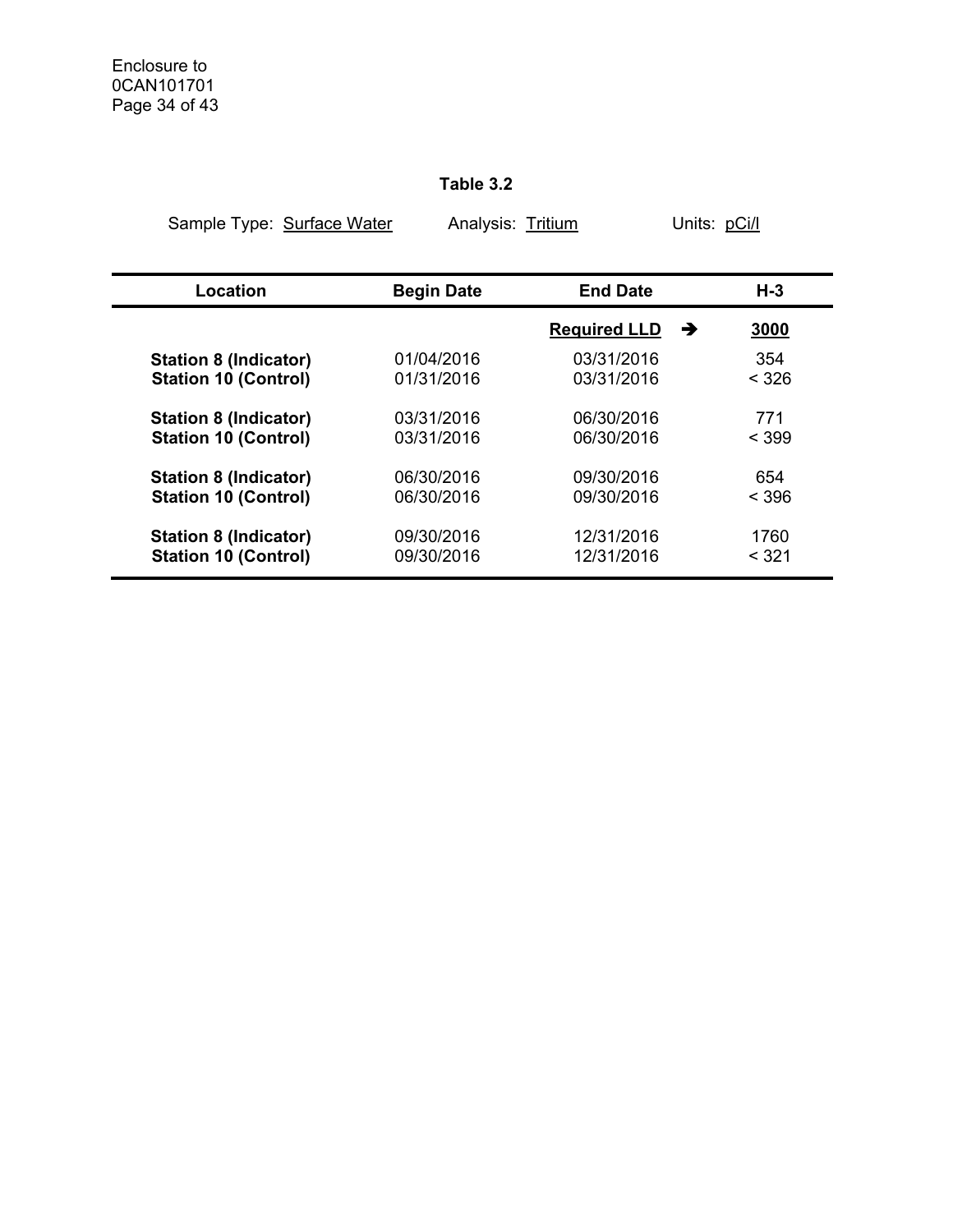# **Table 3.2**

| Sample Type: Surface Water   | Analysis: Tritium |                     | Units: pCi/l |
|------------------------------|-------------------|---------------------|--------------|
|                              |                   |                     |              |
| Location                     | <b>Begin Date</b> | <b>End Date</b>     | H-3          |
|                              |                   | <b>Required LLD</b> | 3000<br>→    |
| <b>Station 8 (Indicator)</b> | 01/04/2016        | 03/31/2016          | 354          |
| <b>Station 10 (Control)</b>  | 01/31/2016        | 03/31/2016          | < 326        |
| <b>Station 8 (Indicator)</b> | 03/31/2016        | 06/30/2016          | 771          |
| <b>Station 10 (Control)</b>  | 03/31/2016        | 06/30/2016          | $<$ 399      |
| <b>Station 8 (Indicator)</b> | 06/30/2016        | 09/30/2016          | 654          |
| <b>Station 10 (Control)</b>  | 06/30/2016        | 09/30/2016          | < 396        |
| <b>Station 8 (Indicator)</b> | 09/30/2016        | 12/31/2016          | 1760         |
| <b>Station 10 (Control)</b>  | 09/30/2016        | 12/31/2016          | < 321        |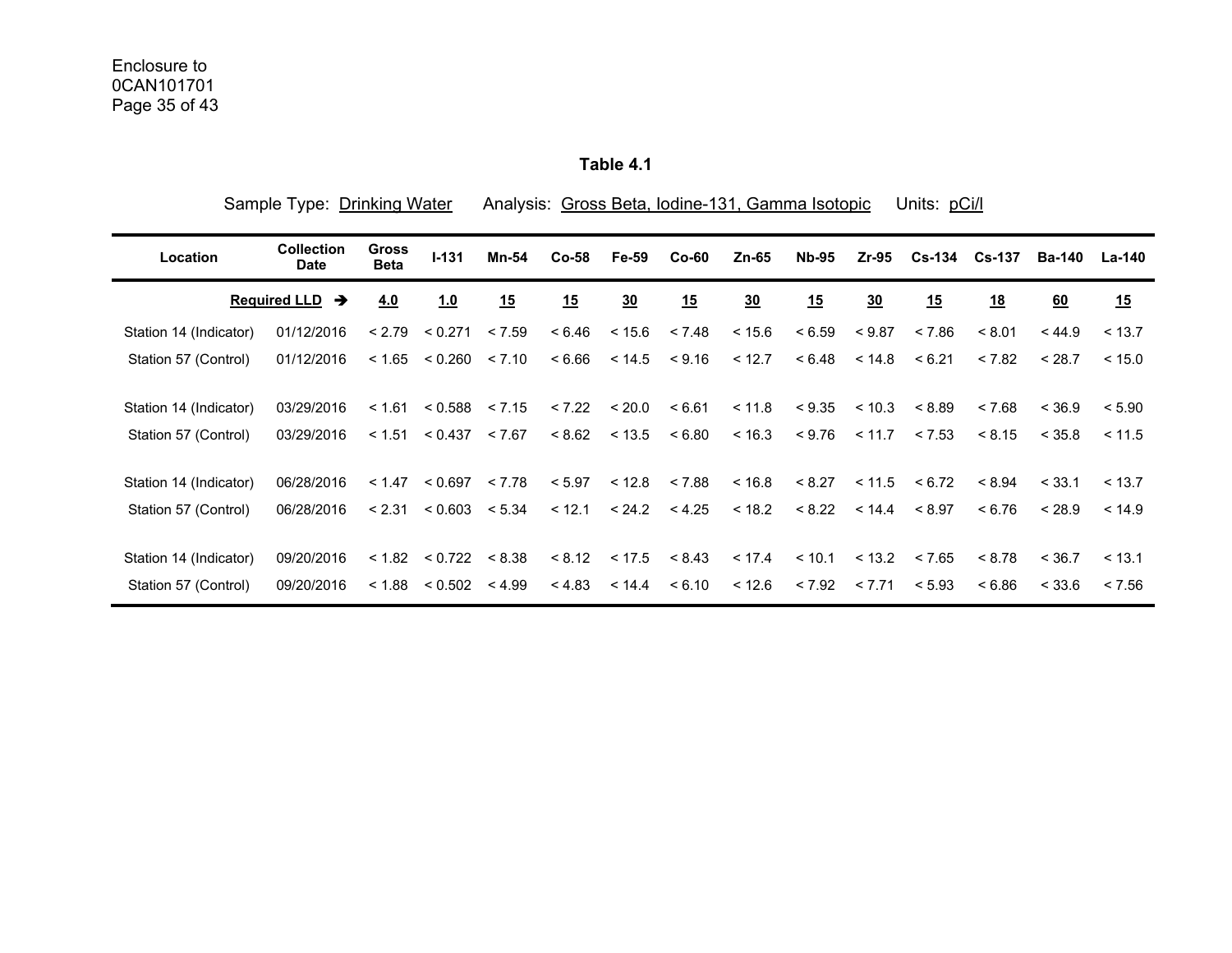**Table 4.1** 

| Sample Type: Drinking Water |                                  |                             |                             |        |        | Analysis: Gross Beta, Iodine-131, Gamma Isotopic |         |         | Units: pCi/l |                |        |               |               |        |
|-----------------------------|----------------------------------|-----------------------------|-----------------------------|--------|--------|--------------------------------------------------|---------|---------|--------------|----------------|--------|---------------|---------------|--------|
| Location                    | <b>Collection</b><br><b>Date</b> | <b>Gross</b><br><b>Beta</b> | $1 - 131$                   | Mn-54  | Co-58  | Fe-59                                            | $Co-60$ | $Zn-65$ | <b>Nb-95</b> | $Zr-95$        |        | Cs-134 Cs-137 | <b>Ba-140</b> | La-140 |
|                             | <b>Required LLD</b><br>→         | 4.0                         | 1.0                         | 15     | 15     | $\underline{30}$                                 | 15      | 30      | 15           | $\frac{30}{2}$ | 15     | 18            | 60            | 15     |
| Station 14 (Indicator)      | 01/12/2016                       | < 2.79                      | < 0.271                     | < 7.59 | < 6.46 | < 15.6                                           | < 7.48  | < 15.6  | < 6.59       | < 9.87         | < 7.86 | < 8.01        | < 44.9        | < 13.7 |
| Station 57 (Control)        | 01/12/2016                       | < 1.65                      | < 0.260                     | < 7.10 | < 6.66 | < 14.5                                           | < 9.16  | < 12.7  | < 6.48       | < 14.8         | < 6.21 | < 7.82        | < 28.7        | < 15.0 |
| Station 14 (Indicator)      | 03/29/2016                       | < 1.61                      | < 0.588                     | < 7.15 | < 7.22 | < 20.0                                           | < 6.61  | < 11.8  | < 9.35       | ~10.3          | < 8.89 | < 7.68        | < 36.9        | < 5.90 |
| Station 57 (Control)        | 03/29/2016                       |                             | $< 1.51$ $< 0.437$ $< 7.67$ |        |        | $< 8.62$ $< 13.5$                                | < 6.80  | < 16.3  | < 9.76       | < 11.7         | < 7.53 | < 8.15        | < 35.8        | < 11.5 |
| Station 14 (Indicator)      | 06/28/2016                       | < 1.47                      | < 0.697                     | < 7.78 | < 5.97 | < 12.8                                           | < 7.88  | ~16.8   | < 8.27       | < 11.5         | < 6.72 | < 8.94        | < 33.1        | < 13.7 |
| Station 57 (Control)        | 06/28/2016                       | < 2.31                      | < 0.603                     | < 5.34 | < 12.1 | < 24.2                                           | < 4.25  | < 18.2  | < 8.22       | < 14.4         | < 8.97 | < 6.76        | < 28.9        | < 14.9 |
| Station 14 (Indicator)      | 09/20/2016                       | < 1.82                      | < 0.722                     | < 8.38 | < 8.12 | < 17.5                                           | < 8.43  | < 17.4  | < 10.1       | < 13.2         | < 7.65 | < 8.78        | < 36.7        | < 13.1 |
| Station 57 (Control)        | 09/20/2016                       | < 1.88                      | < 0.502                     | < 4.99 | < 4.83 | < 14.4                                           | < 6.10  | < 12.6  | < 7.92       | < 7.71         | < 5.93 | < 6.86        | < 33.6        | < 7.56 |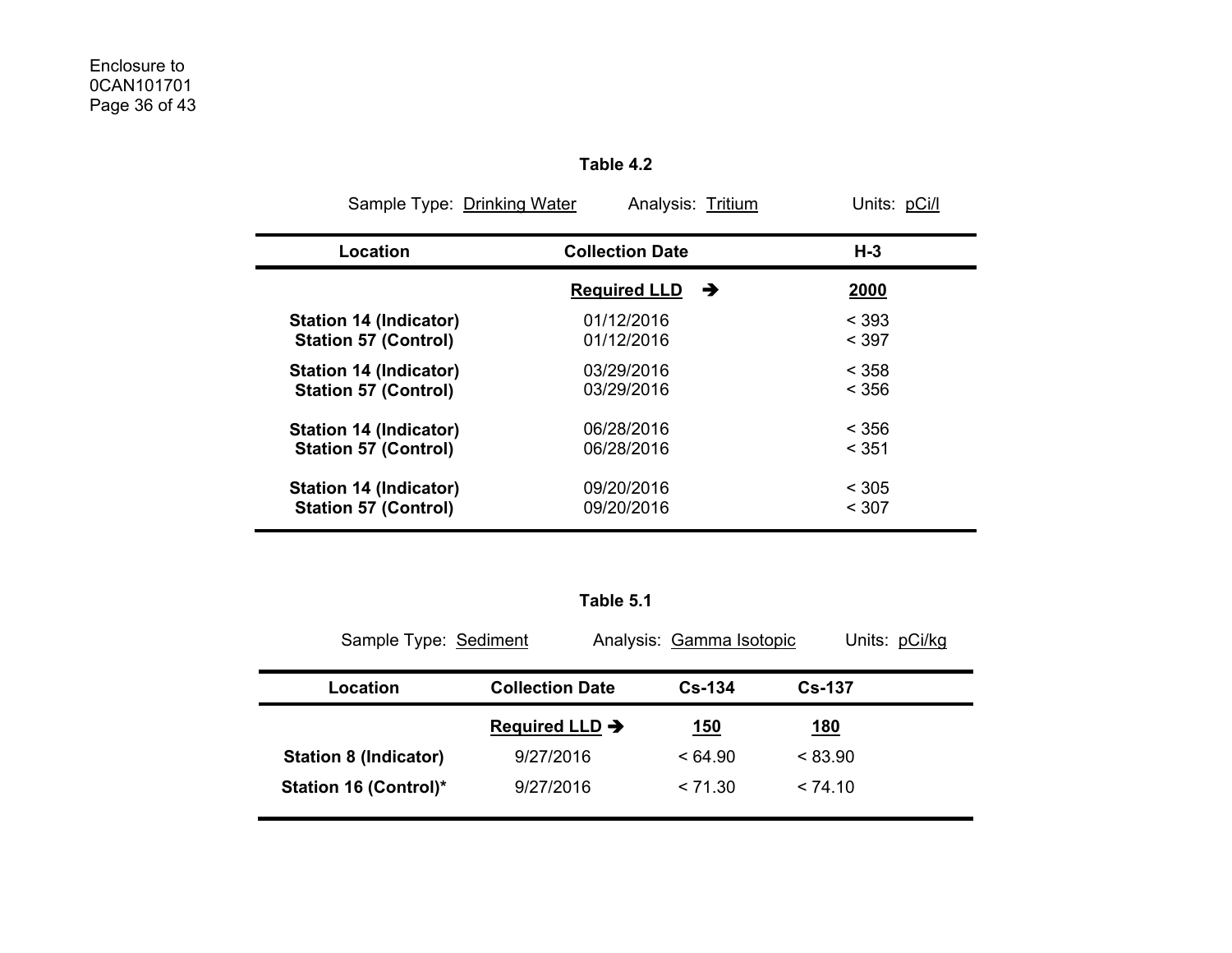|                               | Sample Type: Drinking Water<br>Units: pCi/l<br>Analysis: Tritium |             |  |  |  |  |  |  |
|-------------------------------|------------------------------------------------------------------|-------------|--|--|--|--|--|--|
| Location                      | <b>Collection Date</b>                                           | $H-3$       |  |  |  |  |  |  |
|                               | <b>Required LLD</b><br>→                                         | <u>2000</u> |  |  |  |  |  |  |
| Station 14 (Indicator)        | 01/12/2016                                                       | < 393       |  |  |  |  |  |  |
| <b>Station 57 (Control)</b>   | 01/12/2016                                                       | < 397       |  |  |  |  |  |  |
| Station 14 (Indicator)        | 03/29/2016                                                       | < 358       |  |  |  |  |  |  |
| <b>Station 57 (Control)</b>   | 03/29/2016                                                       | < 356       |  |  |  |  |  |  |
| <b>Station 14 (Indicator)</b> | 06/28/2016                                                       | < 356       |  |  |  |  |  |  |
| <b>Station 57 (Control)</b>   | 06/28/2016                                                       | < 351       |  |  |  |  |  |  |
| <b>Station 14 (Indicator)</b> | 09/20/2016                                                       | < 305       |  |  |  |  |  |  |
| <b>Station 57 (Control)</b>   | 09/20/2016                                                       | < 307       |  |  |  |  |  |  |

**Table 4.2** 

#### **Table 5.1**

| Sample Type: Sediment        |                            | Analysis: Gamma Isotopic | Units: pCi/kg |
|------------------------------|----------------------------|--------------------------|---------------|
| Location                     | <b>Collection Date</b>     | $Cs - 134$               | <b>Cs-137</b> |
|                              | Required LLD $\rightarrow$ | <u> 150</u>              | <u> 180</u>   |
| <b>Station 8 (Indicator)</b> | 9/27/2016                  | < 64.90                  | < 83.90       |
| <b>Station 16 (Control)*</b> | 9/27/2016                  | < 71.30                  | < 74.10       |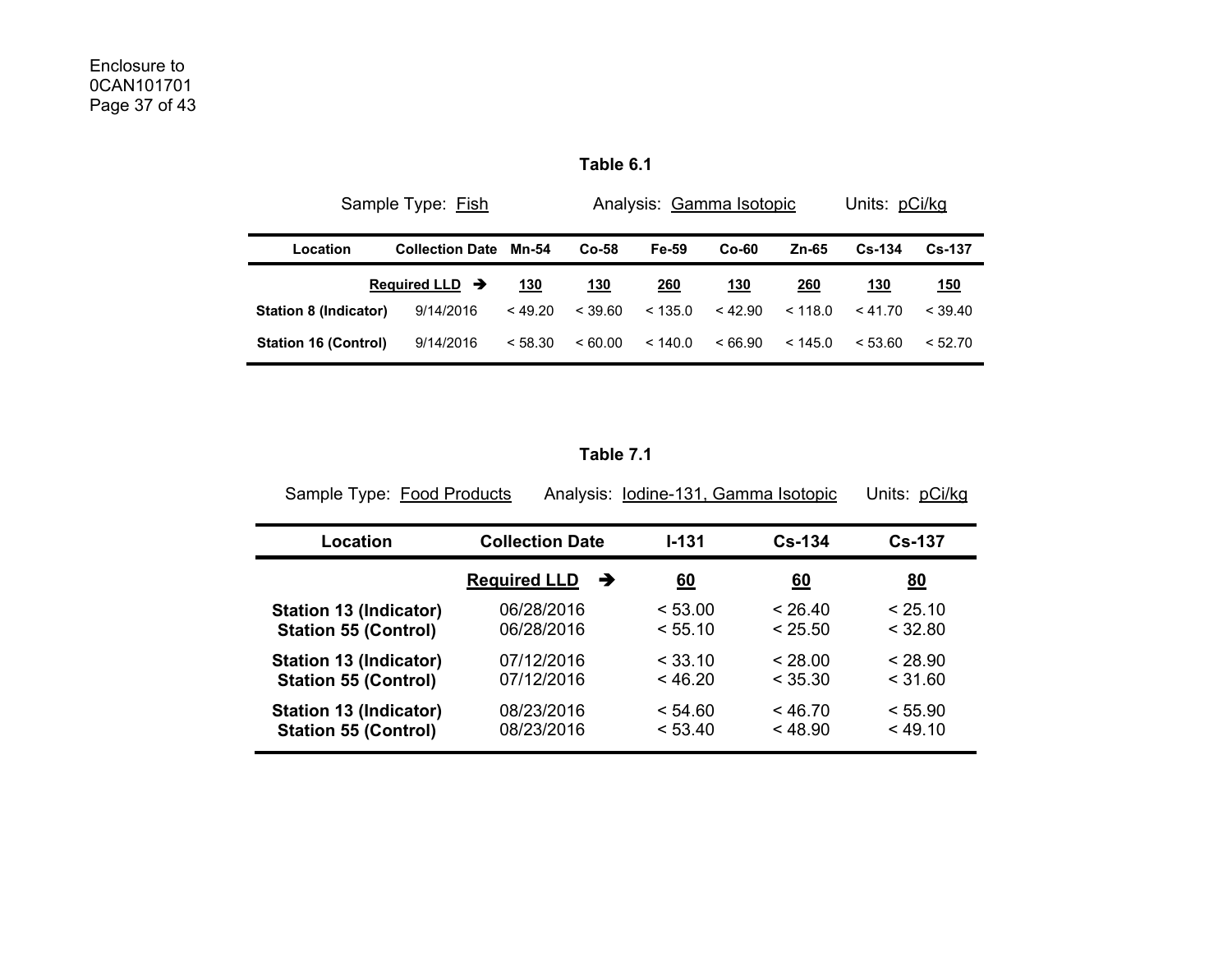| Table 6.1 |  |
|-----------|--|
|-----------|--|

|                             | Sample Type: Fish          |         | Analysis: Gamma Isotopic | Units: pCi/kg |           |         |            |            |
|-----------------------------|----------------------------|---------|--------------------------|---------------|-----------|---------|------------|------------|
| Location                    | <b>Collection Date</b>     | Mn-54   | $Co-58$                  | Fe-59         | $Co-60$   | Zn-65   | $Cs - 134$ | $Cs - 137$ |
|                             | Required LLD $\rightarrow$ | 130     | 130                      | 260           | 130       | 260     | 130        | <u>150</u> |
| Station 8 (Indicator)       | 9/14/2016                  | < 49.20 | < 39.60                  | < 135.0       | $<$ 42.90 | < 118.0 | < 41.70    | $<$ 39.40  |
| <b>Station 16 (Control)</b> | 9/14/2016                  | < 58.30 | <60.00                   | < 140.0       | < 66.90   | < 145.0 | < 53.60    | < 52.70    |

**Table 7.1** 

| Sample Type: Food Products    |                          | Analysis: lodine-131, Gamma Isotopic |            | Units: pCi/kg |
|-------------------------------|--------------------------|--------------------------------------|------------|---------------|
| Location                      | <b>Collection Date</b>   | $1 - 131$                            | $Cs - 134$ | <b>Cs-137</b> |
|                               | <b>Required LLD</b><br>→ | <u>60</u>                            | 60         | 80            |
| <b>Station 13 (Indicator)</b> | 06/28/2016               | < 53.00                              | $<$ 26.40  | < 25.10       |
| <b>Station 55 (Control)</b>   | 06/28/2016               | < 55.10                              | < 25.50    | $<$ 32.80     |
| <b>Station 13 (Indicator)</b> | 07/12/2016               | $<$ 33.10                            | < 28.00    | < 28.90       |
| <b>Station 55 (Control)</b>   | 07/12/2016               | < 46.20                              | < 35.30    | < 31.60       |
| <b>Station 13 (Indicator)</b> | 08/23/2016               | < 54.60                              | < 46.70    | < 55.90       |
| <b>Station 55 (Control)</b>   | 08/23/2016               | < 53.40                              | < 48.90    | < 49.10       |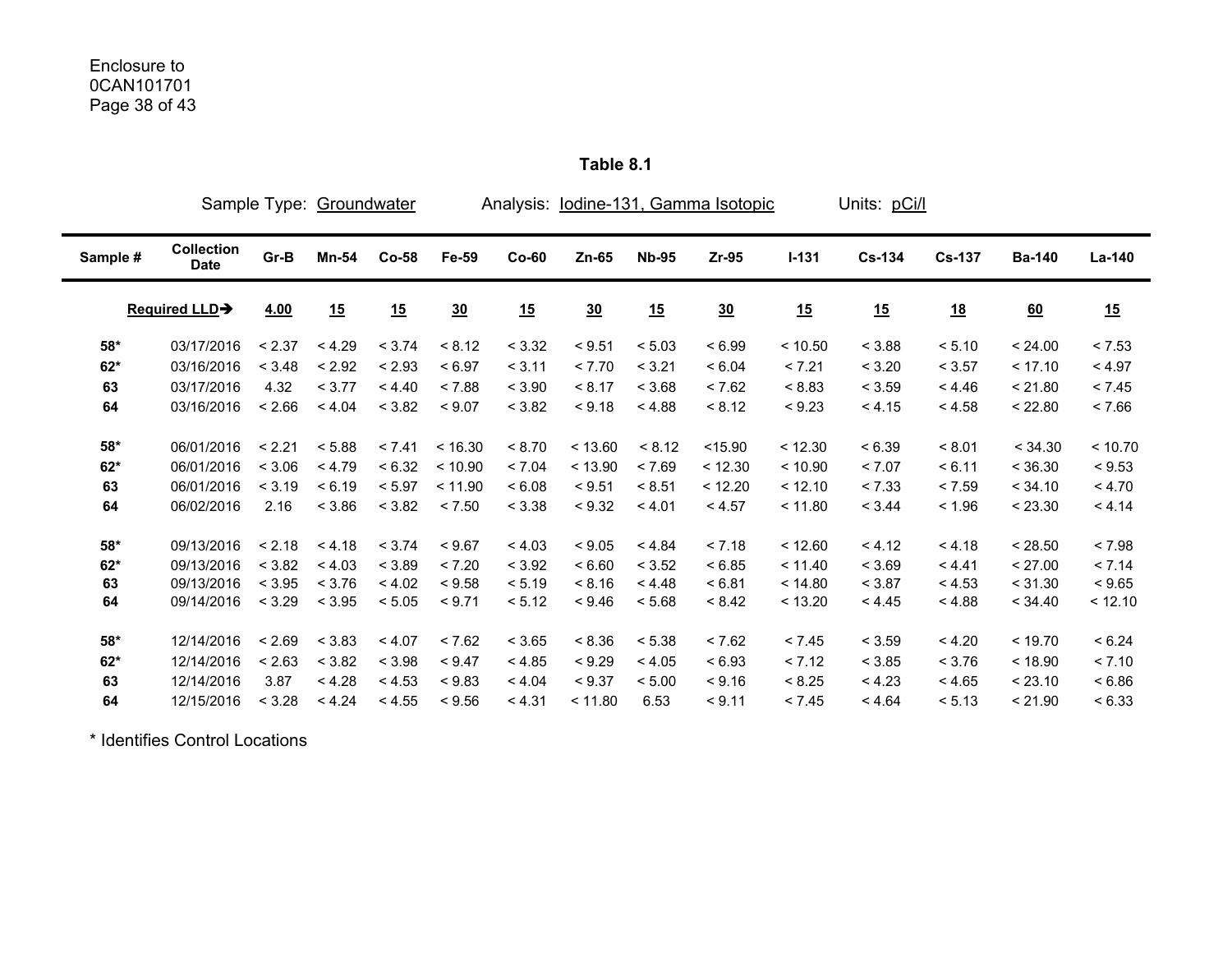|          |                                  |        | Sample Type: Groundwater |         |         |         |         |              | Analysis: lodine-131, Gamma Isotopic |         | Units: pCi/l |               |               |         |
|----------|----------------------------------|--------|--------------------------|---------|---------|---------|---------|--------------|--------------------------------------|---------|--------------|---------------|---------------|---------|
| Sample # | <b>Collection</b><br><b>Date</b> | Gr-B   | Mn-54                    | $Co-58$ | Fe-59   | $Co-60$ | $Zn-65$ | <b>Nb-95</b> | $Zr-95$                              | $I-131$ | $Cs-134$     | <b>Cs-137</b> | <b>Ba-140</b> | La-140  |
|          | Required LLD-                    | 4.00   | 15                       | 15      | 30      | 15      | 30      | 15           | 30                                   | 15      | 15           | <u>18</u>     | 60            | 15      |
| $58*$    | 03/17/2016                       | < 2.37 | < 4.29                   | < 3.74  | < 8.12  | < 3.32  | < 9.51  | < 5.03       | < 6.99                               | < 10.50 | < 3.88       | < 5.10        | < 24.00       | < 7.53  |
| $62*$    | 03/16/2016                       | < 3.48 | < 2.92                   | < 2.93  | < 6.97  | < 3.11  | < 7.70  | < 3.21       | < 6.04                               | < 7.21  | < 3.20       | < 3.57        | < 17.10       | < 4.97  |
| 63       | 03/17/2016                       | 4.32   | < 3.77                   | < 4.40  | < 7.88  | < 3.90  | < 8.17  | < 3.68       | < 7.62                               | < 8.83  | < 3.59       | < 4.46        | < 21.80       | < 7.45  |
| 64       | 03/16/2016                       | < 2.66 | < 4.04                   | < 3.82  | < 9.07  | < 3.82  | < 9.18  | < 4.88       | < 8.12                               | < 9.23  | < 4.15       | < 4.58        | < 22.80       | < 7.66  |
| $58*$    | 06/01/2016                       | < 2.21 | < 5.88                   | < 7.41  | < 16.30 | < 8.70  | < 13.60 | < 8.12       | $<$ 15.90                            | < 12.30 | < 6.39       | < 8.01        | < 34.30       | < 10.70 |
| $62*$    | 06/01/2016                       | < 3.06 | < 4.79                   | < 6.32  | < 10.90 | < 7.04  | < 13.90 | < 7.69       | < 12.30                              | < 10.90 | < 7.07       | < 6.11        | < 36.30       | < 9.53  |
| 63       | 06/01/2016                       | < 3.19 | < 6.19                   | < 5.97  | < 11.90 | < 6.08  | < 9.51  | < 8.51       | < 12.20                              | < 12.10 | < 7.33       | < 7.59        | < 34.10       | < 4.70  |
| 64       | 06/02/2016                       | 2.16   | < 3.86                   | < 3.82  | < 7.50  | < 3.38  | < 9.32  | < 4.01       | < 4.57                               | < 11.80 | < 3.44       | < 1.96        | < 23.30       | < 4.14  |
| $58*$    | 09/13/2016                       | < 2.18 | < 4.18                   | < 3.74  | < 9.67  | < 4.03  | < 9.05  | < 4.84       | < 7.18                               | < 12.60 | < 4.12       | < 4.18        | < 28.50       | < 7.98  |
| $62*$    | 09/13/2016                       | < 3.82 | < 4.03                   | < 3.89  | < 7.20  | < 3.92  | < 6.60  | < 3.52       | < 6.85                               | < 11.40 | < 3.69       | < 4.41        | < 27.00       | < 7.14  |
| 63       | 09/13/2016                       | < 3.95 | < 3.76                   | < 4.02  | < 9.58  | < 5.19  | < 8.16  | < 4.48       | < 6.81                               | < 14.80 | < 3.87       | < 4.53        | < 31.30       | < 9.65  |
| 64       | 09/14/2016                       | < 3.29 | < 3.95                   | < 5.05  | < 9.71  | < 5.12  | < 9.46  | < 5.68       | < 8.42                               | < 13.20 | < 4.45       | < 4.88        | < 34.40       | < 12.10 |
| $58*$    | 12/14/2016                       | < 2.69 | < 3.83                   | < 4.07  | < 7.62  | < 3.65  | < 8.36  | < 5.38       | < 7.62                               | < 7.45  | < 3.59       | < 4.20        | < 19.70       | < 6.24  |
| $62*$    | 12/14/2016                       | < 2.63 | < 3.82                   | < 3.98  | < 9.47  | < 4.85  | < 9.29  | < 4.05       | < 6.93                               | < 7.12  | < 3.85       | < 3.76        | < 18.90       | < 7.10  |
| 63       | 12/14/2016                       | 3.87   | < 4.28                   | < 4.53  | < 9.83  | < 4.04  | < 9.37  | < 5.00       | < 9.16                               | < 8.25  | < 4.23       | < 4.65        | < 23.10       | < 6.86  |
| 64       | 12/15/2016                       | < 3.28 | < 4.24                   | < 4.55  | < 9.56  | < 4.31  | < 11.80 | 6.53         | < 9.11                               | < 7.45  | < 4.64       | < 5.13        | < 21.90       | < 6.33  |

**Table 8.1** 

\* Identifies Control Locations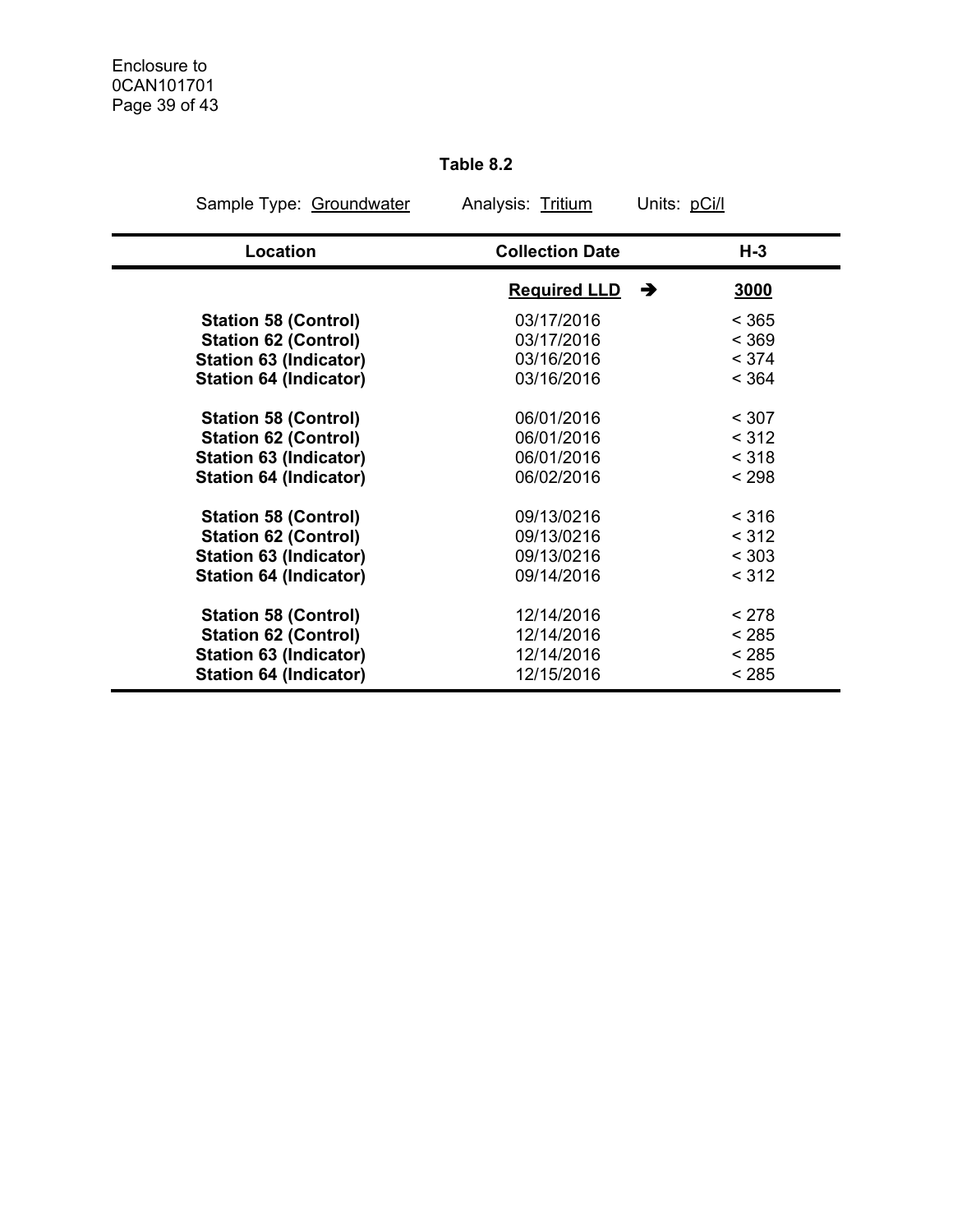# **Table 8.2**

| Sample Type: Groundwater      | Analysis: Tritium      | Units: pCi/l |
|-------------------------------|------------------------|--------------|
| Location                      | <b>Collection Date</b> | $H-3$        |
|                               | <b>Required LLD</b>    | 3000<br>→    |
| <b>Station 58 (Control)</b>   | 03/17/2016             | < 365        |
| <b>Station 62 (Control)</b>   | 03/17/2016             | < 369        |
| <b>Station 63 (Indicator)</b> | 03/16/2016             | < 374        |
| <b>Station 64 (Indicator)</b> | 03/16/2016             | < 364        |
| <b>Station 58 (Control)</b>   | 06/01/2016             | < 307        |
| <b>Station 62 (Control)</b>   | 06/01/2016             | < 312        |
| <b>Station 63 (Indicator)</b> | 06/01/2016             | < 318        |
| <b>Station 64 (Indicator)</b> | 06/02/2016             | < 298        |
| <b>Station 58 (Control)</b>   | 09/13/0216             | < 316        |
| <b>Station 62 (Control)</b>   | 09/13/0216             | < 312        |
| <b>Station 63 (Indicator)</b> | 09/13/0216             | < 303        |
| <b>Station 64 (Indicator)</b> | 09/14/2016             | < 312        |
| <b>Station 58 (Control)</b>   | 12/14/2016             | < 278        |
| <b>Station 62 (Control)</b>   | 12/14/2016             | < 285        |
| <b>Station 63 (Indicator)</b> | 12/14/2016             | < 285        |
| <b>Station 64 (Indicator)</b> | 12/15/2016             | < 285        |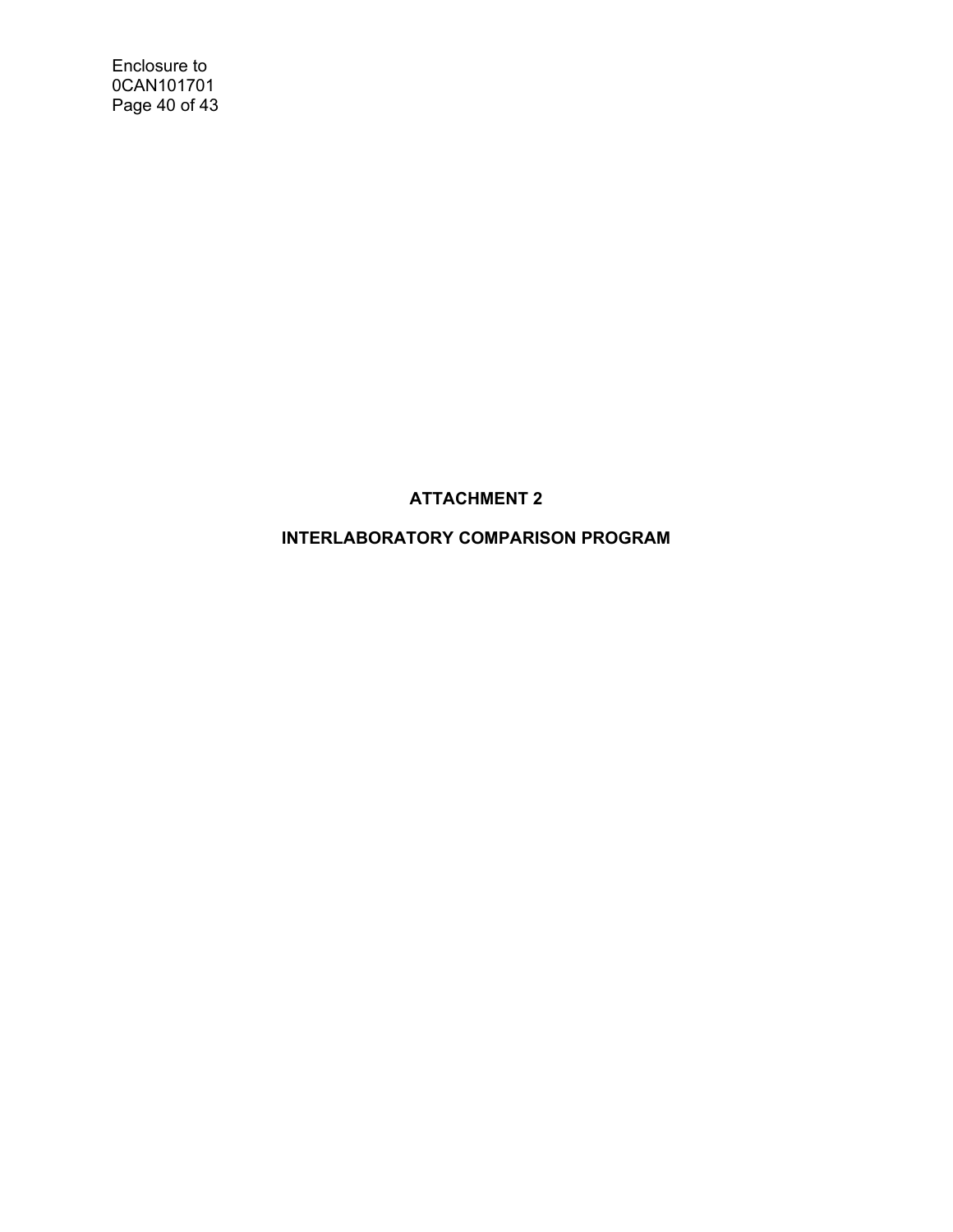Enclosure to 0CAN101701 Page 40 of 43

# **ATTACHMENT 2**

# **INTERLABORATORY COMPARISON PROGRAM**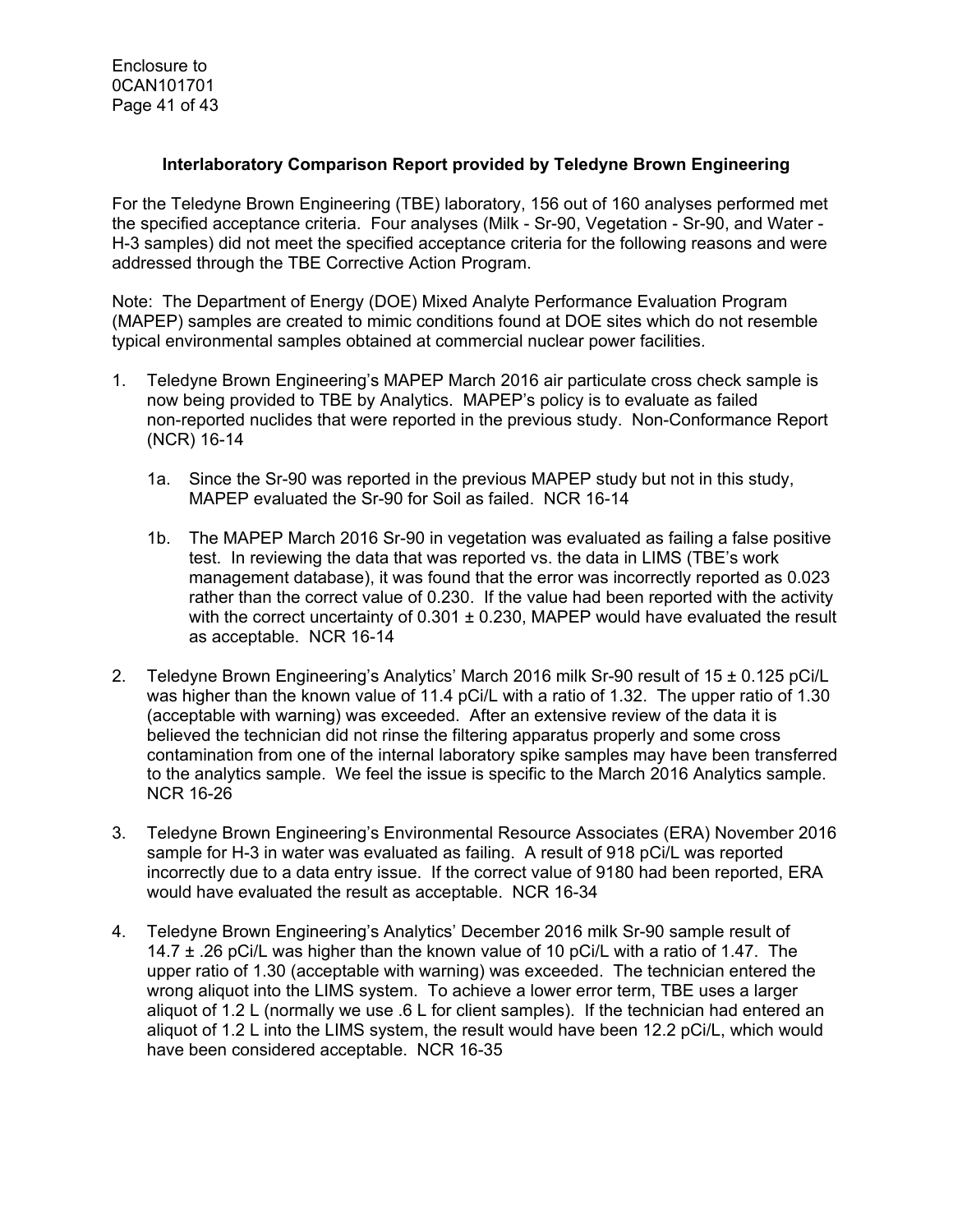## **Interlaboratory Comparison Report provided by Teledyne Brown Engineering**

For the Teledyne Brown Engineering (TBE) laboratory, 156 out of 160 analyses performed met the specified acceptance criteria. Four analyses (Milk - Sr-90, Vegetation - Sr-90, and Water - H-3 samples) did not meet the specified acceptance criteria for the following reasons and were addressed through the TBE Corrective Action Program.

Note: The Department of Energy (DOE) Mixed Analyte Performance Evaluation Program (MAPEP) samples are created to mimic conditions found at DOE sites which do not resemble typical environmental samples obtained at commercial nuclear power facilities.

- 1. Teledyne Brown Engineering's MAPEP March 2016 air particulate cross check sample is now being provided to TBE by Analytics. MAPEP's policy is to evaluate as failed non-reported nuclides that were reported in the previous study. Non-Conformance Report (NCR) 16-14
	- 1a. Since the Sr-90 was reported in the previous MAPEP study but not in this study, MAPEP evaluated the Sr-90 for Soil as failed. NCR 16-14
	- 1b. The MAPEP March 2016 Sr-90 in vegetation was evaluated as failing a false positive test. In reviewing the data that was reported vs. the data in LIMS (TBE's work management database), it was found that the error was incorrectly reported as 0.023 rather than the correct value of 0.230. If the value had been reported with the activity with the correct uncertainty of  $0.301 \pm 0.230$ , MAPEP would have evaluated the result as acceptable. NCR 16-14
- 2. Teledyne Brown Engineering's Analytics' March 2016 milk Sr-90 result of 15 ± 0.125 pCi/L was higher than the known value of 11.4 pCi/L with a ratio of 1.32. The upper ratio of 1.30 (acceptable with warning) was exceeded. After an extensive review of the data it is believed the technician did not rinse the filtering apparatus properly and some cross contamination from one of the internal laboratory spike samples may have been transferred to the analytics sample. We feel the issue is specific to the March 2016 Analytics sample. NCR 16-26
- 3. Teledyne Brown Engineering's Environmental Resource Associates (ERA) November 2016 sample for H-3 in water was evaluated as failing. A result of 918 pCi/L was reported incorrectly due to a data entry issue. If the correct value of 9180 had been reported, ERA would have evaluated the result as acceptable. NCR 16-34
- 4. Teledyne Brown Engineering's Analytics' December 2016 milk Sr-90 sample result of 14.7  $\pm$  .26 pCi/L was higher than the known value of 10 pCi/L with a ratio of 1.47. The upper ratio of 1.30 (acceptable with warning) was exceeded. The technician entered the wrong aliquot into the LIMS system. To achieve a lower error term, TBE uses a larger aliquot of 1.2 L (normally we use .6 L for client samples). If the technician had entered an aliquot of 1.2 L into the LIMS system, the result would have been 12.2 pCi/L, which would have been considered acceptable. NCR 16-35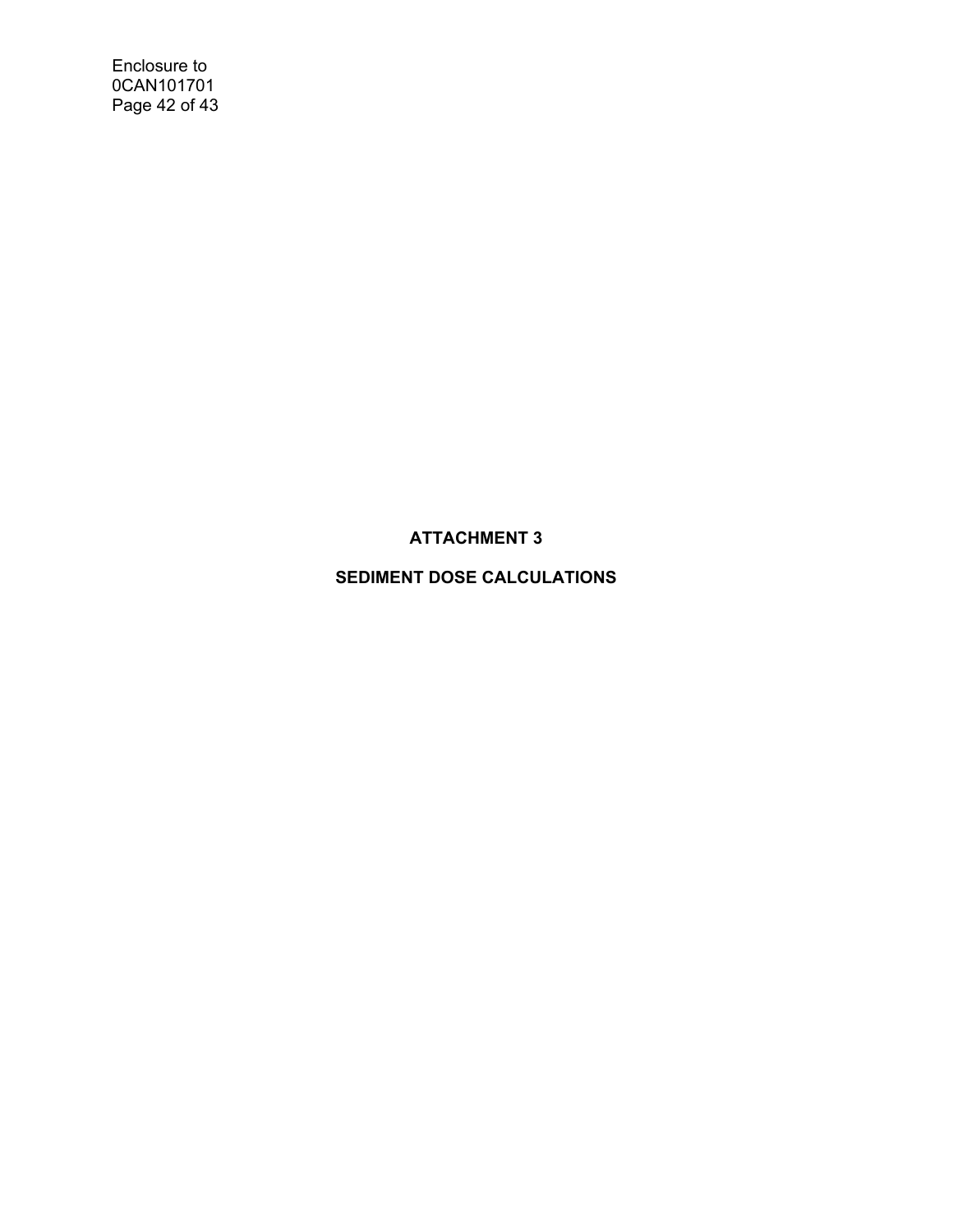Enclosure to 0CAN101701 Page 42 of 43

**ATTACHMENT 3** 

**SEDIMENT DOSE CALCULATIONS**